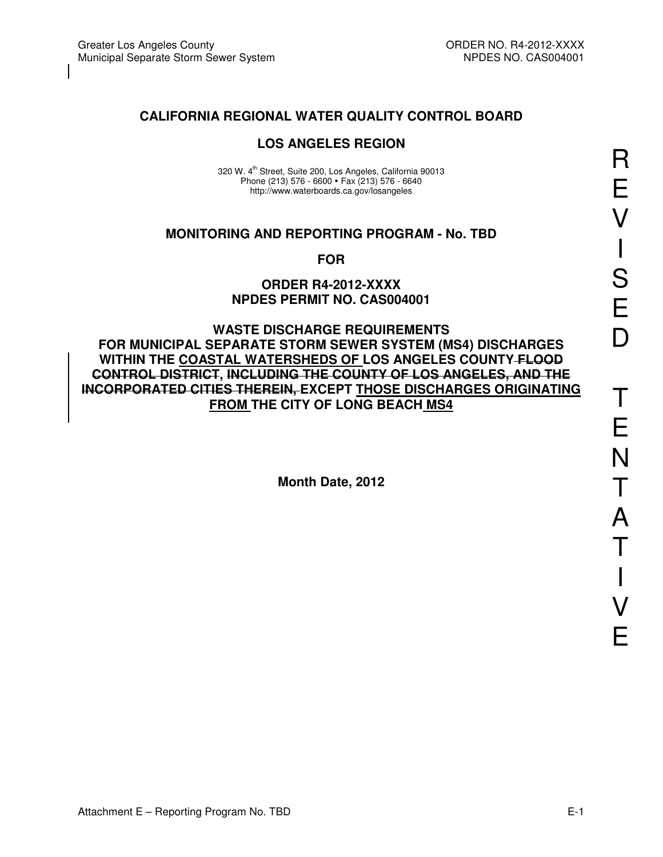## **CALIFORNIA REGIONAL WATER QUALITY CONTROL BOARD**

## **LOS ANGELES REGION**

320 W. 4<sup>th</sup> Street, Suite 200, Los Angeles, California 90013 Phone (213) 576 - 6600 · Fax (213) 576 - 6640 http://www.waterboards.ca.gov/losangeles

### **MONITORING AND REPORTING PROGRAM - No. TBD**

**FOR** 

#### **ORDER R4-2012-XXXX NPDES PERMIT NO. CAS004001**

**WASTE DISCHARGE REQUIREMENTS FOR MUNICIPAL SEPARATE STORM SEWER SYSTEM (MS4) DISCHARGES WITHIN THE COASTAL WATERSHEDS OF LOS ANGELES COUNTY FLOOD CONTROL DISTRICT, INCLUDING THE COUNTY OF LOS ANGELES, AND THE INCORPORATED CITIES THEREIN, EXCEPT THOSE DISCHARGES ORIGINATING FROM THE CITY OF LONG BEACH MS4** 

**Month Date, 2012**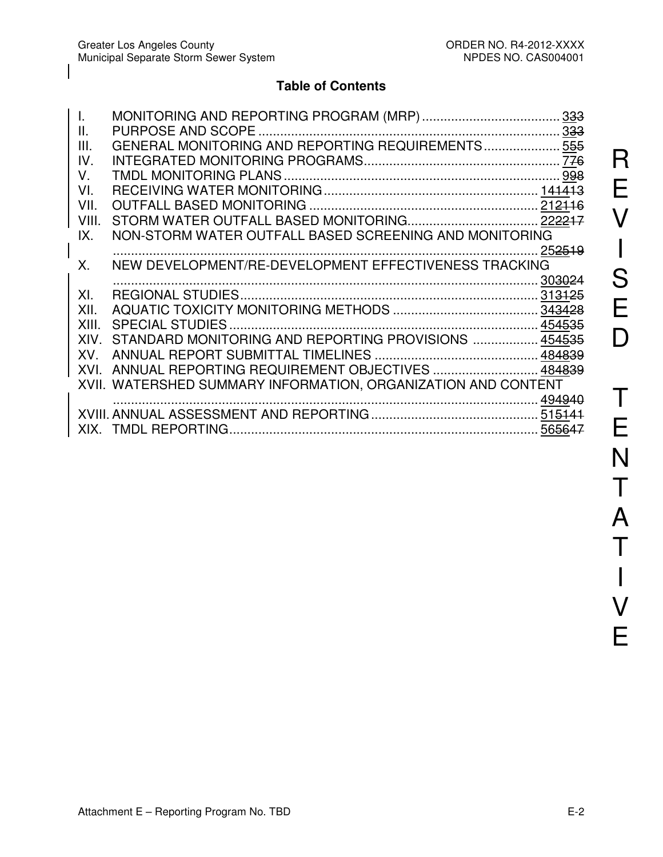# **Table of Contents**

| T.          |                                                               |        |
|-------------|---------------------------------------------------------------|--------|
| II.         |                                                               |        |
| III.        | GENERAL MONITORING AND REPORTING REQUIREMENTS 555             |        |
| IV.         |                                                               |        |
| $V_{\cdot}$ |                                                               |        |
| VI.         |                                                               |        |
| VII.        |                                                               |        |
| VIII.       |                                                               |        |
| IX.         | NON-STORM WATER OUTFALL BASED SCREENING AND MONITORING        |        |
|             |                                                               | 252519 |
| X.          | NEW DEVELOPMENT/RE-DEVELOPMENT EFFECTIVENESS TRACKING         |        |
|             |                                                               |        |
| XI.         |                                                               |        |
| XII.        |                                                               |        |
| XIII.       |                                                               |        |
| XIV.        | STANDARD MONITORING AND REPORTING PROVISIONS  454535          |        |
| XV.         |                                                               |        |
|             | XVI. ANNUAL REPORTING REQUIREMENT OBJECTIVES  484839          |        |
|             | XVII. WATERSHED SUMMARY INFORMATION, ORGANIZATION AND CONTENT |        |
|             |                                                               |        |
|             |                                                               |        |
|             |                                                               |        |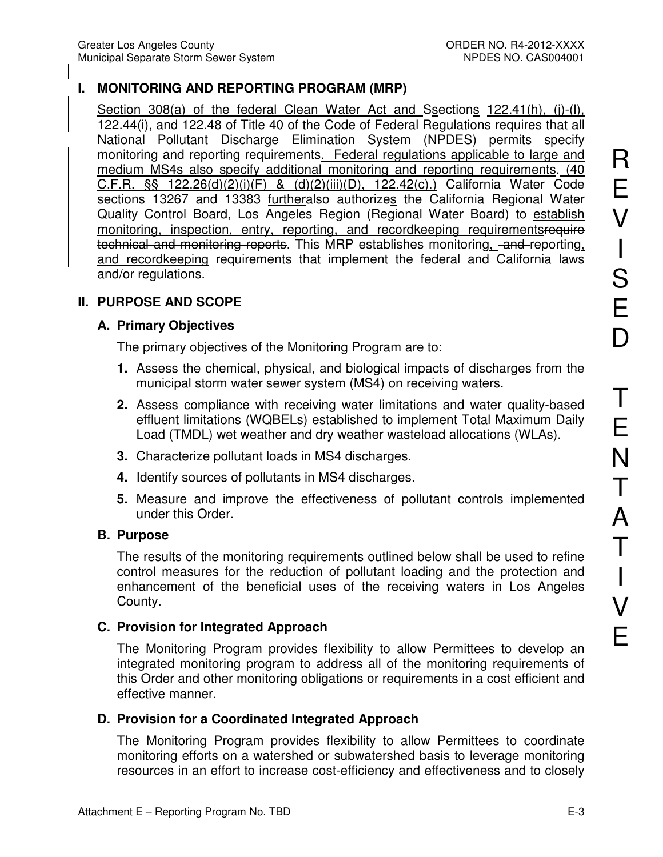# **I. MONITORING AND REPORTING PROGRAM (MRP)**

Section 308(a) of the federal Clean Water Act and Ssections 122.41(h), (j)-(l), 122.44(i), and 122.48 of Title 40 of the Code of Federal Regulations requires that all National Pollutant Discharge Elimination System (NPDES) permits specify monitoring and reporting requirements. Federal regulations applicable to large and medium MS4s also specify additional monitoring and reporting requirements. (40 C.F.R. §§ 122.26(d)(2)(i)(F) & (d)(2)(iii)(D), 122.42(c).) California Water Code sections 13267 and 13383 furtheralso authorizes the California Regional Water Quality Control Board, Los Angeles Region (Regional Water Board) to establish monitoring, inspection, entry, reporting, and recordkeeping requirementsrequire technical and monitoring reports. This MRP establishes monitoring, and reporting, and recordkeeping requirements that implement the federal and California laws and/or regulations.

## **II. PURPOSE AND SCOPE**

## **A. Primary Objectives**

The primary objectives of the Monitoring Program are to:

- **1.** Assess the chemical, physical, and biological impacts of discharges from the municipal storm water sewer system (MS4) on receiving waters.
- **2.** Assess compliance with receiving water limitations and water quality-based effluent limitations (WQBELs) established to implement Total Maximum Daily Load (TMDL) wet weather and dry weather wasteload allocations (WLAs).
- **3.** Characterize pollutant loads in MS4 discharges.
- **4.** Identify sources of pollutants in MS4 discharges.
- **5.** Measure and improve the effectiveness of pollutant controls implemented under this Order.

## **B. Purpose**

The results of the monitoring requirements outlined below shall be used to refine control measures for the reduction of pollutant loading and the protection and enhancement of the beneficial uses of the receiving waters in Los Angeles County.

# **C. Provision for Integrated Approach**

The Monitoring Program provides flexibility to allow Permittees to develop an integrated monitoring program to address all of the monitoring requirements of this Order and other monitoring obligations or requirements in a cost efficient and effective manner.

# **D. Provision for a Coordinated Integrated Approach**

The Monitoring Program provides flexibility to allow Permittees to coordinate monitoring efforts on a watershed or subwatershed basis to leverage monitoring resources in an effort to increase cost-efficiency and effectiveness and to closely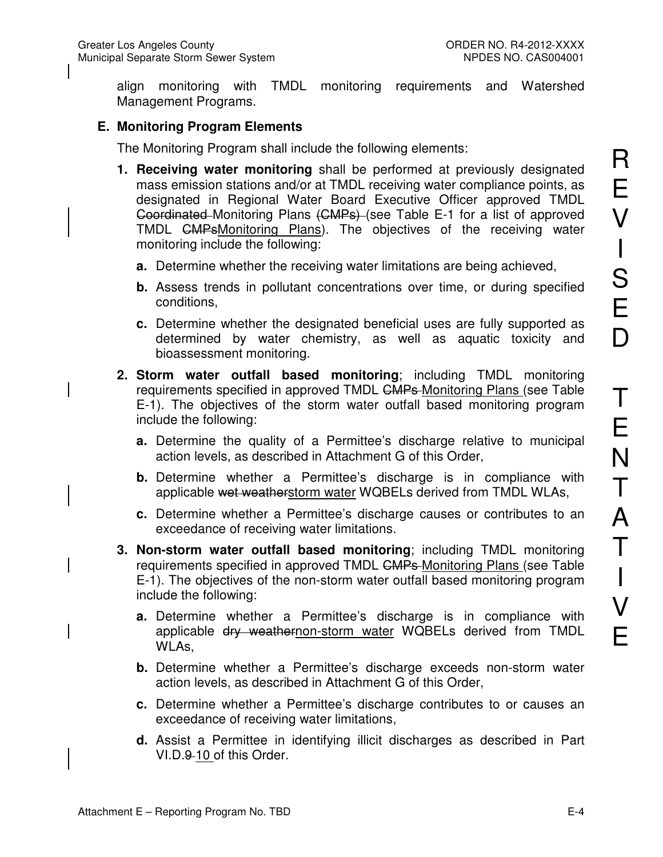align monitoring with TMDL monitoring requirements and Watershed Management Programs.

# **E. Monitoring Program Elements**

The Monitoring Program shall include the following elements:

- **1. Receiving water monitoring** shall be performed at previously designated mass emission stations and/or at TMDL receiving water compliance points, as designated in Regional Water Board Executive Officer approved TMDL Goordinated Monitoring Plans (CMPs) (see Table E-1 for a list of approved TMDL CMPsMonitoring Plans). The objectives of the receiving water monitoring include the following:
	- **a.** Determine whether the receiving water limitations are being achieved,
	- **b.** Assess trends in pollutant concentrations over time, or during specified conditions,
	- **c.** Determine whether the designated beneficial uses are fully supported as determined by water chemistry, as well as aquatic toxicity and bioassessment monitoring.
- **2. Storm water outfall based monitoring**; including TMDL monitoring requirements specified in approved TMDL CMPs Monitoring Plans (see Table E-1). The objectives of the storm water outfall based monitoring program include the following:
	- **a.** Determine the quality of a Permittee's discharge relative to municipal action levels, as described in Attachment G of this Order,
	- **b.** Determine whether a Permittee's discharge is in compliance with applicable wet weatherstorm water WQBELs derived from TMDL WLAs,
	- **c.** Determine whether a Permittee's discharge causes or contributes to an exceedance of receiving water limitations.
- **3. Non-storm water outfall based monitoring**; including TMDL monitoring requirements specified in approved TMDL CMPs Monitoring Plans (see Table E-1). The objectives of the non-storm water outfall based monitoring program include the following:
	- **a.** Determine whether a Permittee's discharge is in compliance with applicable dry weathernon-storm water WQBELs derived from TMDL WLAs,
	- **b.** Determine whether a Permittee's discharge exceeds non-storm water action levels, as described in Attachment G of this Order,
	- **c.** Determine whether a Permittee's discharge contributes to or causes an exceedance of receiving water limitations,
	- **d.** Assist a Permittee in identifying illicit discharges as described in Part VI.D.9-10 of this Order.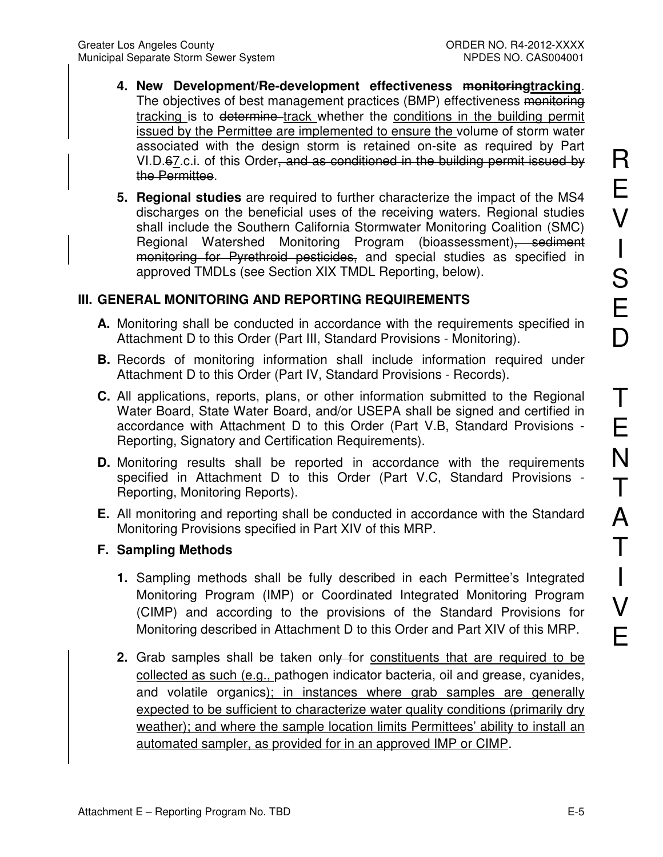- **4. New Development/Re-development effectiveness monitoringtracking**. The objectives of best management practices (BMP) effectiveness monitoring tracking is to determine track whether the conditions in the building permit issued by the Permittee are implemented to ensure the volume of storm water associated with the design storm is retained on-site as required by Part VI.D.67.c.i. of this Order, and as conditioned in the building permit issued by the Permittee.
- **5. Regional studies** are required to further characterize the impact of the MS4 discharges on the beneficial uses of the receiving waters. Regional studies shall include the Southern California Stormwater Monitoring Coalition (SMC) Regional Watershed Monitoring Program (bioassessment), sediment monitoring for Pyrethroid pesticides, and special studies as specified in approved TMDLs (see Section XIX TMDL Reporting, below).

# **III. GENERAL MONITORING AND REPORTING REQUIREMENTS**

- **A.** Monitoring shall be conducted in accordance with the requirements specified in Attachment D to this Order (Part III, Standard Provisions - Monitoring).
- **B.** Records of monitoring information shall include information required under Attachment D to this Order (Part IV, Standard Provisions - Records).
- **C.** All applications, reports, plans, or other information submitted to the Regional Water Board, State Water Board, and/or USEPA shall be signed and certified in accordance with Attachment D to this Order (Part V.B, Standard Provisions - Reporting, Signatory and Certification Requirements).
- **D.** Monitoring results shall be reported in accordance with the requirements specified in Attachment D to this Order (Part V.C, Standard Provisions - Reporting, Monitoring Reports).
- **E.** All monitoring and reporting shall be conducted in accordance with the Standard Monitoring Provisions specified in Part XIV of this MRP.

# **F. Sampling Methods**

- **1.** Sampling methods shall be fully described in each Permittee's Integrated Monitoring Program (IMP) or Coordinated Integrated Monitoring Program (CIMP) and according to the provisions of the Standard Provisions for Monitoring described in Attachment D to this Order and Part XIV of this MRP.
- **2.** Grab samples shall be taken only for constituents that are required to be collected as such (e.g., pathogen indicator bacteria, oil and grease, cyanides, and volatile organics); in instances where grab samples are generally expected to be sufficient to characterize water quality conditions (primarily dry weather); and where the sample location limits Permittees' ability to install an automated sampler, as provided for in an approved IMP or CIMP.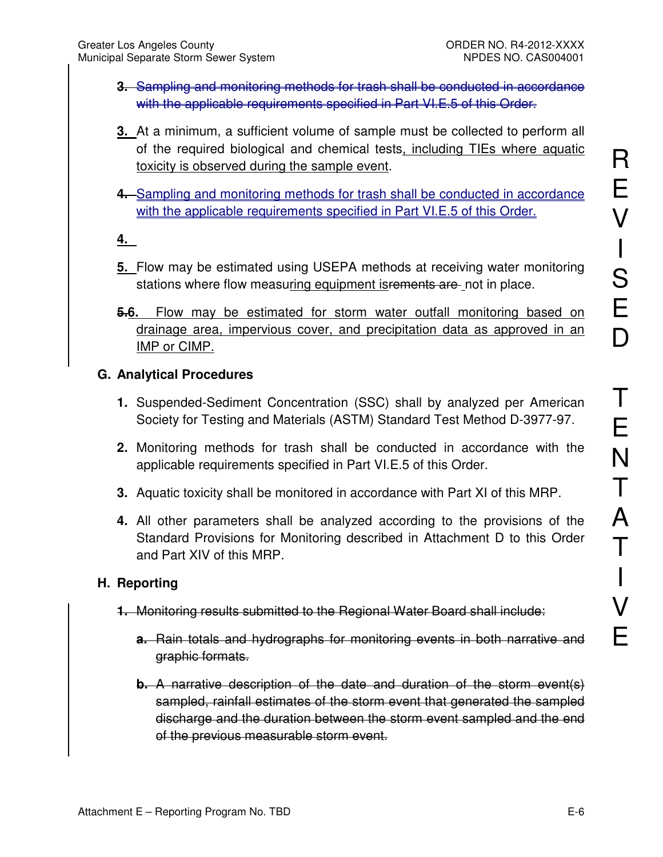- **3.** Sampling and monitoring methods for trash shall be conducted in accordance with the applicable requirements specified in Part VI.E.5 of this Order.
- **3.** At a minimum, a sufficient volume of sample must be collected to perform all of the required biological and chemical tests, including TIEs where aquatic toxicity is observed during the sample event.
- **4.** Sampling and monitoring methods for trash shall be conducted in accordance with the applicable requirements specified in Part VI.E.5 of this Order.

# **4.**

- **5.** Flow may be estimated using USEPA methods at receiving water monitoring stations where flow measuring equipment is rements are not in place.
- **5.6.** Flow may be estimated for storm water outfall monitoring based on drainage area, impervious cover, and precipitation data as approved in an IMP or CIMP.

## **G. Analytical Procedures**

- **1.** Suspended-Sediment Concentration (SSC) shall by analyzed per American Society for Testing and Materials (ASTM) Standard Test Method D-3977-97.
- **2.** Monitoring methods for trash shall be conducted in accordance with the applicable requirements specified in Part VI.E.5 of this Order.
- **3.** Aquatic toxicity shall be monitored in accordance with Part XI of this MRP.
- **4.** All other parameters shall be analyzed according to the provisions of the Standard Provisions for Monitoring described in Attachment D to this Order and Part XIV of this MRP.

## **H. Reporting**

- **1.** Monitoring results submitted to the Regional Water Board shall include:
	- **a.** Rain totals and hydrographs for monitoring events in both narrative and graphic formats.
	- **b.** A narrative description of the date and duration of the storm event(s) sampled, rainfall estimates of the storm event that generated the sampled discharge and the duration between the storm event sampled and the end of the previous measurable storm event.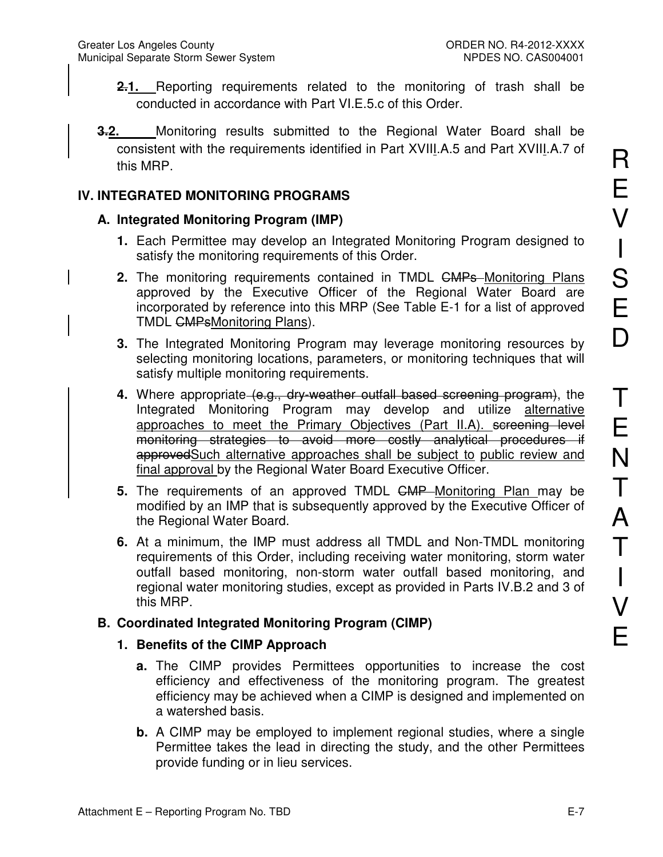- **2.1.** Reporting requirements related to the monitoring of trash shall be conducted in accordance with Part VI.E.5.c of this Order.
- **3.2.** Monitoring results submitted to the Regional Water Board shall be consistent with the requirements identified in Part XVIII.A.5 and Part XVIII.A.7 of this MRP.

## **IV. INTEGRATED MONITORING PROGRAMS**

## **A. Integrated Monitoring Program (IMP)**

- **1.** Each Permittee may develop an Integrated Monitoring Program designed to satisfy the monitoring requirements of this Order.
- **2.** The monitoring requirements contained in TMDL <del>CMPs</del>-Monitoring Plans approved by the Executive Officer of the Regional Water Board are incorporated by reference into this MRP (See Table E-1 for a list of approved TMDL GMPsMonitoring Plans).
- **3.** The Integrated Monitoring Program may leverage monitoring resources by selecting monitoring locations, parameters, or monitoring techniques that will satisfy multiple monitoring requirements.
- **4.** Where appropriate (e.g., dry-weather outfall based screening program), the Integrated Monitoring Program may develop and utilize alternative approaches to meet the Primary Objectives (Part II.A). screening level monitoring strategies to avoid more costly analytical procedures if approvedSuch alternative approaches shall be subject to public review and final approval by the Regional Water Board Executive Officer.
- **5.** The requirements of an approved TMDL CMP Monitoring Plan may be modified by an IMP that is subsequently approved by the Executive Officer of the Regional Water Board.
- **6.** At a minimum, the IMP must address all TMDL and Non-TMDL monitoring requirements of this Order, including receiving water monitoring, storm water outfall based monitoring, non-storm water outfall based monitoring, and regional water monitoring studies, except as provided in Parts IV.B.2 and 3 of this MRP.

# **B. Coordinated Integrated Monitoring Program (CIMP)**

## **1. Benefits of the CIMP Approach**

- **a.** The CIMP provides Permittees opportunities to increase the cost efficiency and effectiveness of the monitoring program. The greatest efficiency may be achieved when a CIMP is designed and implemented on a watershed basis.
- **b.** A CIMP may be employed to implement regional studies, where a single Permittee takes the lead in directing the study, and the other Permittees provide funding or in lieu services.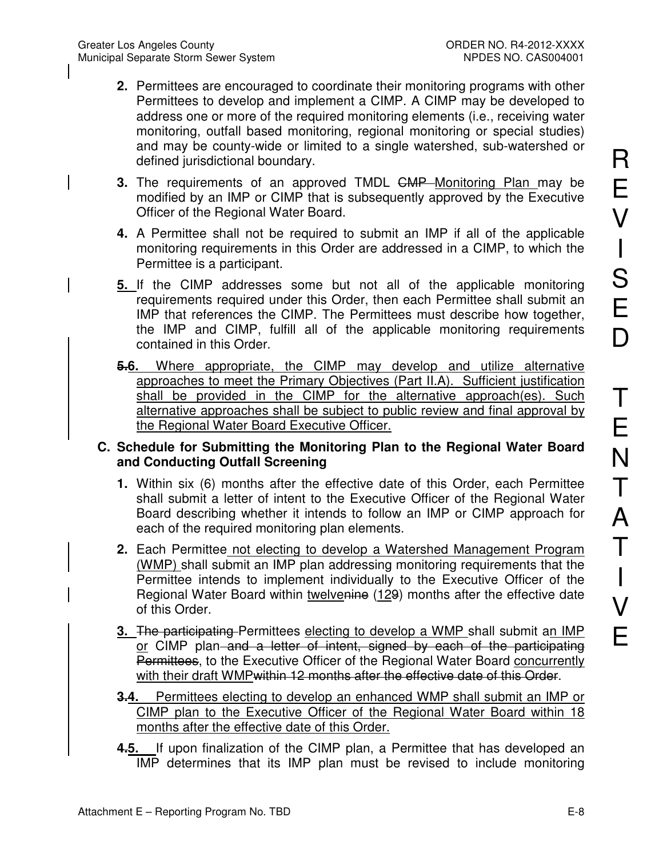- **2.** Permittees are encouraged to coordinate their monitoring programs with other Permittees to develop and implement a CIMP. A CIMP may be developed to address one or more of the required monitoring elements (i.e., receiving water monitoring, outfall based monitoring, regional monitoring or special studies) and may be county-wide or limited to a single watershed, sub-watershed or defined jurisdictional boundary.
- **3.** The requirements of an approved TMDL CMP Monitoring Plan may be modified by an IMP or CIMP that is subsequently approved by the Executive Officer of the Regional Water Board.
- **4.** A Permittee shall not be required to submit an IMP if all of the applicable monitoring requirements in this Order are addressed in a CIMP, to which the Permittee is a participant.
- **5.** If the CIMP addresses some but not all of the applicable monitoring requirements required under this Order, then each Permittee shall submit an IMP that references the CIMP. The Permittees must describe how together, the IMP and CIMP, fulfill all of the applicable monitoring requirements contained in this Order.
- **5.6.** Where appropriate, the CIMP may develop and utilize alternative approaches to meet the Primary Objectives (Part II.A). Sufficient justification shall be provided in the CIMP for the alternative approach(es). Such alternative approaches shall be subject to public review and final approval by the Regional Water Board Executive Officer.

## **C. Schedule for Submitting the Monitoring Plan to the Regional Water Board and Conducting Outfall Screening**

- **1.** Within six (6) months after the effective date of this Order, each Permittee shall submit a letter of intent to the Executive Officer of the Regional Water Board describing whether it intends to follow an IMP or CIMP approach for each of the required monitoring plan elements.
- **2.** Each Permittee not electing to develop a Watershed Management Program (WMP) shall submit an IMP plan addressing monitoring requirements that the Permittee intends to implement individually to the Executive Officer of the Regional Water Board within twelvenine (129) months after the effective date of this Order.
- **3.** The participating Permittees electing to develop a WMP shall submit an IMP or CIMP plan and a letter of intent, signed by each of the participating Permittees, to the Executive Officer of the Regional Water Board concurrently with their draft WMP<del>within 12 months after the effective date of this Order</del>.
- **3.4.** Permittees electing to develop an enhanced WMP shall submit an IMP or CIMP plan to the Executive Officer of the Regional Water Board within 18 months after the effective date of this Order.
- **4.5.** If upon finalization of the CIMP plan, a Permittee that has developed an IMP determines that its IMP plan must be revised to include monitoring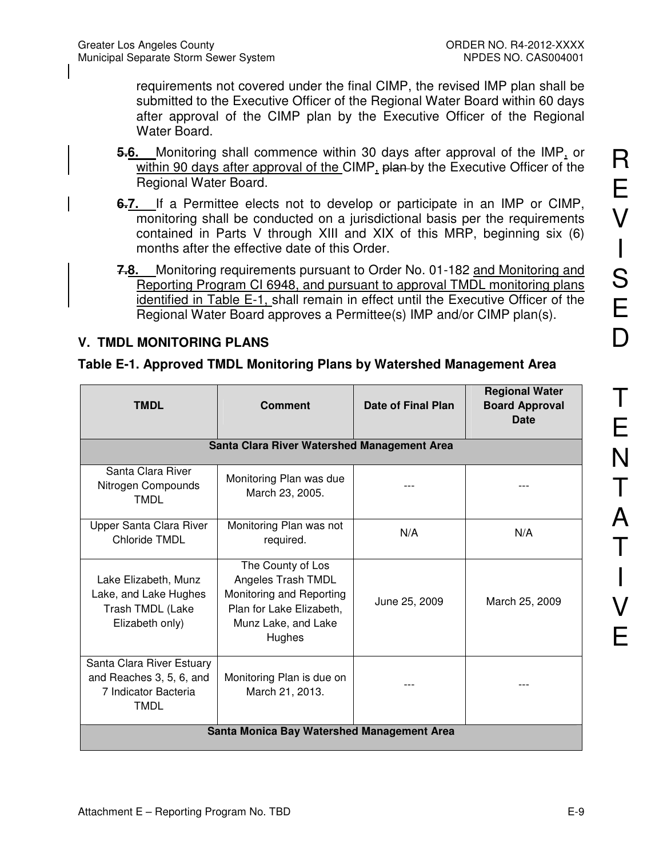requirements not covered under the final CIMP, the revised IMP plan shall be submitted to the Executive Officer of the Regional Water Board within 60 days after approval of the CIMP plan by the Executive Officer of the Regional Water Board.

- **5.6.** Monitoring shall commence within 30 days after approval of the IMP, or within 90 days after approval of the CIMP, plan-by the Executive Officer of the Regional Water Board.
- **6.7.** If a Permittee elects not to develop or participate in an IMP or CIMP, monitoring shall be conducted on a jurisdictional basis per the requirements contained in Parts V through XIII and XIX of this MRP, beginning six (6) months after the effective date of this Order.
- **7.8.** Monitoring requirements pursuant to Order No. 01-182 and Monitoring and Reporting Program CI 6948, and pursuant to approval TMDL monitoring plans identified in Table E-1, shall remain in effect until the Executive Officer of the Regional Water Board approves a Permittee(s) IMP and/or CIMP plan(s).

## **V. TMDL MONITORING PLANS**

### **Table E-1. Approved TMDL Monitoring Plans by Watershed Management Area**

| <b>TMDL</b>                                                                                  | <b>Comment</b>                                                                                                                   | Date of Final Plan | <b>Regional Water</b><br><b>Board Approval</b><br>Date |
|----------------------------------------------------------------------------------------------|----------------------------------------------------------------------------------------------------------------------------------|--------------------|--------------------------------------------------------|
|                                                                                              | Santa Clara River Watershed Management Area                                                                                      |                    |                                                        |
| Santa Clara River<br>Nitrogen Compounds<br><b>TMDL</b>                                       | Monitoring Plan was due<br>March 23, 2005.                                                                                       |                    |                                                        |
| Upper Santa Clara River<br><b>Chloride TMDL</b>                                              | Monitoring Plan was not<br>required.                                                                                             | N/A                | N/A                                                    |
| Lake Elizabeth, Munz<br>Lake, and Lake Hughes<br>Trash TMDL (Lake<br>Elizabeth only)         | The County of Los<br>Angeles Trash TMDL<br>Monitoring and Reporting<br>Plan for Lake Elizabeth,<br>Munz Lake, and Lake<br>Hughes | June 25, 2009      | March 25, 2009                                         |
| Santa Clara River Estuary<br>and Reaches 3, 5, 6, and<br>7 Indicator Bacteria<br><b>TMDL</b> | Monitoring Plan is due on<br>March 21, 2013.                                                                                     |                    |                                                        |
| Santa Monica Bay Watershed Management Area                                                   |                                                                                                                                  |                    |                                                        |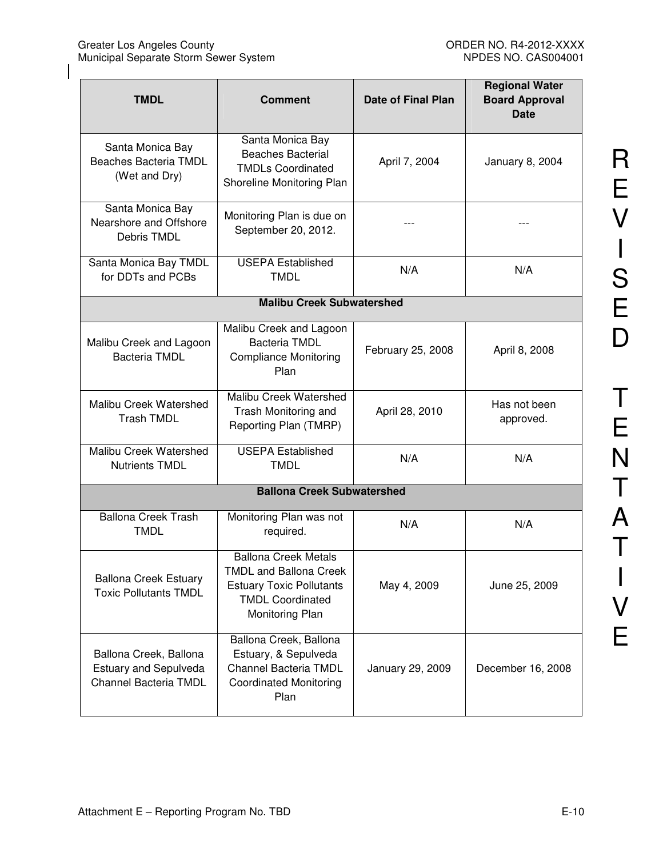| <b>TMDL</b>                                                                     | <b>Comment</b>                                                                                                                                | <b>Date of Final Plan</b> | <b>Regional Water</b><br><b>Board Approval</b><br><b>Date</b> |
|---------------------------------------------------------------------------------|-----------------------------------------------------------------------------------------------------------------------------------------------|---------------------------|---------------------------------------------------------------|
| Santa Monica Bay<br>Beaches Bacteria TMDL<br>(Wet and Dry)                      | Santa Monica Bay<br><b>Beaches Bacterial</b><br><b>TMDLs Coordinated</b><br>Shoreline Monitoring Plan                                         | April 7, 2004             | January 8, 2004                                               |
| Santa Monica Bay<br>Nearshore and Offshore<br>Debris TMDL                       | Monitoring Plan is due on<br>September 20, 2012.                                                                                              |                           |                                                               |
| Santa Monica Bay TMDL<br>for DDTs and PCBs                                      | <b>USEPA Established</b><br><b>TMDL</b>                                                                                                       | N/A                       | N/A                                                           |
|                                                                                 | <b>Malibu Creek Subwatershed</b>                                                                                                              |                           |                                                               |
| Malibu Creek and Lagoon<br><b>Bacteria TMDL</b>                                 | Malibu Creek and Lagoon<br><b>Bacteria TMDL</b><br><b>Compliance Monitoring</b><br>Plan                                                       | February 25, 2008         | April 8, 2008                                                 |
| Malibu Creek Watershed<br><b>Trash TMDL</b>                                     | Malibu Creek Watershed<br>Trash Monitoring and<br>Reporting Plan (TMRP)                                                                       | April 28, 2010            | Has not been<br>approved.                                     |
| Malibu Creek Watershed<br><b>Nutrients TMDL</b>                                 | <b>USEPA Established</b><br><b>TMDL</b>                                                                                                       | N/A                       | N/A                                                           |
|                                                                                 | <b>Ballona Creek Subwatershed</b>                                                                                                             |                           |                                                               |
| <b>Ballona Creek Trash</b><br><b>TMDL</b>                                       | Monitoring Plan was not<br>required.                                                                                                          | N/A                       | N/A                                                           |
| <b>Ballona Creek Estuary</b><br><b>Toxic Pollutants TMDL</b>                    | <b>Ballona Creek Metals</b><br><b>TMDL and Ballona Creek</b><br><b>Estuary Toxic Pollutants</b><br><b>TMDL Coordinated</b><br>Monitoring Plan | May 4, 2009               | June 25, 2009                                                 |
| Ballona Creek, Ballona<br><b>Estuary and Sepulveda</b><br>Channel Bacteria TMDL | Ballona Creek, Ballona<br>Estuary, & Sepulveda<br>Channel Bacteria TMDL<br><b>Coordinated Monitoring</b><br>Plan                              | January 29, 2009          | December 16, 2008                                             |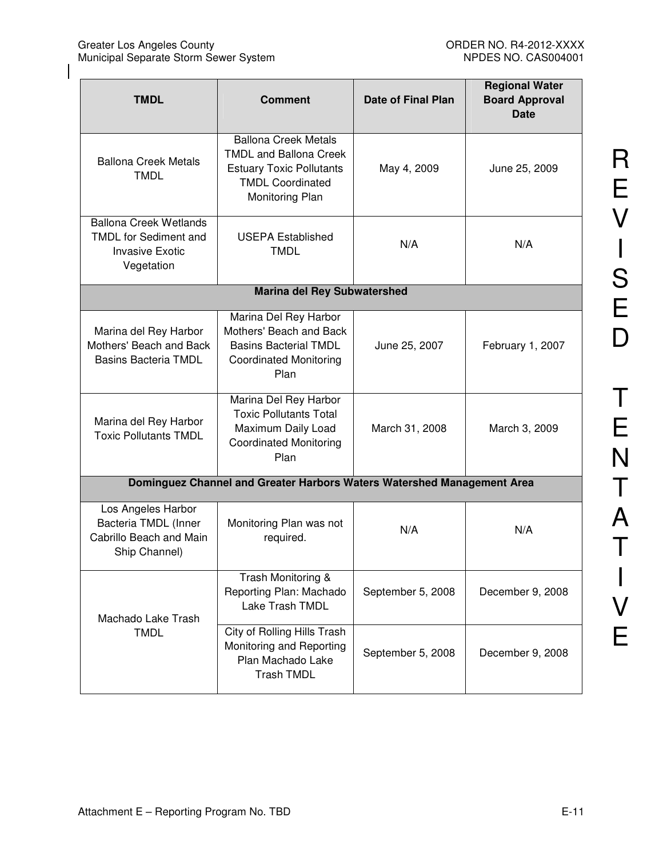| <b>TMDL</b>                                                                                           | <b>Comment</b>                                                                                                                                | Date of Final Plan | <b>Regional Water</b><br><b>Board Approval</b><br><b>Date</b> |
|-------------------------------------------------------------------------------------------------------|-----------------------------------------------------------------------------------------------------------------------------------------------|--------------------|---------------------------------------------------------------|
| <b>Ballona Creek Metals</b><br><b>TMDL</b>                                                            | <b>Ballona Creek Metals</b><br><b>TMDL and Ballona Creek</b><br><b>Estuary Toxic Pollutants</b><br><b>TMDL Coordinated</b><br>Monitoring Plan | May 4, 2009        | June 25, 2009                                                 |
| <b>Ballona Creek Wetlands</b><br><b>TMDL</b> for Sediment and<br><b>Invasive Exotic</b><br>Vegetation | <b>USEPA Established</b><br><b>TMDL</b>                                                                                                       | N/A                | N/A                                                           |
|                                                                                                       | <b>Marina del Rey Subwatershed</b>                                                                                                            |                    |                                                               |
| Marina del Rey Harbor<br>Mothers' Beach and Back<br><b>Basins Bacteria TMDL</b>                       | Marina Del Rey Harbor<br>Mothers' Beach and Back<br><b>Basins Bacterial TMDL</b><br><b>Coordinated Monitoring</b><br>Plan                     | June 25, 2007      | February 1, 2007                                              |
| Marina del Rey Harbor<br><b>Toxic Pollutants TMDL</b>                                                 | Marina Del Rey Harbor<br><b>Toxic Pollutants Total</b><br>Maximum Daily Load<br><b>Coordinated Monitoring</b><br>Plan                         | March 31, 2008     | March 3, 2009                                                 |
|                                                                                                       | Dominguez Channel and Greater Harbors Waters Watershed Management Area                                                                        |                    |                                                               |
| Los Angeles Harbor<br>Bacteria TMDL (Inner<br>Cabrillo Beach and Main<br>Ship Channel)                | Monitoring Plan was not<br>required.                                                                                                          | N/A                | N/A                                                           |
| Machado Lake Trash                                                                                    | Trash Monitoring &<br>Reporting Plan: Machado<br>Lake Trash TMDL                                                                              | September 5, 2008  | December 9, 2008                                              |
| <b>TMDL</b>                                                                                           | City of Rolling Hills Trash<br>Monitoring and Reporting<br>Plan Machado Lake<br><b>Trash TMDL</b>                                             | September 5, 2008  | December 9, 2008                                              |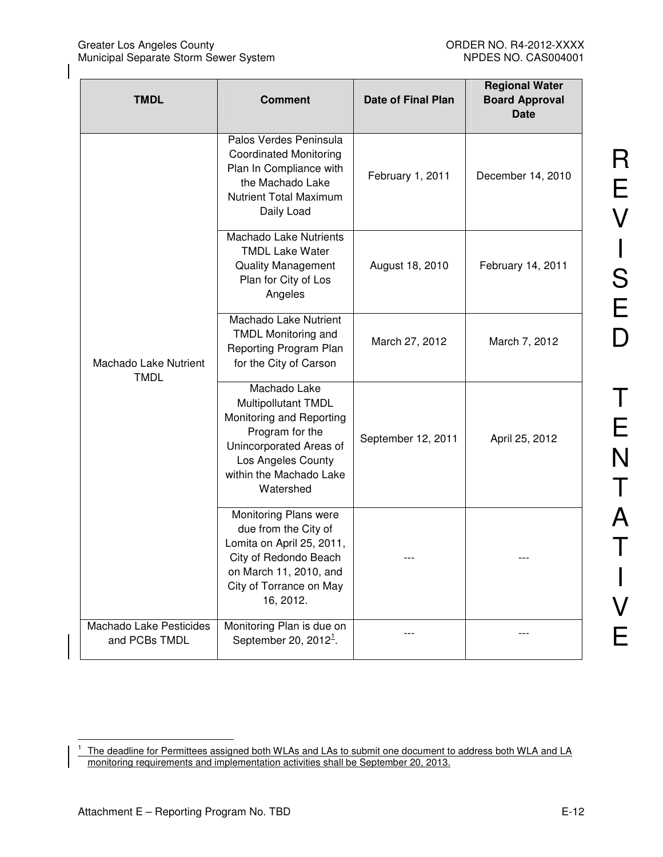| <b>TMDL</b>                              | <b>Comment</b>                                                                                                                                                              | <b>Date of Final Plan</b> | <b>Regional Water</b><br><b>Board Approval</b><br><b>Date</b> |
|------------------------------------------|-----------------------------------------------------------------------------------------------------------------------------------------------------------------------------|---------------------------|---------------------------------------------------------------|
|                                          | Palos Verdes Peninsula<br><b>Coordinated Monitoring</b><br>Plan In Compliance with<br>the Machado Lake<br><b>Nutrient Total Maximum</b><br>Daily Load                       | February 1, 2011          | December 14, 2010                                             |
|                                          | <b>Machado Lake Nutrients</b><br><b>TMDL Lake Water</b><br><b>Quality Management</b><br>Plan for City of Los<br>Angeles                                                     | August 18, 2010           | February 14, 2011                                             |
| Machado Lake Nutrient<br><b>TMDL</b>     | Machado Lake Nutrient<br><b>TMDL Monitoring and</b><br>Reporting Program Plan<br>for the City of Carson                                                                     | March 27, 2012            | March 7, 2012                                                 |
|                                          | Machado Lake<br>Multipollutant TMDL<br>Monitoring and Reporting<br>Program for the<br>Unincorporated Areas of<br>Los Angeles County<br>within the Machado Lake<br>Watershed | September 12, 2011        | April 25, 2012                                                |
|                                          | Monitoring Plans were<br>due from the City of<br>Lomita on April 25, 2011,<br>City of Redondo Beach<br>on March 11, 2010, and<br>City of Torrance on May<br>16, 2012.       |                           |                                                               |
| Machado Lake Pesticides<br>and PCBs TMDL | Monitoring Plan is due on<br>September 20, $20121$ .                                                                                                                        |                           |                                                               |

<sup>|&</sup>lt;br>1 The deadline for Permittees assigned both WLAs and LAs to submit one document to address both WLA and LA monitoring requirements and implementation activities shall be September 20, 2013.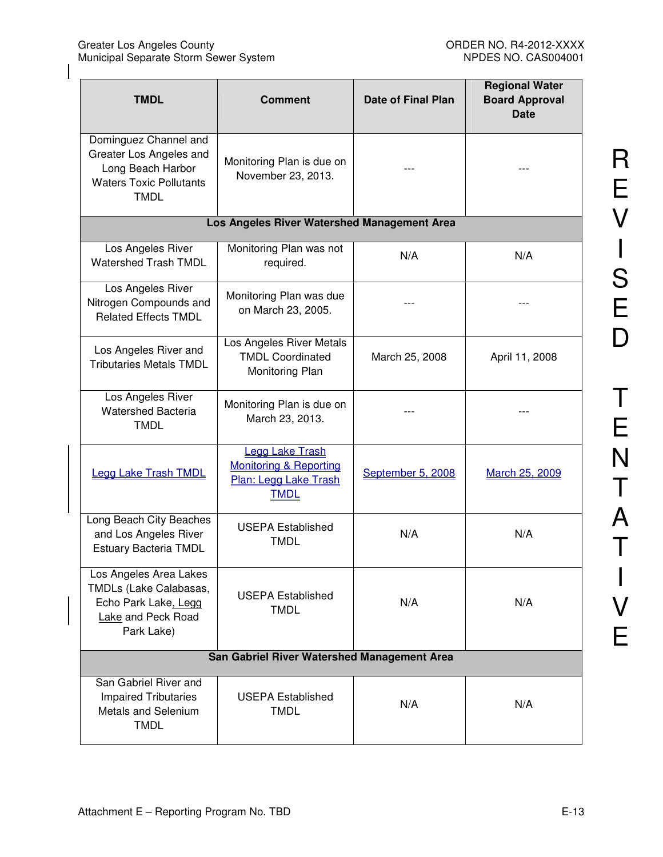| <b>TMDL</b>                                                                                                            | <b>Comment</b>                                                                                      | Date of Final Plan | <b>Regional Water</b><br><b>Board Approval</b><br><b>Date</b> |
|------------------------------------------------------------------------------------------------------------------------|-----------------------------------------------------------------------------------------------------|--------------------|---------------------------------------------------------------|
| Dominguez Channel and<br>Greater Los Angeles and<br>Long Beach Harbor<br><b>Waters Toxic Pollutants</b><br><b>TMDL</b> | Monitoring Plan is due on<br>November 23, 2013.                                                     |                    |                                                               |
|                                                                                                                        | Los Angeles River Watershed Management Area                                                         |                    |                                                               |
| Los Angeles River<br><b>Watershed Trash TMDL</b>                                                                       | Monitoring Plan was not<br>required.                                                                | N/A                | N/A                                                           |
| Los Angeles River<br>Nitrogen Compounds and<br><b>Related Effects TMDL</b>                                             | Monitoring Plan was due<br>on March 23, 2005.                                                       |                    |                                                               |
| Los Angeles River and<br><b>Tributaries Metals TMDL</b>                                                                | Los Angeles River Metals<br><b>TMDL Coordinated</b><br>Monitoring Plan                              | March 25, 2008     | April 11, 2008                                                |
| Los Angeles River<br><b>Watershed Bacteria</b><br><b>TMDL</b>                                                          | Monitoring Plan is due on<br>March 23, 2013.                                                        |                    |                                                               |
| <b>Legg Lake Trash TMDL</b>                                                                                            | <b>Legg Lake Trash</b><br><b>Monitoring &amp; Reporting</b><br>Plan: Legg Lake Trash<br><b>TMDL</b> | September 5, 2008  | March 25, 2009                                                |
| Long Beach City Beaches<br>and Los Angeles River<br><b>Estuary Bacteria TMDL</b>                                       | <b>USEPA Established</b><br><b>TMDL</b>                                                             | N/A                | N/A                                                           |
| Los Angeles Area Lakes<br>TMDLs (Lake Calabasas,<br>Echo Park Lake, Legg<br>Lake and Peck Road<br>Park Lake)           | <b>USEPA Established</b><br><b>TMDL</b>                                                             | N/A                | N/A                                                           |
| San Gabriel River Watershed Management Area                                                                            |                                                                                                     |                    |                                                               |
| San Gabriel River and<br><b>Impaired Tributaries</b><br><b>Metals and Selenium</b><br><b>TMDL</b>                      | <b>USEPA Established</b><br><b>TMDL</b>                                                             | N/A                | N/A                                                           |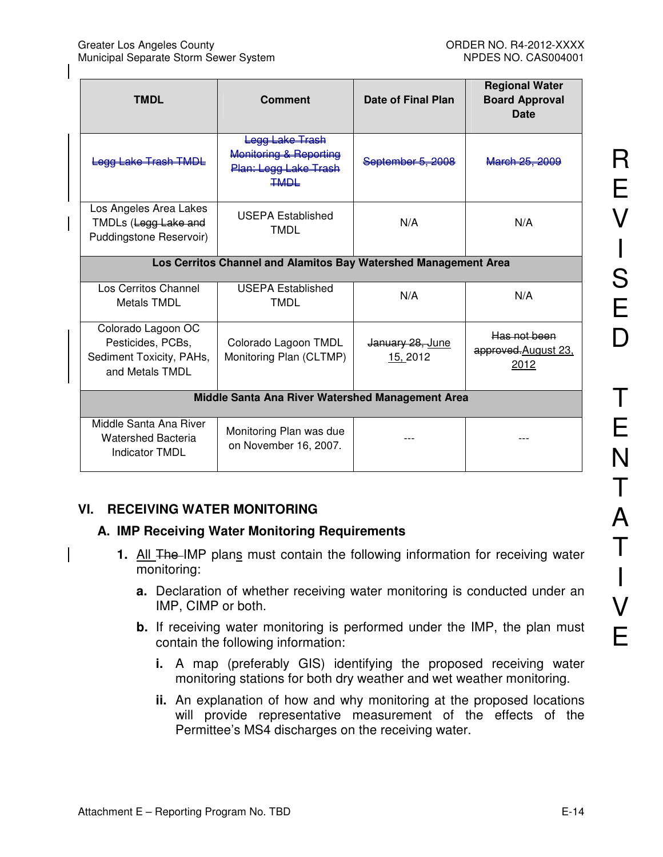| <b>TMDL</b>                                                                            | <b>Comment</b>                                                                    | <b>Date of Final Plan</b>    | <b>Regional Water</b><br><b>Board Approval</b><br>Date |
|----------------------------------------------------------------------------------------|-----------------------------------------------------------------------------------|------------------------------|--------------------------------------------------------|
| <b>Logg Lake Trach TMDL</b>                                                            | Logg Lako Trach<br>Monitoring & Reporting<br>Plan: Legg Lake Trash<br><b>TMDL</b> | September 5, 2008            | March 25, 2009                                         |
| Los Angeles Area Lakes<br>TMDLs (Legg Lake and<br>Puddingstone Reservoir)              | <b>USEPA Established</b><br><b>TMDL</b>                                           | N/A                          | N/A                                                    |
| Los Cerritos Channel and Alamitos Bay Watershed Management Area                        |                                                                                   |                              |                                                        |
| Los Cerritos Channel<br><b>Metals TMDL</b>                                             | <b>USEPA Established</b><br><b>TMDL</b>                                           | N/A                          | N/A                                                    |
| Colorado Lagoon OC<br>Pesticides, PCBs,<br>Sediment Toxicity, PAHs,<br>and Metals TMDL | Colorado Lagoon TMDL<br>Monitoring Plan (CLTMP)                                   | January 28, June<br>15, 2012 | Has not been<br>approved August 23,<br>2012            |
| Middle Santa Ana River Watershed Management Area                                       |                                                                                   |                              |                                                        |
| Middle Santa Ana River<br><b>Watershed Bacteria</b><br><b>Indicator TMDL</b>           | Monitoring Plan was due<br>on November 16, 2007.                                  |                              |                                                        |

# **VI. RECEIVING WATER MONITORING**

## **A. IMP Receiving Water Monitoring Requirements**

- **1.** All The IMP plans must contain the following information for receiving water monitoring:
	- **a.** Declaration of whether receiving water monitoring is conducted under an IMP, CIMP or both.
	- **b.** If receiving water monitoring is performed under the IMP, the plan must contain the following information:
		- **i.** A map (preferably GIS) identifying the proposed receiving water monitoring stations for both dry weather and wet weather monitoring.
		- **ii.** An explanation of how and why monitoring at the proposed locations will provide representative measurement of the effects of the Permittee's MS4 discharges on the receiving water.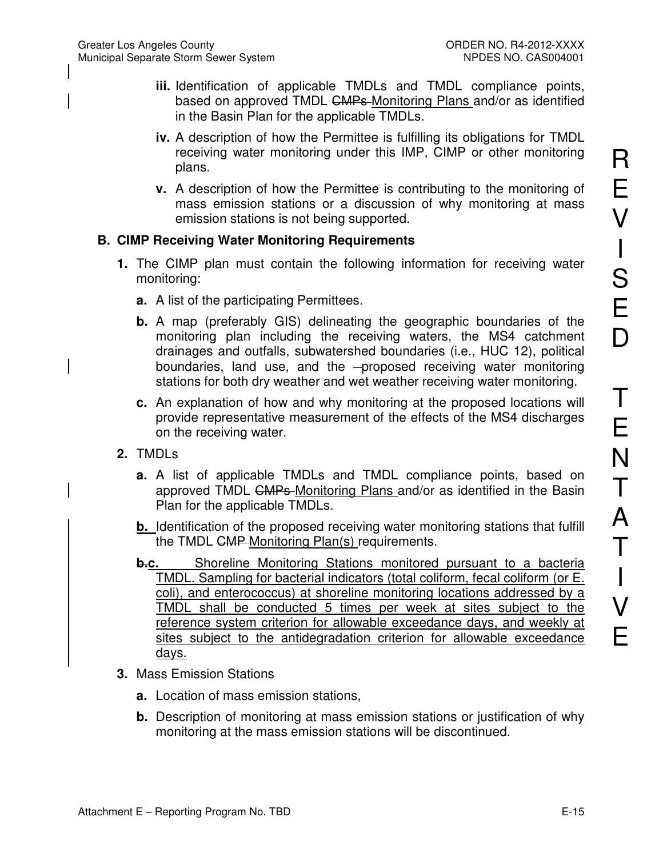- **iii.** Identification of applicable TMDLs and TMDL compliance points, based on approved TMDL CMPs-Monitoring Plans and/or as identified in the Basin Plan for the applicable TMDLs.
- **iv.** A description of how the Permittee is fulfilling its obligations for TMDL receiving water monitoring under this IMP, CIMP or other monitoring plans.
- **v.** A description of how the Permittee is contributing to the monitoring of mass emission stations or a discussion of why monitoring at mass emission stations is not being supported.

# **B. CIMP Receiving Water Monitoring Requirements**

- **1.** The CIMP plan must contain the following information for receiving water monitoring:
	- **a.** A list of the participating Permittees.
	- **b.** A map (preferably GIS) delineating the geographic boundaries of the monitoring plan including the receiving waters, the MS4 catchment drainages and outfalls, subwatershed boundaries (i.e., HUC 12), political boundaries, land use, and the -proposed receiving water monitoring stations for both dry weather and wet weather receiving water monitoring.
	- **c.** An explanation of how and why monitoring at the proposed locations will provide representative measurement of the effects of the MS4 discharges on the receiving water.
- **2.** TMDLs
	- **a.** A list of applicable TMDLs and TMDL compliance points, based on approved TMDL CMPs-Monitoring Plans and/or as identified in the Basin Plan for the applicable TMDLs.
	- **b.** Identification of the proposed receiving water monitoring stations that fulfill the TMDL CMP Monitoring Plan(s) requirements.
	- **b.c.** Shoreline Monitoring Stations monitored pursuant to a bacteria TMDL. Sampling for bacterial indicators (total coliform, fecal coliform (or E. coli), and enterococcus) at shoreline monitoring locations addressed by a TMDL shall be conducted 5 times per week at sites subject to the reference system criterion for allowable exceedance days, and weekly at sites subject to the antidegradation criterion for allowable exceedance days.
- **3.** Mass Emission Stations
	- **a.** Location of mass emission stations,
	- **b.** Description of monitoring at mass emission stations or justification of why monitoring at the mass emission stations will be discontinued.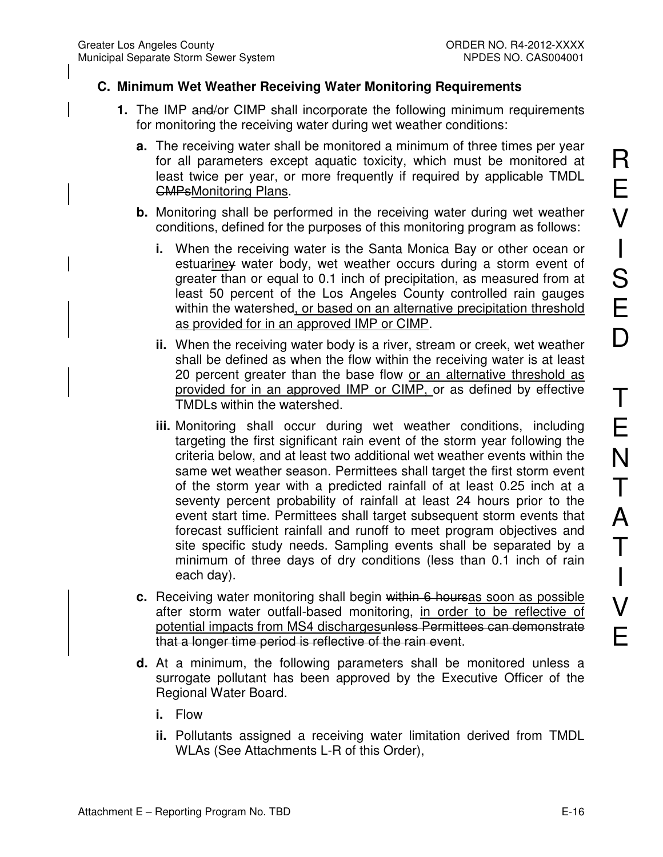## **C. Minimum Wet Weather Receiving Water Monitoring Requirements**

- **1.** The IMP and/or CIMP shall incorporate the following minimum requirements for monitoring the receiving water during wet weather conditions:
	- **a.** The receiving water shall be monitored a minimum of three times per year for all parameters except aquatic toxicity, which must be monitored at least twice per year, or more frequently if required by applicable TMDL CMPsMonitoring Plans.
	- **b.** Monitoring shall be performed in the receiving water during wet weather conditions, defined for the purposes of this monitoring program as follows:
		- **i.** When the receiving water is the Santa Monica Bay or other ocean or estuariney water body, wet weather occurs during a storm event of greater than or equal to 0.1 inch of precipitation, as measured from at least 50 percent of the Los Angeles County controlled rain gauges within the watershed, or based on an alternative precipitation threshold as provided for in an approved IMP or CIMP.
		- **ii.** When the receiving water body is a river, stream or creek, wet weather shall be defined as when the flow within the receiving water is at least 20 percent greater than the base flow or an alternative threshold as provided for in an approved IMP or CIMP, or as defined by effective TMDLs within the watershed.
		- **iii.** Monitoring shall occur during wet weather conditions, including targeting the first significant rain event of the storm year following the criteria below, and at least two additional wet weather events within the same wet weather season. Permittees shall target the first storm event of the storm year with a predicted rainfall of at least 0.25 inch at a seventy percent probability of rainfall at least 24 hours prior to the event start time. Permittees shall target subsequent storm events that forecast sufficient rainfall and runoff to meet program objectives and site specific study needs. Sampling events shall be separated by a minimum of three days of dry conditions (less than 0.1 inch of rain each day).
	- **c.** Receiving water monitoring shall begin within 6 hoursas soon as possible after storm water outfall-based monitoring, in order to be reflective of potential impacts from MS4 dischargesunless Permittees can demonstrate that a longer time period is reflective of the rain event.
	- **d.** At a minimum, the following parameters shall be monitored unless a surrogate pollutant has been approved by the Executive Officer of the Regional Water Board.
		- **i.** Flow
		- **ii.** Pollutants assigned a receiving water limitation derived from TMDL WLAs (See Attachments L-R of this Order),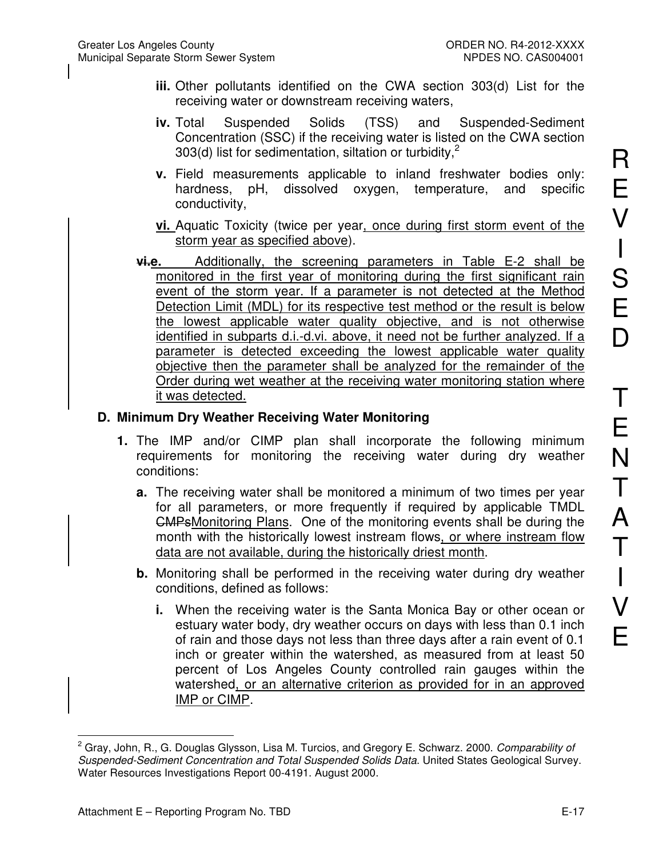- **iii.** Other pollutants identified on the CWA section 303(d) List for the receiving water or downstream receiving waters,
- **iv.** Total Suspended Solids (TSS) and Suspended-Sediment Concentration (SSC) if the receiving water is listed on the CWA section 303(d) list for sedimentation, siltation or turbidity.<sup>2</sup>
- **v.** Field measurements applicable to inland freshwater bodies only: hardness, pH, dissolved oxygen, temperature, and specific conductivity,
- **vi.** Aquatic Toxicity (twice per year, once during first storm event of the storm year as specified above).
- **vi.e.** Additionally, the screening parameters in Table E-2 shall be monitored in the first year of monitoring during the first significant rain event of the storm year. If a parameter is not detected at the Method Detection Limit (MDL) for its respective test method or the result is below the lowest applicable water quality objective, and is not otherwise identified in subparts d.i.-d.vi. above, it need not be further analyzed. If a parameter is detected exceeding the lowest applicable water quality objective then the parameter shall be analyzed for the remainder of the Order during wet weather at the receiving water monitoring station where it was detected.

## **D. Minimum Dry Weather Receiving Water Monitoring**

- **1.** The IMP and/or CIMP plan shall incorporate the following minimum requirements for monitoring the receiving water during dry weather conditions:
	- **a.** The receiving water shall be monitored a minimum of two times per year for all parameters, or more frequently if required by applicable TMDL CMPsMonitoring Plans. One of the monitoring events shall be during the month with the historically lowest instream flows, or where instream flow data are not available, during the historically driest month.
	- **b.** Monitoring shall be performed in the receiving water during dry weather conditions, defined as follows:
		- **i.** When the receiving water is the Santa Monica Bay or other ocean or estuary water body, dry weather occurs on days with less than 0.1 inch of rain and those days not less than three days after a rain event of 0.1 inch or greater within the watershed, as measured from at least 50 percent of Los Angeles County controlled rain gauges within the watershed, or an alternative criterion as provided for in an approved IMP or CIMP.

 $\overline{\phantom{a}}$ 2 Gray, John, R., G. Douglas Glysson, Lisa M. Turcios, and Gregory E. Schwarz. 2000. *Comparability of Suspended-Sediment Concentration and Total Suspended Solids Data*. United States Geological Survey. Water Resources Investigations Report 00-4191. August 2000.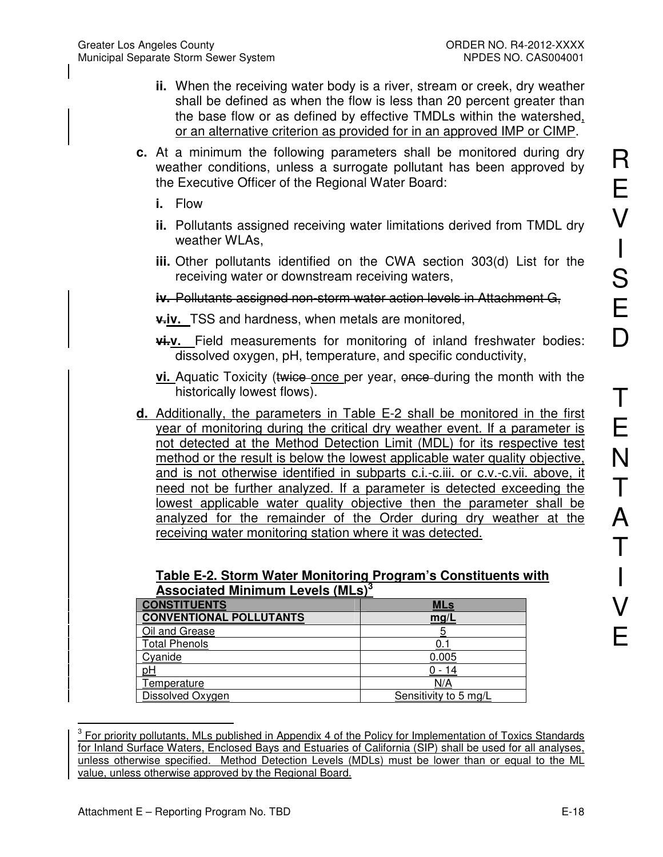- **ii.** When the receiving water body is a river, stream or creek, dry weather shall be defined as when the flow is less than 20 percent greater than the base flow or as defined by effective TMDLs within the watershed, or an alternative criterion as provided for in an approved IMP or CIMP.
- **c.** At a minimum the following parameters shall be monitored during dry weather conditions, unless a surrogate pollutant has been approved by the Executive Officer of the Regional Water Board:
	- **i.** Flow
	- **ii.** Pollutants assigned receiving water limitations derived from TMDL dry weather WLAs,
	- **iii.** Other pollutants identified on the CWA section 303(d) List for the receiving water or downstream receiving waters,
	- **iv.** Pollutants assigned non-storm water action levels in Attachment G,
	- **v.iv.** TSS and hardness, when metals are monitored,
	- **vi.v.** Field measurements for monitoring of inland freshwater bodies: dissolved oxygen, pH, temperature, and specific conductivity,
	- **vi.** Aquatic Toxicity (twice once per year, once during the month with the historically lowest flows).
- **d.** Additionally, the parameters in Table E-2 shall be monitored in the first year of monitoring during the critical dry weather event. If a parameter is not detected at the Method Detection Limit (MDL) for its respective test method or the result is below the lowest applicable water quality objective, and is not otherwise identified in subparts c.i.-c.iii. or c.v.-c.vii. above, it need not be further analyzed. If a parameter is detected exceeding the lowest applicable water quality objective then the parameter shall be analyzed for the remainder of the Order during dry weather at the receiving water monitoring station where it was detected.

| Table E-2. Storm Water Monitoring Program's Constituents with |  |
|---------------------------------------------------------------|--|
| <b>Associated Minimum Levels (MLs)</b> <sup>3</sup>           |  |

| <b>CONSTITUENTS</b>            | MLs                   |
|--------------------------------|-----------------------|
| <b>CONVENTIONAL POLLUTANTS</b> | mg/L                  |
| Oil and Grease                 |                       |
| <b>Total Phenols</b>           |                       |
| Cyanide                        | 0.005                 |
| <u>pH</u>                      |                       |
| Temperature                    | N/A                   |
| Dissolved Oxygen               | Sensitivity to 5 mg/L |

<sup>&</sup>lt;sup>3</sup> For priority pollutants, MLs published in Appendix 4 of the Policy for Implementation of Toxics Standards for Inland Surface Waters, Enclosed Bays and Estuaries of California (SIP) shall be used for all analyses, unless otherwise specified. Method Detection Levels (MDLs) must be lower than or equal to the ML value, unless otherwise approved by the Regional Board.

 $\overline{\phantom{a}}$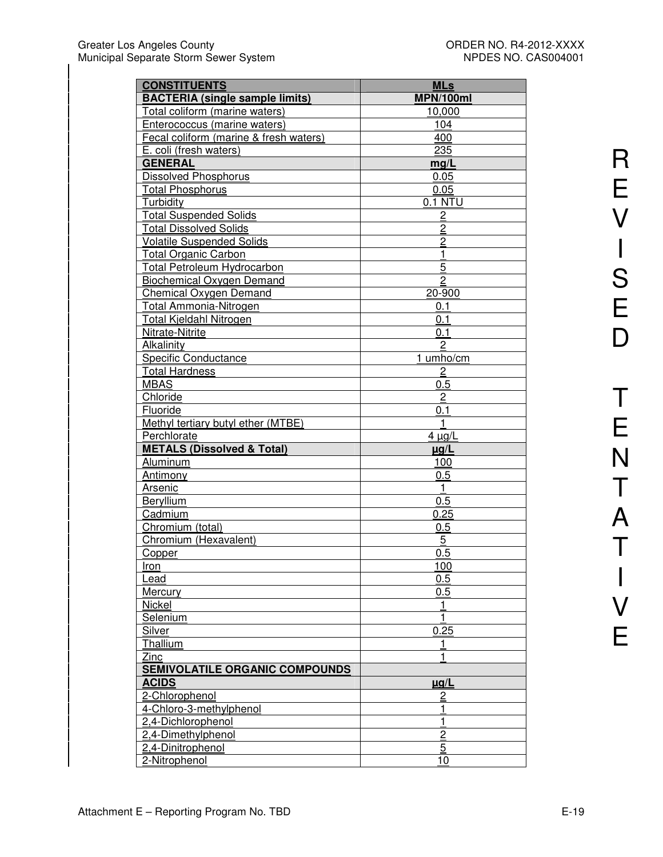| <b>CONSTITUENTS</b>                    | <b>MLs</b>     |
|----------------------------------------|----------------|
| <b>BACTERIA (single sample limits)</b> | MPN/100ml      |
| Total coliform (marine waters)         | 10,000         |
| Enterococcus (marine waters)           | 104            |
| Fecal coliform (marine & fresh waters) | 400            |
| E. coli (fresh waters)                 | 235            |
| <b>GENERAL</b>                         | mg/L           |
| <b>Dissolved Phosphorus</b>            | 0.05           |
| <b>Total Phosphorus</b>                | 0.05           |
| Turbidity                              | 0.1 NTU        |
| <b>Total Suspended Solids</b>          |                |
| <b>Total Dissolved Solids</b>          | $\overline{2}$ |
|                                        | $\overline{2}$ |
| <b>Volatile Suspended Solids</b>       | $\overline{2}$ |
| <b>Total Organic Carbon</b>            | $\mathbf{1}$   |
| <b>Total Petroleum Hydrocarbon</b>     | 5              |
| <b>Biochemical Oxygen Demand</b>       | $\overline{c}$ |
| <b>Chemical Oxygen Demand</b>          | 20-900         |
| Total Ammonia-Nitrogen                 | 0.1            |
| Total Kjeldahl Nitrogen                | 0.1            |
| Nitrate-Nitrite                        | 0.1            |
| Alkalinity                             | $\overline{2}$ |
| Specific Conductance                   | 1 umho/cm      |
| <b>Total Hardness</b>                  | $\overline{c}$ |
| <b>MBAS</b>                            | 0.5            |
| Chloride                               | $\overline{c}$ |
| Fluoride                               | 0.1            |
| Methyl tertiary butyl ether (MTBE)     | $\mathbf{1}$   |
| Perchlorate                            | $4 \mu g/L$    |
| <b>METALS (Dissolved &amp; Total)</b>  | $\mu$ g/L      |
| Aluminum                               | 100            |
| <b>Antimony</b>                        | 0.5            |
| Arsenic                                | $\mathbf{1}$   |
| <b>Beryllium</b>                       | 0.5            |
| Cadmium                                | 0.25           |
| Chromium (total)                       | 0.5            |
| Chromium (Hexavalent)                  | 5              |
| Copper                                 | 0.5            |
| Iron                                   | 100            |
| Lead                                   | 0.5            |
| Mercury                                | 0.5            |
| Nickel                                 | 1              |
| Selenium                               | $\mathbf{1}$   |
| Silver                                 | 0.25           |
| Thallium                               | 1              |
| Zinc                                   | 1              |
| <b>SEMIVOLATILE ORGANIC COMPOUNDS</b>  |                |
| <b>ACIDS</b>                           | $\mu$ g/L      |
| 2-Chlorophenol                         | $\overline{2}$ |
| 4-Chloro-3-methylphenol                | 1              |
| 2,4-Dichlorophenol                     | 1              |
| 2,4-Dimethylphenol                     | $\overline{2}$ |
| 2,4-Dinitrophenol                      | 5              |
| 2-Nitrophenol                          | 10             |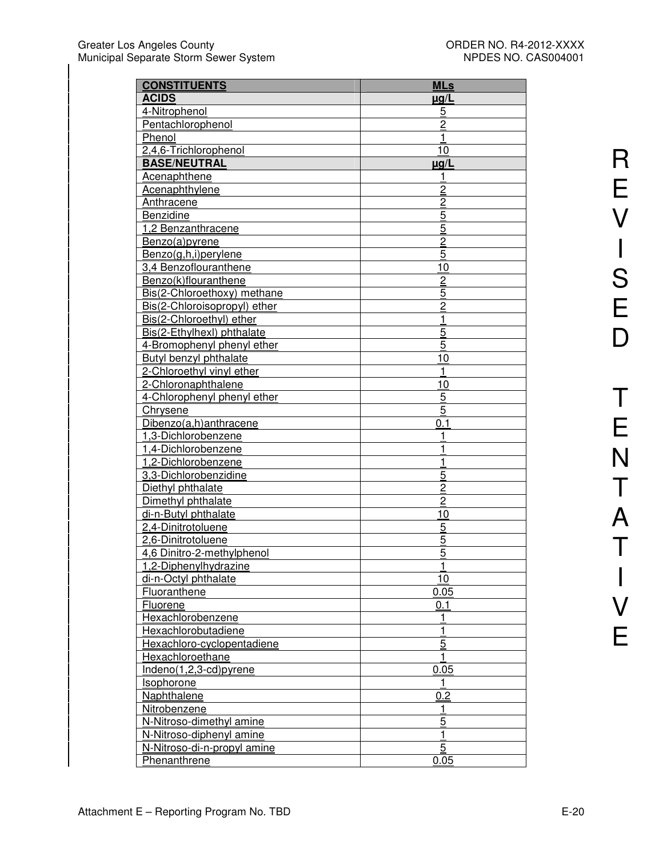| <b>CONSTITUENTS</b>           | <b>MLs</b>     |
|-------------------------------|----------------|
| <b>ACIDS</b>                  | $\mu$ g/L      |
| 4-Nitrophenol                 | <u>5</u>       |
| Pentachlorophenol             | $\overline{2}$ |
| Phenol                        |                |
| 2,4,6-Trichlorophenol         | 10             |
| <b>BASE/NEUTRAL</b>           | $\mu$ g/L      |
| <b>Acenaphthene</b>           |                |
| <b>Acenaphthylene</b>         | $\overline{2}$ |
| Anthracene                    | $\overline{2}$ |
| Benzidine                     | 5              |
| 1,2 Benzanthracene            | 5              |
| Benzo(a)pyrene                | $\overline{2}$ |
| Benzo(g,h,i)perylene          | 5              |
| 3,4 Benzoflouranthene         | 10             |
| Benzo(k)flouranthene          | $\overline{2}$ |
| Bis(2-Chloroethoxy) methane   | 5              |
| Bis(2-Chloroisopropyl) ether  | $\overline{c}$ |
| Bis(2-Chloroethyl) ether      | 1              |
| Bis(2-Ethylhexl) phthalate    | 5              |
| 4-Bromophenyl phenyl ether    | 5              |
| <b>Butyl benzyl phthalate</b> | 10             |
| 2-Chloroethyl vinyl ether     |                |
| 2-Chloronaphthalene           | 10             |
| 4-Chlorophenyl phenyl ether   | 5              |
| <b>Chrysene</b>               | 5              |
| Dibenzo(a,h)anthracene        | 0.1            |
| 1,3-Dichlorobenzene           |                |
| 1,4-Dichlorobenzene           |                |
| 1,2-Dichlorobenzene           |                |
| 3,3-Dichlorobenzidine         | 5              |
| Diethyl phthalate             | $\overline{2}$ |
| Dimethyl phthalate            | $\overline{c}$ |
| di-n-Butyl phthalate          | 10             |
| 2,4-Dinitrotoluene            | 5              |
| 2,6-Dinitrotoluene            | 5              |
| 4,6 Dinitro-2-methylphenol    | 5              |
| <u>1,2-Diphenylhydrazine</u>  | 1              |
| di-n-Octyl phthalate          | 10             |
| Fluoranthene                  | 0.05           |
| Fluorene                      | 0.1            |
| Hexachlorobenzene             | 1              |
| Hexachlorobutadiene           |                |
| Hexachloro-cyclopentadiene    | $\overline{5}$ |
| Hexachloroethane              |                |
| Indeno(1,2,3-cd)pyrene        | 0.05           |
| Isophorone                    |                |
| Naphthalene                   | 0.2            |
| Nitrobenzene                  | 1              |
| N-Nitroso-dimethyl amine      | $\overline{5}$ |
| N-Nitroso-diphenyl amine      | 1              |
| N-Nitroso-di-n-propyl amine   | 5              |
| Phenanthrene                  | 0.05           |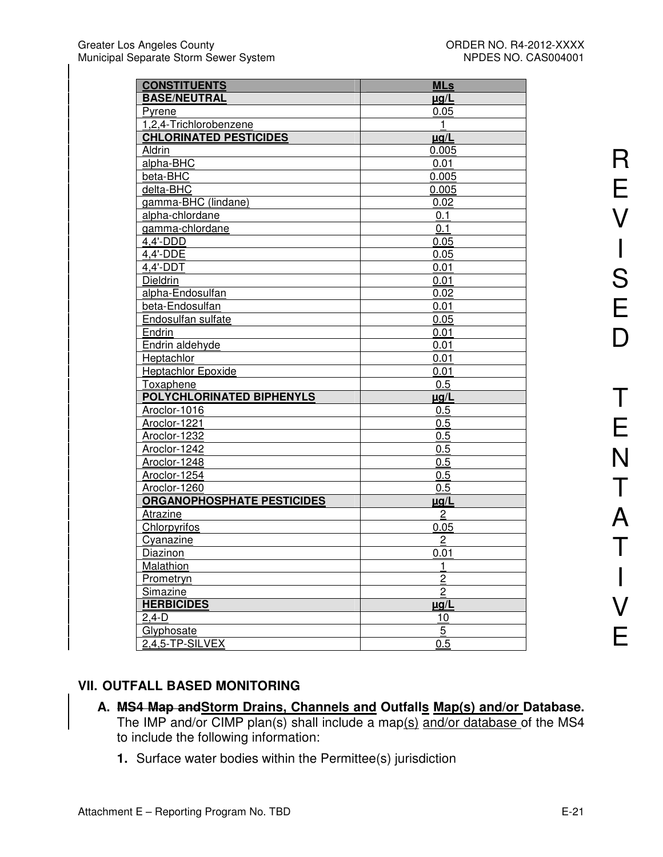| <b>CONSTITUENTS</b>               | <b>MLs</b>     |
|-----------------------------------|----------------|
| <b>BASE/NEUTRAL</b>               | $\mu$ g/L      |
| Pyrene                            | 0.05           |
| 1,2,4-Trichlorobenzene            | 1              |
| <b>CHLORINATED PESTICIDES</b>     | $\mu$ g/L      |
| Aldrin                            | 0.005          |
| alpha-BHC                         | 0.01           |
| beta-BHC                          | 0.005          |
| delta-BHC                         | 0.005          |
| gamma-BHC (lindane)               | 0.02           |
| alpha-chlordane                   | 0.1            |
| gamma-chlordane                   | 0.1            |
| $4,4'$ -DDD                       | 0.05           |
| 4,4'-DDE                          | 0.05           |
| $4,4'$ -DDT                       | 0.01           |
| Dieldrin                          | 0.01           |
| alpha-Endosulfan                  | 0.02           |
| beta-Endosulfan                   | 0.01           |
| Endosulfan sulfate                | 0.05           |
| Endrin                            | 0.01           |
| Endrin aldehyde                   | 0.01           |
| Heptachlor                        | 0.01           |
| <b>Heptachlor Epoxide</b>         | 0.01           |
| <b>Toxaphene</b>                  | 0.5            |
| POLYCHLORINATED BIPHENYLS         | <u>µg/L</u>    |
| Aroclor-1016                      | 0.5            |
| Aroclor-1221                      | 0.5            |
| Aroclor-1232                      | 0.5            |
| Aroclor-1242                      | 0.5            |
| Aroclor-1248                      | 0.5            |
| Aroclor-1254                      | 0.5            |
| Aroclor-1260                      | 0.5            |
| <b>ORGANOPHOSPHATE PESTICIDES</b> | $\mu$ g/L      |
| Atrazine                          | 2              |
| Chlorpyrifos                      | 0.05           |
| Cyanazine                         | 2              |
| <b>Diazinon</b>                   | 0.01           |
| Malathion                         |                |
| <b>Prometryn</b>                  | $\overline{2}$ |
| Simazine                          | $\overline{c}$ |
| <b>HERBICIDES</b>                 | ug/L           |
| 2,4-D                             | 10             |
| Glyphosate                        | 5              |
| 2,4,5-TP-SILVEX                   | 0.5            |

# **VII. OUTFALL BASED MONITORING**

### **A. MS4 Map andStorm Drains, Channels and Outfalls Map(s) and/or Database.**  The IMP and/or CIMP plan(s) shall include a map(s) and/or database of the MS4 to include the following information:

**1.** Surface water bodies within the Permittee(s) jurisdiction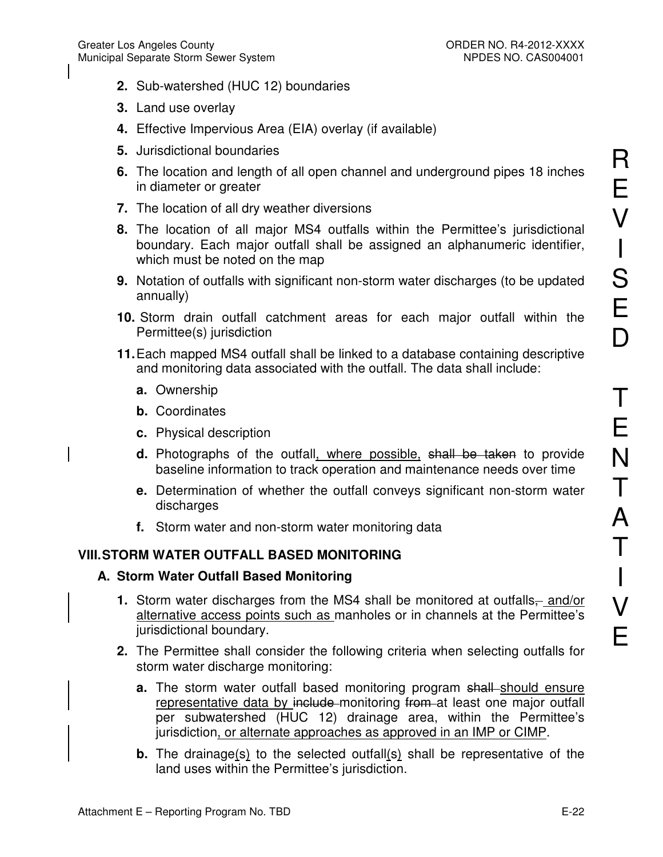- **2.** Sub-watershed (HUC 12) boundaries
- **3.** Land use overlay
- **4.** Effective Impervious Area (EIA) overlay (if available)
- **5.** Jurisdictional boundaries
- **6.** The location and length of all open channel and underground pipes 18 inches in diameter or greater
- **7.** The location of all dry weather diversions
- **8.** The location of all major MS4 outfalls within the Permittee's jurisdictional boundary. Each major outfall shall be assigned an alphanumeric identifier, which must be noted on the map
- **9.** Notation of outfalls with significant non-storm water discharges (to be updated annually)
- **10.** Storm drain outfall catchment areas for each major outfall within the Permittee(s) jurisdiction
- **11.** Each mapped MS4 outfall shall be linked to a database containing descriptive and monitoring data associated with the outfall. The data shall include:
	- **a.** Ownership
	- **b.** Coordinates
	- **c.** Physical description
	- **d.** Photographs of the outfall, where possible, shall be taken to provide baseline information to track operation and maintenance needs over time
	- **e.** Determination of whether the outfall conveys significant non-storm water discharges
	- **f.** Storm water and non-storm water monitoring data

# **VIII. STORM WATER OUTFALL BASED MONITORING**

# **A. Storm Water Outfall Based Monitoring**

- **1.** Storm water discharges from the MS4 shall be monitored at outfalls<sub></sub> and/or alternative access points such as manholes or in channels at the Permittee's jurisdictional boundary.
- **2.** The Permittee shall consider the following criteria when selecting outfalls for storm water discharge monitoring:
	- **a.** The storm water outfall based monitoring program shall should ensure representative data by include monitoring from at least one major outfall per subwatershed (HUC 12) drainage area, within the Permittee's jurisdiction, or alternate approaches as approved in an IMP or CIMP.
	- **b.** The drainage(s) to the selected outfall(s) shall be representative of the land uses within the Permittee's jurisdiction.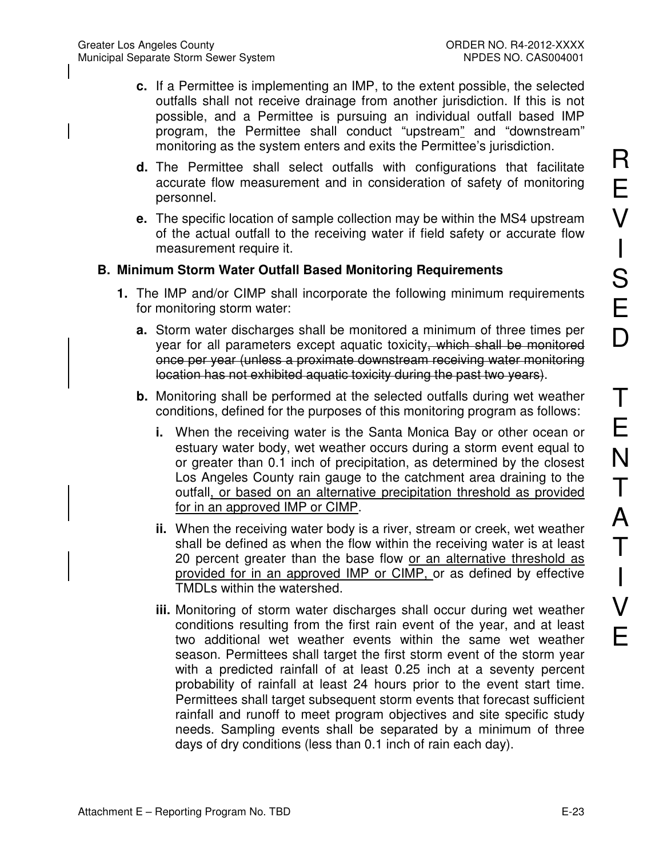- **c.** If a Permittee is implementing an IMP, to the extent possible, the selected outfalls shall not receive drainage from another jurisdiction. If this is not possible, and a Permittee is pursuing an individual outfall based IMP program, the Permittee shall conduct "upstream" and "downstream" monitoring as the system enters and exits the Permittee's jurisdiction.
- **d.** The Permittee shall select outfalls with configurations that facilitate accurate flow measurement and in consideration of safety of monitoring personnel.
- **e.** The specific location of sample collection may be within the MS4 upstream of the actual outfall to the receiving water if field safety or accurate flow measurement require it.

## **B. Minimum Storm Water Outfall Based Monitoring Requirements**

- **1.** The IMP and/or CIMP shall incorporate the following minimum requirements for monitoring storm water:
	- **a.** Storm water discharges shall be monitored a minimum of three times per year for all parameters except aquatic toxicity, which shall be monitored once per year (unless a proximate downstream receiving water monitoring location has not exhibited aquatic toxicity during the past two years).
	- **b.** Monitoring shall be performed at the selected outfalls during wet weather conditions, defined for the purposes of this monitoring program as follows:
		- **i.** When the receiving water is the Santa Monica Bay or other ocean or estuary water body, wet weather occurs during a storm event equal to or greater than 0.1 inch of precipitation, as determined by the closest Los Angeles County rain gauge to the catchment area draining to the outfall, or based on an alternative precipitation threshold as provided for in an approved IMP or CIMP.
		- **ii.** When the receiving water body is a river, stream or creek, wet weather shall be defined as when the flow within the receiving water is at least 20 percent greater than the base flow or an alternative threshold as provided for in an approved IMP or CIMP, or as defined by effective TMDLs within the watershed.
		- **iii.** Monitoring of storm water discharges shall occur during wet weather conditions resulting from the first rain event of the year, and at least two additional wet weather events within the same wet weather season. Permittees shall target the first storm event of the storm year with a predicted rainfall of at least 0.25 inch at a seventy percent probability of rainfall at least 24 hours prior to the event start time. Permittees shall target subsequent storm events that forecast sufficient rainfall and runoff to meet program objectives and site specific study needs. Sampling events shall be separated by a minimum of three days of dry conditions (less than 0.1 inch of rain each day).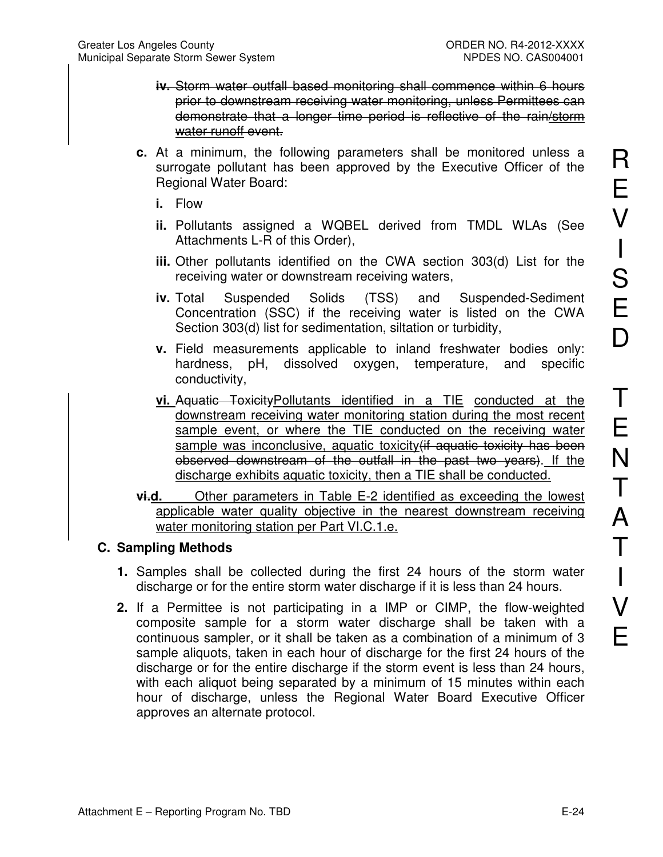- **iv.** Storm water outfall based monitoring shall commence within 6 hours prior to downstream receiving water monitoring, unless Permittees can demonstrate that a longer time period is reflective of the rain/storm water runoff event.
- **c.** At a minimum, the following parameters shall be monitored unless a surrogate pollutant has been approved by the Executive Officer of the Regional Water Board:
	- **i.** Flow
	- **ii.** Pollutants assigned a WQBEL derived from TMDL WLAs (See Attachments L-R of this Order),
	- **iii.** Other pollutants identified on the CWA section 303(d) List for the receiving water or downstream receiving waters,
	- **iv.** Total Suspended Solids (TSS) and Suspended-Sediment Concentration (SSC) if the receiving water is listed on the CWA Section 303(d) list for sedimentation, siltation or turbidity,
	- **v.** Field measurements applicable to inland freshwater bodies only: hardness, pH, dissolved oxygen, temperature, and specific conductivity,
	- **vi.** Aquatic ToxicityPollutants identified in a TIE conducted at the downstream receiving water monitoring station during the most recent sample event, or where the TIE conducted on the receiving water sample was inconclusive, aquatic toxicity (if aquatic toxicity has been observed downstream of the outfall in the past two years). If the discharge exhibits aquatic toxicity, then a TIE shall be conducted.
- **vi.d.** Other parameters in Table E-2 identified as exceeding the lowest applicable water quality objective in the nearest downstream receiving water monitoring station per Part VI.C.1.e.

## **C. Sampling Methods**

- **1.** Samples shall be collected during the first 24 hours of the storm water discharge or for the entire storm water discharge if it is less than 24 hours.
- **2.** If a Permittee is not participating in a IMP or CIMP, the flow-weighted composite sample for a storm water discharge shall be taken with a continuous sampler, or it shall be taken as a combination of a minimum of 3 sample aliquots, taken in each hour of discharge for the first 24 hours of the discharge or for the entire discharge if the storm event is less than 24 hours, with each aliquot being separated by a minimum of 15 minutes within each hour of discharge, unless the Regional Water Board Executive Officer approves an alternate protocol.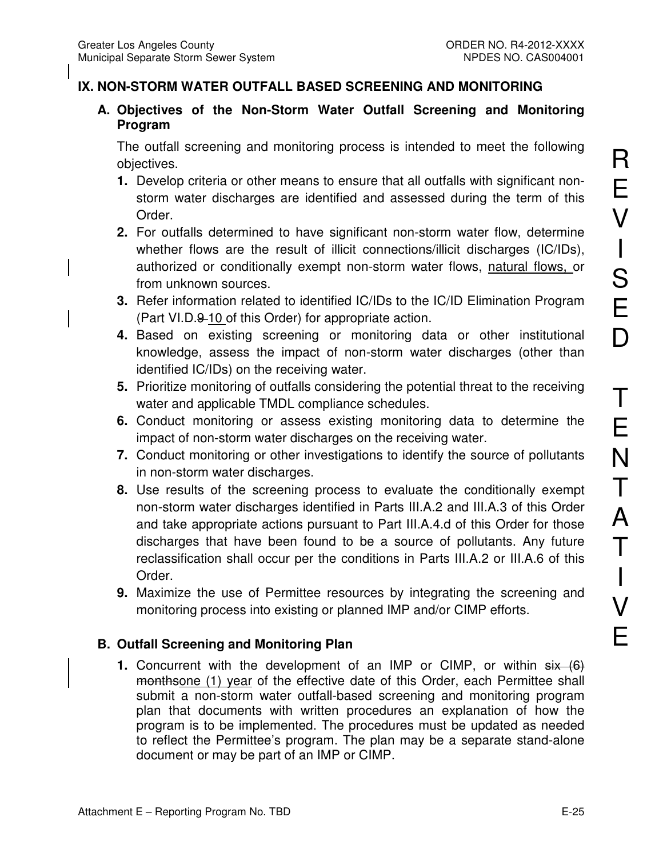# **IX. NON-STORM WATER OUTFALL BASED SCREENING AND MONITORING**

**A. Objectives of the Non-Storm Water Outfall Screening and Monitoring Program** 

The outfall screening and monitoring process is intended to meet the following objectives.

- **1.** Develop criteria or other means to ensure that all outfalls with significant nonstorm water discharges are identified and assessed during the term of this Order.
- **2.** For outfalls determined to have significant non-storm water flow, determine whether flows are the result of illicit connections/illicit discharges (IC/IDs), authorized or conditionally exempt non-storm water flows, natural flows, or from unknown sources.
- **3.** Refer information related to identified IC/IDs to the IC/ID Elimination Program (Part VI.D.9-10 of this Order) for appropriate action.
- **4.** Based on existing screening or monitoring data or other institutional knowledge, assess the impact of non-storm water discharges (other than identified IC/IDs) on the receiving water.
- **5.** Prioritize monitoring of outfalls considering the potential threat to the receiving water and applicable TMDL compliance schedules.
- **6.** Conduct monitoring or assess existing monitoring data to determine the impact of non-storm water discharges on the receiving water.
- **7.** Conduct monitoring or other investigations to identify the source of pollutants in non-storm water discharges.
- **8.** Use results of the screening process to evaluate the conditionally exempt non-storm water discharges identified in Parts III.A.2 and III.A.3 of this Order and take appropriate actions pursuant to Part III.A.4.d of this Order for those discharges that have been found to be a source of pollutants. Any future reclassification shall occur per the conditions in Parts III.A.2 or III.A.6 of this Order.
- **9.** Maximize the use of Permittee resources by integrating the screening and monitoring process into existing or planned IMP and/or CIMP efforts.

# **B. Outfall Screening and Monitoring Plan**

**1.** Concurrent with the development of an IMP or CIMP, or within  $s$ ix (6) monthsone (1) year of the effective date of this Order, each Permittee shall submit a non-storm water outfall-based screening and monitoring program plan that documents with written procedures an explanation of how the program is to be implemented. The procedures must be updated as needed to reflect the Permittee's program. The plan may be a separate stand-alone document or may be part of an IMP or CIMP.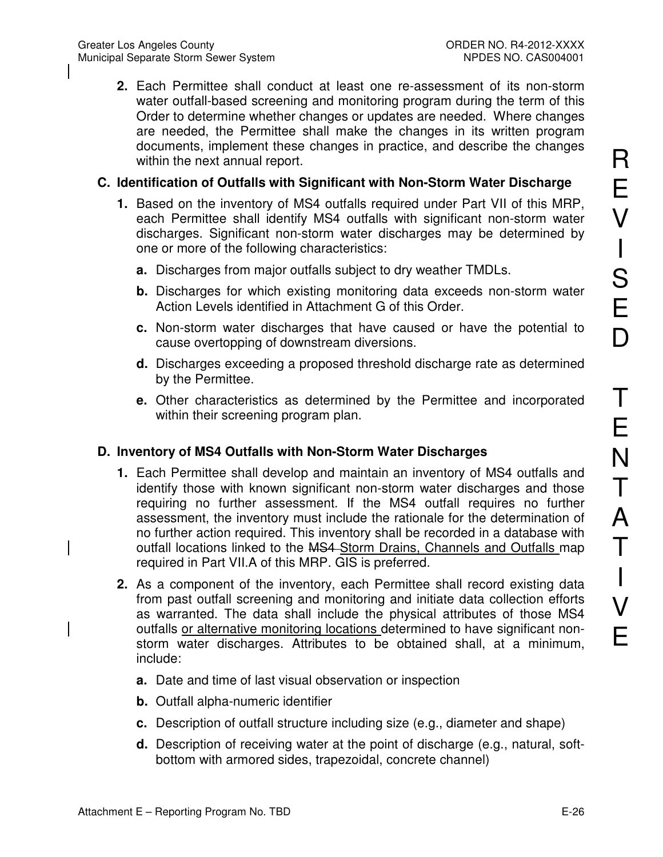**2.** Each Permittee shall conduct at least one re-assessment of its non-storm water outfall-based screening and monitoring program during the term of this Order to determine whether changes or updates are needed. Where changes are needed, the Permittee shall make the changes in its written program documents, implement these changes in practice, and describe the changes within the next annual report.

## **C. Identification of Outfalls with Significant with Non-Storm Water Discharge**

- **1.** Based on the inventory of MS4 outfalls required under Part VII of this MRP, each Permittee shall identify MS4 outfalls with significant non-storm water discharges. Significant non-storm water discharges may be determined by one or more of the following characteristics:
	- **a.** Discharges from major outfalls subject to dry weather TMDLs.
	- **b.** Discharges for which existing monitoring data exceeds non-storm water Action Levels identified in Attachment G of this Order.
	- **c.** Non-storm water discharges that have caused or have the potential to cause overtopping of downstream diversions.
	- **d.** Discharges exceeding a proposed threshold discharge rate as determined by the Permittee.
	- **e.** Other characteristics as determined by the Permittee and incorporated within their screening program plan.

## **D. Inventory of MS4 Outfalls with Non-Storm Water Discharges**

- **1.** Each Permittee shall develop and maintain an inventory of MS4 outfalls and identify those with known significant non-storm water discharges and those requiring no further assessment. If the MS4 outfall requires no further assessment, the inventory must include the rationale for the determination of no further action required. This inventory shall be recorded in a database with outfall locations linked to the MS4-Storm Drains, Channels and Outfalls map required in Part VII.A of this MRP. GIS is preferred.
- **2.** As a component of the inventory, each Permittee shall record existing data from past outfall screening and monitoring and initiate data collection efforts as warranted. The data shall include the physical attributes of those MS4 outfalls or alternative monitoring locations determined to have significant nonstorm water discharges. Attributes to be obtained shall, at a minimum, include:
	- **a.** Date and time of last visual observation or inspection
	- **b.** Outfall alpha-numeric identifier
	- **c.** Description of outfall structure including size (e.g., diameter and shape)
	- **d.** Description of receiving water at the point of discharge (e.g., natural, softbottom with armored sides, trapezoidal, concrete channel)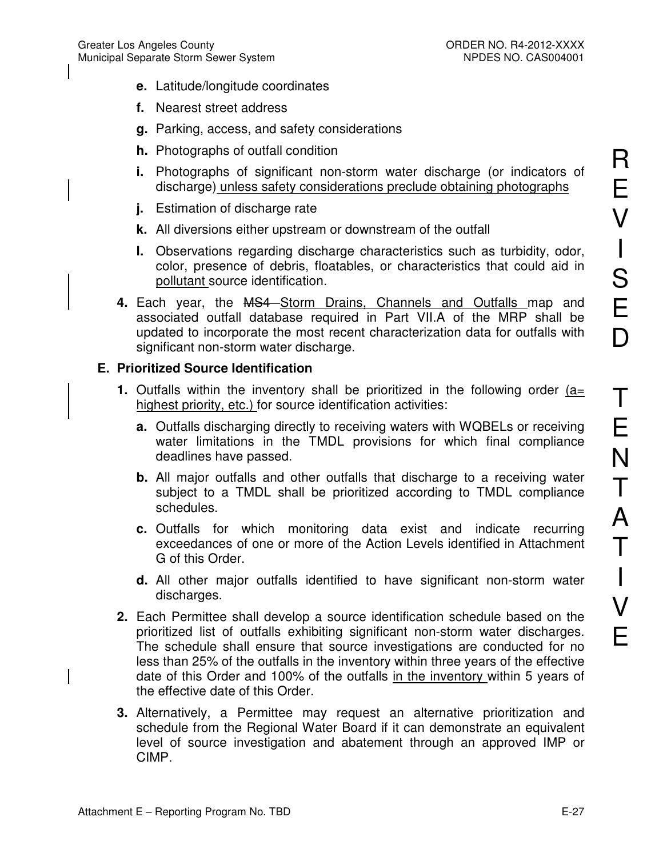- **e.** Latitude/longitude coordinates
- **f.** Nearest street address
- **g.** Parking, access, and safety considerations
- **h.** Photographs of outfall condition
- **i.** Photographs of significant non-storm water discharge (or indicators of discharge) unless safety considerations preclude obtaining photographs
- **j.** Estimation of discharge rate
- **k.** All diversions either upstream or downstream of the outfall
- **l.** Observations regarding discharge characteristics such as turbidity, odor, color, presence of debris, floatables, or characteristics that could aid in pollutant source identification.
- 4. Each year, the MS4 Storm Drains, Channels and Outfalls map and associated outfall database required in Part VII.A of the MRP shall be updated to incorporate the most recent characterization data for outfalls with significant non-storm water discharge.

### **E. Prioritized Source Identification**

- **1.** Outfalls within the inventory shall be prioritized in the following order (a= highest priority, etc.) for source identification activities:
	- **a.** Outfalls discharging directly to receiving waters with WQBELs or receiving water limitations in the TMDL provisions for which final compliance deadlines have passed.
	- **b.** All major outfalls and other outfalls that discharge to a receiving water subject to a TMDL shall be prioritized according to TMDL compliance schedules.
	- **c.** Outfalls for which monitoring data exist and indicate recurring exceedances of one or more of the Action Levels identified in Attachment G of this Order.
	- **d.** All other major outfalls identified to have significant non-storm water discharges.
- **2.** Each Permittee shall develop a source identification schedule based on the prioritized list of outfalls exhibiting significant non-storm water discharges. The schedule shall ensure that source investigations are conducted for no less than 25% of the outfalls in the inventory within three years of the effective date of this Order and 100% of the outfalls in the inventory within 5 years of the effective date of this Order.
- **3.** Alternatively, a Permittee may request an alternative prioritization and schedule from the Regional Water Board if it can demonstrate an equivalent level of source investigation and abatement through an approved IMP or CIMP.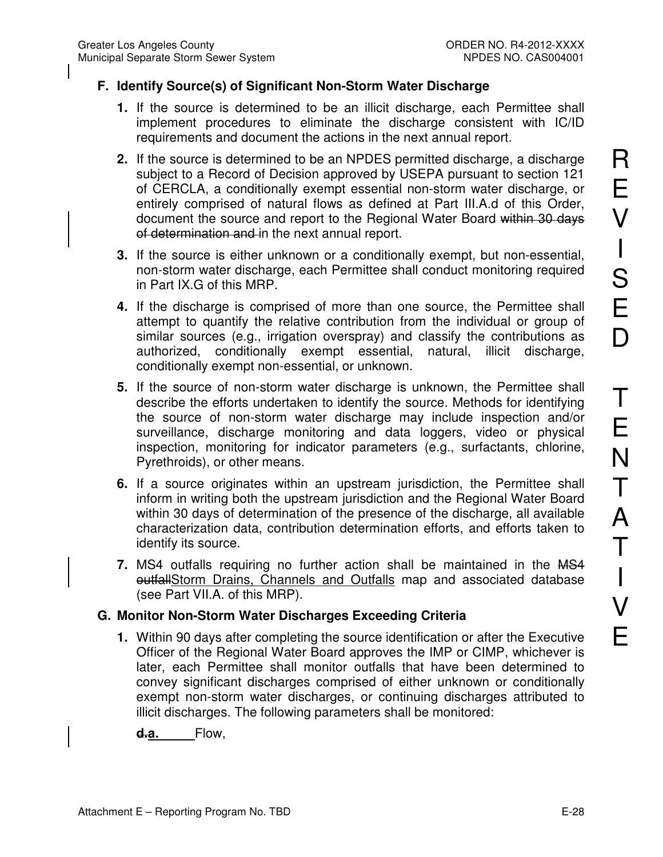## **F. Identify Source(s) of Significant Non-Storm Water Discharge**

- **1.** If the source is determined to be an illicit discharge, each Permittee shall implement procedures to eliminate the discharge consistent with IC/ID requirements and document the actions in the next annual report.
- **2.** If the source is determined to be an NPDES permitted discharge, a discharge subject to a Record of Decision approved by USEPA pursuant to section 121 of CERCLA, a conditionally exempt essential non-storm water discharge, or entirely comprised of natural flows as defined at Part III.A.d of this Order, document the source and report to the Regional Water Board within 30 days of determination and in the next annual report.
- **3.** If the source is either unknown or a conditionally exempt, but non-essential, non-storm water discharge, each Permittee shall conduct monitoring required in Part IX.G of this MRP.
- **4.** If the discharge is comprised of more than one source, the Permittee shall attempt to quantify the relative contribution from the individual or group of similar sources (e.g., irrigation overspray) and classify the contributions as authorized, conditionally exempt essential, natural, illicit discharge, conditionally exempt non-essential, or unknown.
- **5.** If the source of non-storm water discharge is unknown, the Permittee shall describe the efforts undertaken to identify the source. Methods for identifying the source of non-storm water discharge may include inspection and/or surveillance, discharge monitoring and data loggers, video or physical inspection, monitoring for indicator parameters (e.g., surfactants, chlorine, Pyrethroids), or other means.
- **6.** If a source originates within an upstream jurisdiction, the Permittee shall inform in writing both the upstream jurisdiction and the Regional Water Board within 30 days of determination of the presence of the discharge, all available characterization data, contribution determination efforts, and efforts taken to identify its source.
- **7.** MS4 outfalls requiring no further action shall be maintained in the MS4 outfallStorm Drains, Channels and Outfalls map and associated database (see Part VII.A. of this MRP).

## **G. Monitor Non-Storm Water Discharges Exceeding Criteria**

**1.** Within 90 days after completing the source identification or after the Executive Officer of the Regional Water Board approves the IMP or CIMP, whichever is later, each Permittee shall monitor outfalls that have been determined to convey significant discharges comprised of either unknown or conditionally exempt non-storm water discharges, or continuing discharges attributed to illicit discharges. The following parameters shall be monitored:

**d.a.** Flow,

R

E

V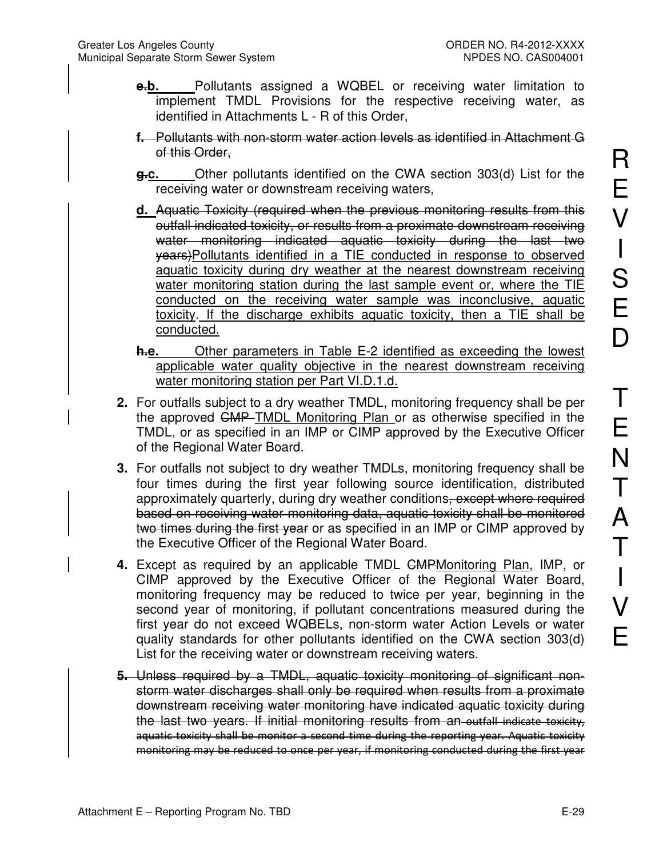- **e.b.** Pollutants assigned a WQBEL or receiving water limitation to implement TMDL Provisions for the respective receiving water, as identified in Attachments L - R of this Order,
- **f.** Pollutants with non-storm water action levels as identified in Attachment G of this Order,
- **g.c.** Other pollutants identified on the CWA section 303(d) List for the receiving water or downstream receiving waters,
- **d.** Aquatic Toxicity (required when the previous monitoring results from this outfall indicated toxicity, or results from a proximate downstream receiving water monitoring indicated aquatic toxicity during the last two years)Pollutants identified in a TIE conducted in response to observed aquatic toxicity during dry weather at the nearest downstream receiving water monitoring station during the last sample event or, where the TIE conducted on the receiving water sample was inconclusive, aquatic toxicity. If the discharge exhibits aquatic toxicity, then a TIE shall be conducted.
- **h.e.** Other parameters in Table E-2 identified as exceeding the lowest applicable water quality objective in the nearest downstream receiving water monitoring station per Part VI.D.1.d.
- **2.** For outfalls subject to a dry weather TMDL, monitoring frequency shall be per the approved CMP TMDL Monitoring Plan or as otherwise specified in the TMDL, or as specified in an IMP or CIMP approved by the Executive Officer of the Regional Water Board.
- **3.** For outfalls not subject to dry weather TMDLs, monitoring frequency shall be four times during the first year following source identification, distributed approximately quarterly, during dry weather conditions, except where required based on receiving water monitoring data, aquatic toxicity shall be monitored two times during the first year or as specified in an IMP or CIMP approved by the Executive Officer of the Regional Water Board.
- **4.** Except as required by an applicable TMDL CMPMonitoring Plan, IMP, or CIMP approved by the Executive Officer of the Regional Water Board, monitoring frequency may be reduced to twice per year, beginning in the second year of monitoring, if pollutant concentrations measured during the first year do not exceed WQBELs, non-storm water Action Levels or water quality standards for other pollutants identified on the CWA section 303(d) List for the receiving water or downstream receiving waters.
- **5.** Unless required by a TMDL, aquatic toxicity monitoring of significant nonstorm water discharges shall only be required when results from a proximate downstream receiving water monitoring have indicated aquatic toxicity during the last two years. If initial monitoring results from an outfall indicate toxicity, aquatic toxicity shall be monitor a second time during the reporting year. Aquatic toxicity monitoring may be reduced to once per year, if monitoring conducted during the first year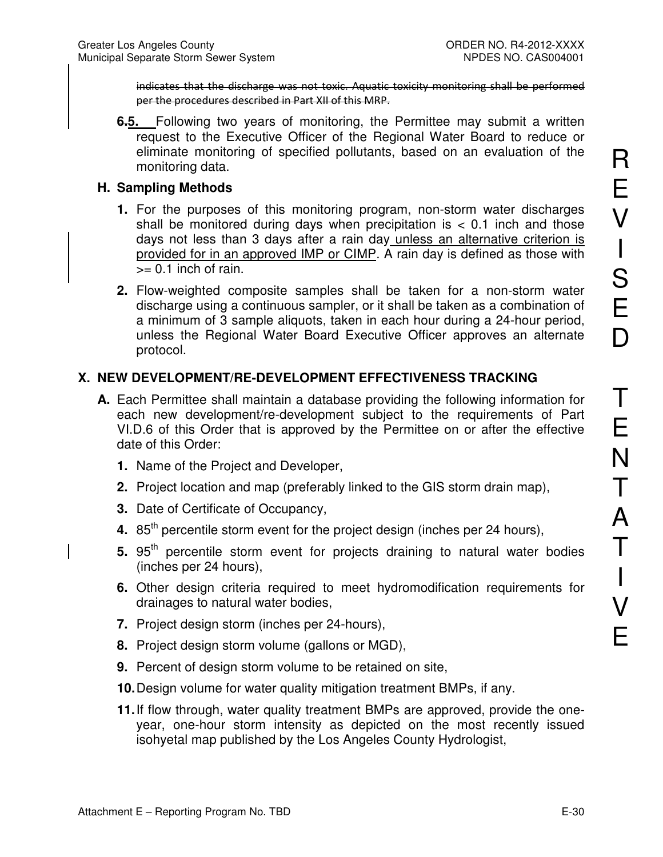indicates that the discharge was not toxic. Aquatic toxicity monitoring shall be performed per the procedures described in Part XII of this MRP.

**6.5.** Following two years of monitoring, the Permittee may submit a written request to the Executive Officer of the Regional Water Board to reduce or eliminate monitoring of specified pollutants, based on an evaluation of the monitoring data.

### **H. Sampling Methods**

- **1.** For the purposes of this monitoring program, non-storm water discharges shall be monitored during days when precipitation is  $< 0.1$  inch and those days not less than 3 days after a rain day unless an alternative criterion is provided for in an approved IMP or CIMP. A rain day is defined as those with  $>= 0.1$  inch of rain.
- **2.** Flow-weighted composite samples shall be taken for a non-storm water discharge using a continuous sampler, or it shall be taken as a combination of a minimum of 3 sample aliquots, taken in each hour during a 24-hour period, unless the Regional Water Board Executive Officer approves an alternate protocol.

## **X. NEW DEVELOPMENT/RE-DEVELOPMENT EFFECTIVENESS TRACKING**

- **A.** Each Permittee shall maintain a database providing the following information for each new development/re-development subject to the requirements of Part VI.D.6 of this Order that is approved by the Permittee on or after the effective date of this Order:
	- **1.** Name of the Project and Developer,
	- **2.** Project location and map (preferably linked to the GIS storm drain map),
	- **3.** Date of Certificate of Occupancy,
	- **4.** 85<sup>th</sup> percentile storm event for the project design (inches per 24 hours),
	- 5. 95<sup>th</sup> percentile storm event for projects draining to natural water bodies (inches per 24 hours),
	- **6.** Other design criteria required to meet hydromodification requirements for drainages to natural water bodies,
	- **7.** Project design storm (inches per 24-hours),
	- **8.** Project design storm volume (gallons or MGD),
	- **9.** Percent of design storm volume to be retained on site,
	- **10.** Design volume for water quality mitigation treatment BMPs, if any.
	- **11.** If flow through, water quality treatment BMPs are approved, provide the oneyear, one-hour storm intensity as depicted on the most recently issued isohyetal map published by the Los Angeles County Hydrologist,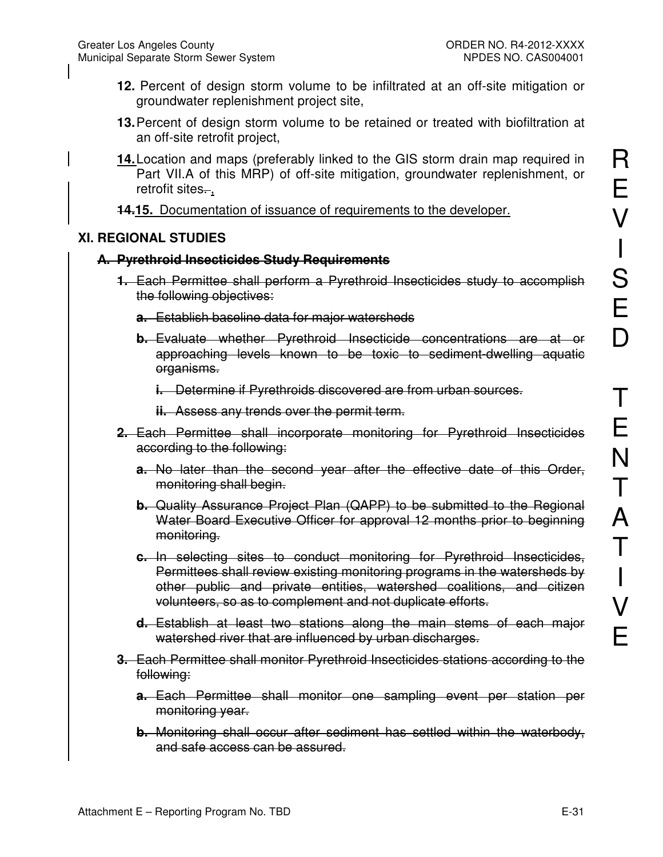- **12.** Percent of design storm volume to be infiltrated at an off-site mitigation or groundwater replenishment project site,
- **13.** Percent of design storm volume to be retained or treated with biofiltration at an off-site retrofit project,
- **14.** Location and maps (preferably linked to the GIS storm drain map required in Part VII.A of this MRP) of off-site mitigation, groundwater replenishment, or retrofit sites...
- **14.15.** Documentation of issuance of requirements to the developer.

# **XI. REGIONAL STUDIES**

# **A. Pyrethroid Insecticides Study Requirements**

- **1.** Each Permittee shall perform a Pyrethroid Insecticides study to accomplish the following objectives:
	- **a.** Establish baseline data for major watersheds
	- **b.** Evaluate whether Pyrethroid Insecticide concentrations are at or approaching levels known to be toxic to sediment-dwelling aquatic organisms.
		- **i.** Determine if Pyrethroids discovered are from urban sources.
		- **ii.** Assess any trends over the permit term.
- **2.** Each Permittee shall incorporate monitoring for Pyrethroid Insecticides according to the following:
	- **a.** No later than the second year after the effective date of this Order, monitoring shall begin.
	- **b.** Quality Assurance Project Plan (QAPP) to be submitted to the Regional Water Board Executive Officer for approval 12 months prior to beginning monitoring.
	- **c.** In selecting sites to conduct monitoring for Pyrethroid Insecticides, Permittees shall review existing monitoring programs in the watersheds by other public and private entities, watershed coalitions, and citizen volunteers, so as to complement and not duplicate efforts.
	- **d.** Establish at least two stations along the main stems of each major watershed river that are influenced by urban discharges.
- **3.** Each Permittee shall monitor Pyrethroid Insecticides stations according to the following:
	- **a.** Each Permittee shall monitor one sampling event per station per monitoring year.
	- **b.** Monitoring shall occur after sediment has settled within the waterbody, and safe access can be assured.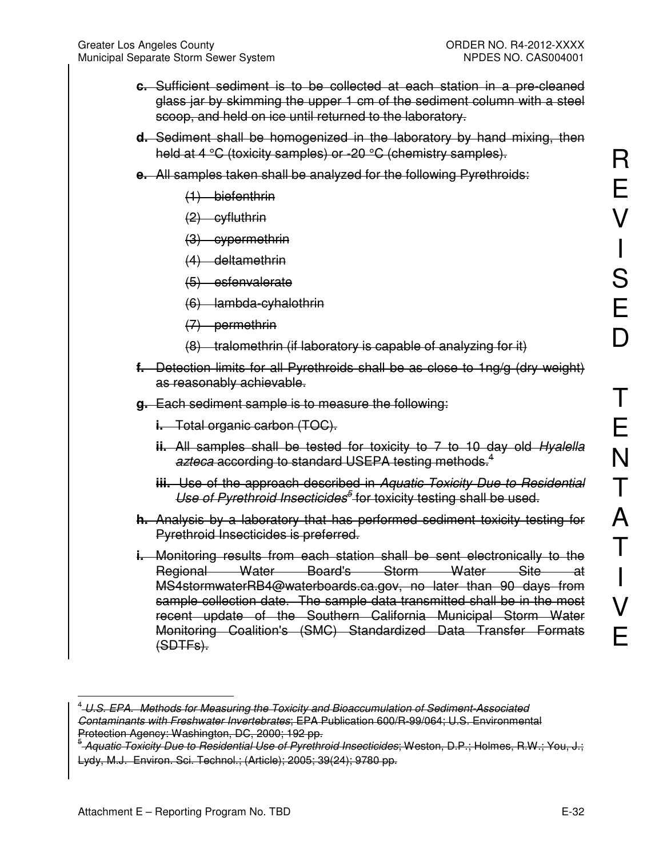- **c.** Sufficient sediment is to be collected at each station in a pre-cleaned glass jar by skimming the upper 1 cm of the sediment column with a steel scoop, and held on ice until returned to the laboratory.
- **d.** Sediment shall be homogenized in the laboratory by hand mixing, then held at 4 °C (toxicity samples) or -20 °C (chemistry samples).
- **e.** All samples taken shall be analyzed for the following Pyrethroids:
	- (1) biefenthrin
	- (2) cyfluthrin
	- (3) cypermethrin
	- (4) deltamethrin
	- (5) esfenvalerate
	- (6) lambda-cyhalothrin
	- (7) permethrin
	- $(8)$  tralomethrin (if laboratory is capable of analyzing for it)
- **f.** Detection limits for all Pyrethroids shall be as close to 1ng/g (dry weight) as reasonably achievable.
- **g.** Each sediment sample is to measure the following:
	- **i.** Total organic carbon (TOC).
	- **ii.** All samples shall be tested for toxicity to 7 to 10 day old *Hyalella azteca* according to standard USEPA testing methods.<sup>4</sup>
	- **iii.** Use of the approach described in *Aquatic Toxicity Due to Residential*  Use of Pyrethroid Insecticides<sup>5</sup> for toxicity testing shall be used.
- **h.** Analysis by a laboratory that has performed sediment toxicity testing for Pyrethroid Insecticides is preferred.
- **i.** Monitoring results from each station shall be sent electronically to the Regional Water Board's Storm Water Site at MS4stormwaterRB4@waterboards.ca.gov, no later than 90 days from sample collection date. The sample data transmitted shall be in the most recent update of the Southern California Municipal Storm Water Monitoring Coalition's (SMC) Standardized Data Transfer Formats (SDTFs).

 $\overline{a}$ 

<sup>4</sup> *U.S. EPA. Methods for Measuring the Toxicity and Bioaccumulation of Sediment-Associated Contaminants with Freshwater Invertebrates*; EPA Publication 600/R-99/064; U.S. Environmental Protection Agency: Washington, DC, 2000; 192 pp.

<sup>5</sup> *Aquatic Toxicity Due to Residential Use of Pyrethroid Insecticides*; Weston, D.P.; Holmes, R.W.; You, J.; Lydy, M.J. Environ. Sci. Technol.; (Article); 2005; 39(24); 9780 pp.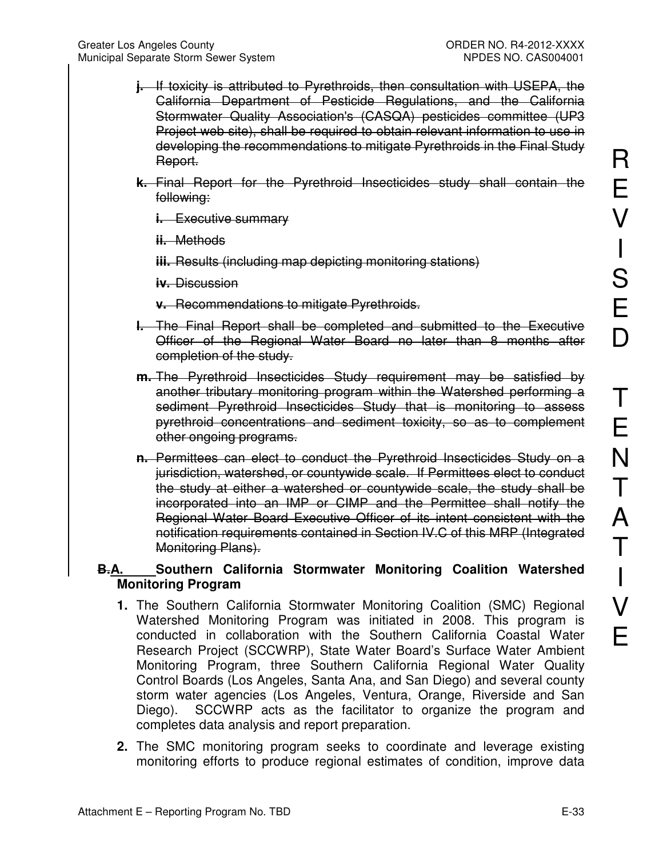- **j.** If toxicity is attributed to Pyrethroids, then consultation with USEPA, the California Department of Pesticide Regulations, and the California Stormwater Quality Association's (CASQA) pesticides committee (UP3 Project web site), shall be required to obtain relevant information to use in developing the recommendations to mitigate Pyrethroids in the Final Study Report.
- **k.** Final Report for the Pyrethroid Insecticides study shall contain the following:

**i.** Executive summary

**ii.** Methods

**iii.** Results (including map depicting monitoring stations)

**iv.** Discussion

**v.** Recommendations to mitigate Pyrethroids.

- **l.** The Final Report shall be completed and submitted to the Executive Officer of the Regional Water Board no later than 8 months after completion of the study.
- **m.** The Pyrethroid Insecticides Study requirement may be satisfied by another tributary monitoring program within the Watershed performing a sediment Pyrethroid Insecticides Study that is monitoring to assess pyrethroid concentrations and sediment toxicity, so as to complement other ongoing programs.
- **n.** Permittees can elect to conduct the Pyrethroid Insecticides Study on a jurisdiction, watershed, or countywide scale. If Permittees elect to conduct the study at either a watershed or countywide scale, the study shall be incorporated into an IMP or CIMP and the Permittee shall notify the Regional Water Board Executive Officer of its intent consistent with the notification requirements contained in Section IV.C of this MRP (Integrated Monitoring Plans).

### **B.A. Southern California Stormwater Monitoring Coalition Watershed Monitoring Program**

- **1.** The Southern California Stormwater Monitoring Coalition (SMC) Regional Watershed Monitoring Program was initiated in 2008. This program is conducted in collaboration with the Southern California Coastal Water Research Project (SCCWRP), State Water Board's Surface Water Ambient Monitoring Program, three Southern California Regional Water Quality Control Boards (Los Angeles, Santa Ana, and San Diego) and several county storm water agencies (Los Angeles, Ventura, Orange, Riverside and San Diego). SCCWRP acts as the facilitator to organize the program and completes data analysis and report preparation.
- **2.** The SMC monitoring program seeks to coordinate and leverage existing monitoring efforts to produce regional estimates of condition, improve data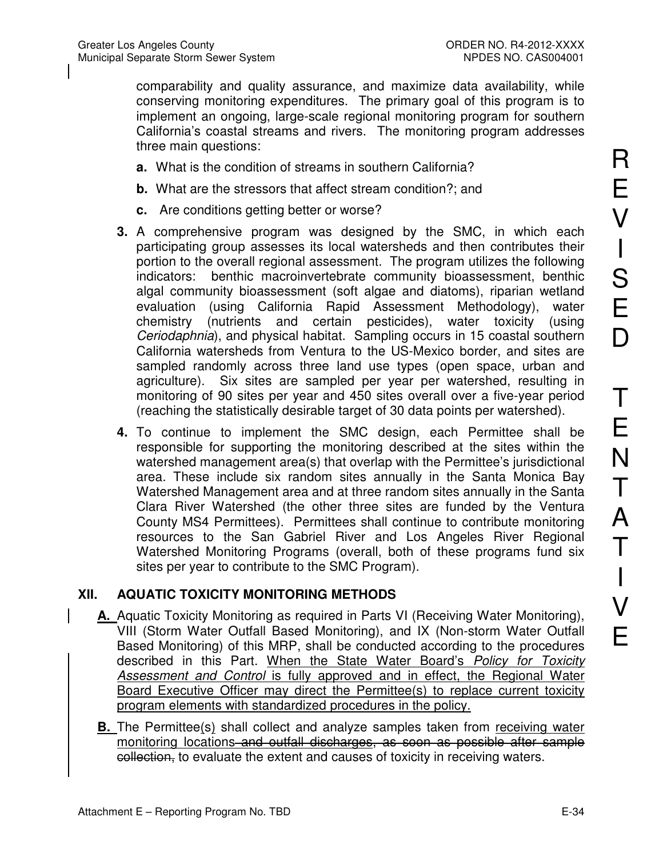comparability and quality assurance, and maximize data availability, while conserving monitoring expenditures. The primary goal of this program is to implement an ongoing, large-scale regional monitoring program for southern California's coastal streams and rivers. The monitoring program addresses three main questions:

- **a.** What is the condition of streams in southern California?
- **b.** What are the stressors that affect stream condition?; and
- **c.** Are conditions getting better or worse?
- **3.** A comprehensive program was designed by the SMC, in which each participating group assesses its local watersheds and then contributes their portion to the overall regional assessment. The program utilizes the following indicators: benthic macroinvertebrate community bioassessment, benthic algal community bioassessment (soft algae and diatoms), riparian wetland evaluation (using California Rapid Assessment Methodology), water chemistry (nutrients and certain pesticides), water toxicity (using *Ceriodaphnia*), and physical habitat. Sampling occurs in 15 coastal southern California watersheds from Ventura to the US-Mexico border, and sites are sampled randomly across three land use types (open space, urban and agriculture). Six sites are sampled per year per watershed, resulting in monitoring of 90 sites per year and 450 sites overall over a five-year period (reaching the statistically desirable target of 30 data points per watershed).
- **4.** To continue to implement the SMC design, each Permittee shall be responsible for supporting the monitoring described at the sites within the watershed management area(s) that overlap with the Permittee's jurisdictional area. These include six random sites annually in the Santa Monica Bay Watershed Management area and at three random sites annually in the Santa Clara River Watershed (the other three sites are funded by the Ventura County MS4 Permittees). Permittees shall continue to contribute monitoring resources to the San Gabriel River and Los Angeles River Regional Watershed Monitoring Programs (overall, both of these programs fund six sites per year to contribute to the SMC Program).

# **XII. AQUATIC TOXICITY MONITORING METHODS**

- **A.** Aquatic Toxicity Monitoring as required in Parts VI (Receiving Water Monitoring), VIII (Storm Water Outfall Based Monitoring), and IX (Non-storm Water Outfall Based Monitoring) of this MRP, shall be conducted according to the procedures described in this Part. When the State Water Board's *Policy for Toxicity Assessment and Control* is fully approved and in effect, the Regional Water Board Executive Officer may direct the Permittee(s) to replace current toxicity program elements with standardized procedures in the policy.
- **B.** The Permittee(s) shall collect and analyze samples taken from receiving water monitoring locations and outfall discharges, as soon as possible after sample collection, to evaluate the extent and causes of toxicity in receiving waters.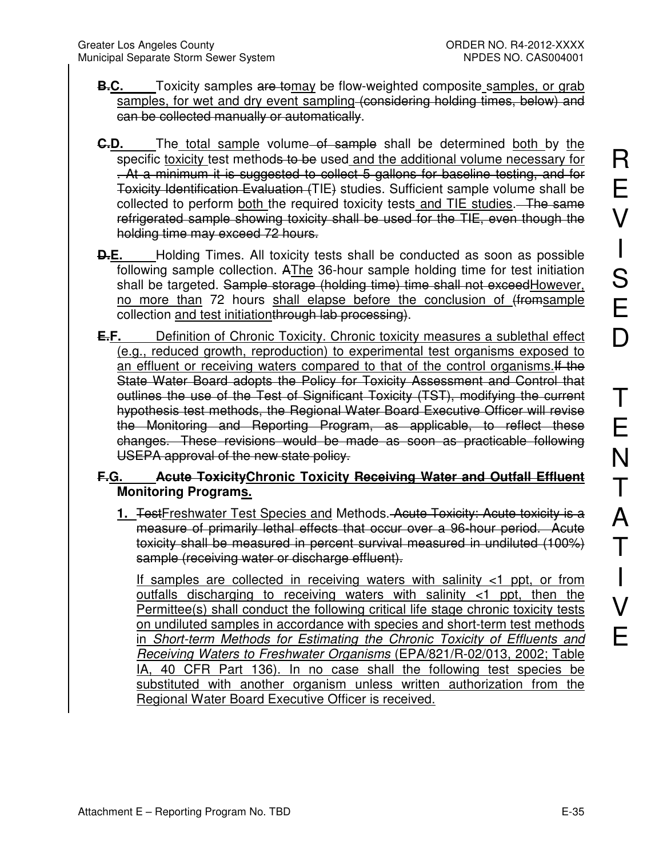- **B.C.** Toxicity samples are tomay be flow-weighted composite samples, or grab samples, for wet and dry event sampling (considering holding times, below) and can be collected manually or automatically.
- **C.D.** The total sample volume of sample shall be determined both by the specific toxicity test methods to be used and the additional volume necessary for . At a minimum it is suggested to collect 5 gallons for baseline testing, and for Toxicity Identification Evaluation (TIE) studies. Sufficient sample volume shall be collected to perform both the required toxicity tests and TIE studies. The same refrigerated sample showing toxicity shall be used for the TIE, even though the holding time may exceed 72 hours.
- **D.E.** Holding Times. All toxicity tests shall be conducted as soon as possible following sample collection. AThe 36-hour sample holding time for test initiation shall be targeted. Sample storage (holding time) time shall not exceed However, no more than 72 hours shall elapse before the conclusion of (fromsample collection and test initiationthrough lab processing).
- **E.F.** Definition of Chronic Toxicity. Chronic toxicity measures a sublethal effect (e.g., reduced growth, reproduction) to experimental test organisms exposed to an effluent or receiving waters compared to that of the control organisms.If the State Water Board adopts the Policy for Toxicity Assessment and Control that outlines the use of the Test of Significant Toxicity (TST), modifying the current hypothesis test methods, the Regional Water Board Executive Officer will revise the Monitoring and Reporting Program, as applicable, to reflect these changes. These revisions would be made as soon as practicable following USEPA approval of the new state policy.

# **F.G. Acute ToxicityChronic Toxicity Receiving Water and Outfall Effluent Monitoring Programs.**

**1.** TestFreshwater Test Species and Methods. Acute Toxicity: Acute toxicity is a measure of primarily lethal effects that occur over a 96-hour period. Acute toxicity shall be measured in percent survival measured in undiluted (100%) sample (receiving water or discharge effluent).

If samples are collected in receiving waters with salinity <1 ppt, or from outfalls discharging to receiving waters with salinity <1 ppt, then the Permittee(s) shall conduct the following critical life stage chronic toxicity tests on undiluted samples in accordance with species and short-term test methods in *Short-term Methods for Estimating the Chronic Toxicity of Effluents and Receiving Waters to Freshwater Organisms* (EPA/821/R-02/013, 2002; Table IA, 40 CFR Part 136). In no case shall the following test species be substituted with another organism unless written authorization from the Regional Water Board Executive Officer is received.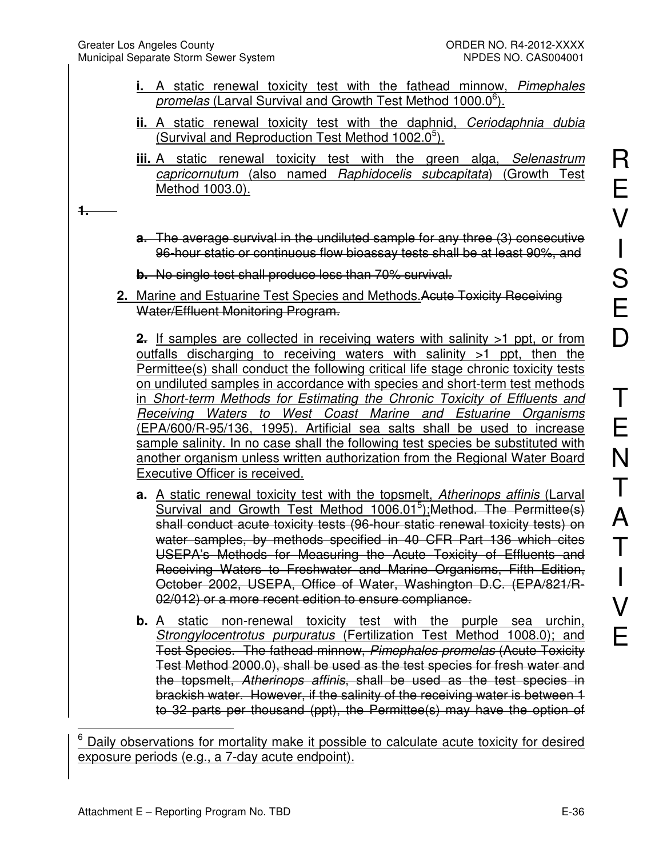- **i.** A static renewal toxicity test with the fathead minnow, *Pimephales*  promelas (Larval Survival and Growth Test Method 1000.0<sup>6</sup>).
- **ii.** A static renewal toxicity test with the daphnid, *Ceriodaphnia dubia* (Survival and Reproduction Test Method 1002.0<sup>5</sup>).
- **iii.** A static renewal toxicity test with the green alga, *Selenastrum capricornutum* (also named *Raphidocelis subcapitata*) (Growth Test Method 1003.0).

**1.**

 $\overline{\phantom{a}}$ 

- **a.** The average survival in the undiluted sample for any three (3) consecutive 96-hour static or continuous flow bioassay tests shall be at least 90%, and
- **b.** No single test shall produce less than 70% survival.
- **2.** Marine and Estuarine Test Species and Methods.Acute Toxicity Receiving Water/Effluent Monitoring Program.

**2.** If samples are collected in receiving waters with salinity >1 ppt, or from outfalls discharging to receiving waters with salinity >1 ppt, then the Permittee(s) shall conduct the following critical life stage chronic toxicity tests on undiluted samples in accordance with species and short-term test methods in *Short-term Methods for Estimating the Chronic Toxicity of Effluents and Receiving Waters to West Coast Marine and Estuarine Organisms* (EPA/600/R-95/136, 1995). Artificial sea salts shall be used to increase sample salinity. In no case shall the following test species be substituted with another organism unless written authorization from the Regional Water Board Executive Officer is received.

- **a.** A static renewal toxicity test with the topsmelt, *Atherinops affinis* (Larval Survival and Growth Test Method 1006.01<sup>5</sup>); Method. The Permittee(s) shall conduct acute toxicity tests (96-hour static renewal toxicity tests) on water samples, by methods specified in 40 CFR Part 136 which cites USEPA's Methods for Measuring the Acute Toxicity of Effluents and Receiving Waters to Freshwater and Marine Organisms, Fifth Edition, October 2002, USEPA, Office of Water, Washington D.C. (EPA/821/R-02/012) or a more recent edition to ensure compliance.
- **b.** A static non-renewal toxicity test with the purple sea urchin, *Strongylocentrotus purpuratus* (Fertilization Test Method 1008.0); and Test Species. The fathead minnow, *Pimephales promelas* (Acute Toxicity Test Method 2000.0), shall be used as the test species for fresh water and the topsmelt, *Atherinops affinis*, shall be used as the test species in brackish water. However, if the salinity of the receiving water is between 1 to 32 parts per thousand (ppt), the Permittee(s) may have the option of

6 Daily observations for mortality make it possible to calculate acute toxicity for desired exposure periods (e.g., a 7-day acute endpoint).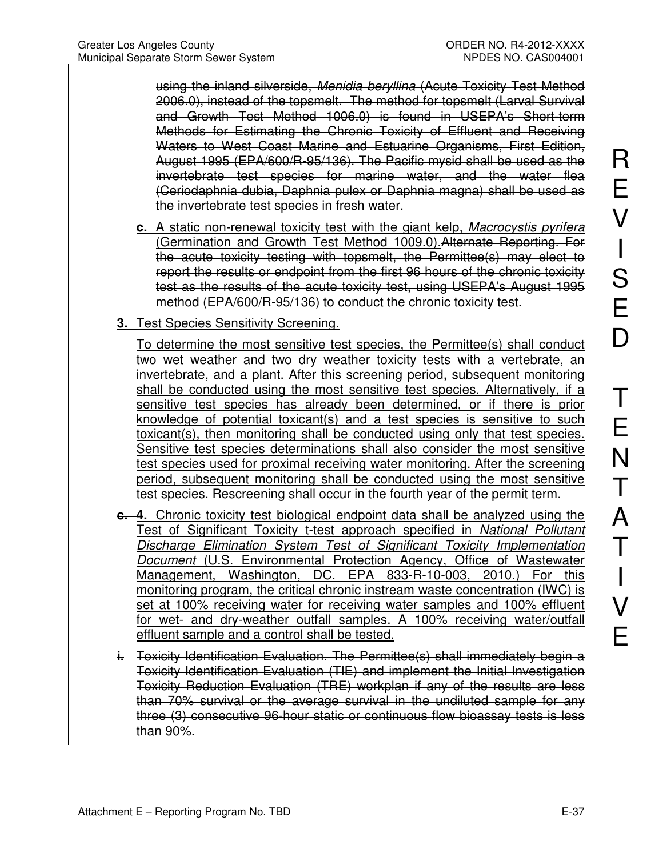using the inland silverside, *Menidia beryllina* (Acute Toxicity Test Method 2006.0), instead of the topsmelt. The method for topsmelt (Larval Survival and Growth Test Method 1006.0) is found in USEPA's Short-term Methods for Estimating the Chronic Toxicity of Effluent and Receiving Waters to West Coast Marine and Estuarine Organisms, First Edition, August 1995 (EPA/600/R-95/136). The Pacific mysid shall be used as the invertebrate test species for marine water, and the water flea (Ceriodaphnia dubia, Daphnia pulex or Daphnia magna) shall be used as the invertebrate test species in fresh water.

- **c.** A static non-renewal toxicity test with the giant kelp, *Macrocystis pyrifera* (Germination and Growth Test Method 1009.0).Alternate Reporting. For the acute toxicity testing with topsmelt, the Permittee(s) may elect to report the results or endpoint from the first 96 hours of the chronic toxicity test as the results of the acute toxicity test, using USEPA's August 1995 method (EPA/600/R-95/136) to conduct the chronic toxicity test.
- **3.** Test Species Sensitivity Screening.

To determine the most sensitive test species, the Permittee(s) shall conduct two wet weather and two dry weather toxicity tests with a vertebrate, an invertebrate, and a plant. After this screening period, subsequent monitoring shall be conducted using the most sensitive test species. Alternatively, if a sensitive test species has already been determined, or if there is prior knowledge of potential toxicant(s) and a test species is sensitive to such toxicant(s), then monitoring shall be conducted using only that test species. Sensitive test species determinations shall also consider the most sensitive test species used for proximal receiving water monitoring. After the screening period, subsequent monitoring shall be conducted using the most sensitive test species. Rescreening shall occur in the fourth year of the permit term.

- **c. 4.** Chronic toxicity test biological endpoint data shall be analyzed using the Test of Significant Toxicity t-test approach specified in *National Pollutant Discharge Elimination System Test of Significant Toxicity Implementation Document* (U.S. Environmental Protection Agency, Office of Wastewater Management, Washington, DC. EPA 833-R-10-003, 2010.) For this monitoring program, the critical chronic instream waste concentration (IWC) is set at 100% receiving water for receiving water samples and 100% effluent for wet- and dry-weather outfall samples. A 100% receiving water/outfall effluent sample and a control shall be tested.
- **i.** Toxicity Identification Evaluation. The Permittee(s) shall immediately begin a Toxicity Identification Evaluation (TIE) and implement the Initial Investigation Toxicity Reduction Evaluation (TRE) workplan if any of the results are less than 70% survival or the average survival in the undiluted sample for any three (3) consecutive 96-hour static or continuous flow bioassay tests is less than 90%.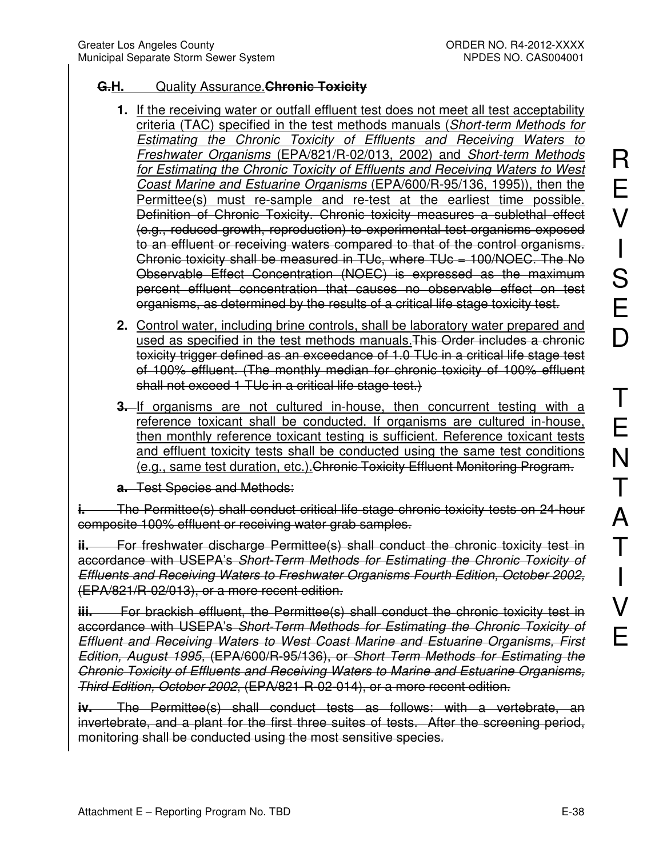#### **G.H.** Quality Assurance.**Chronic Toxicity**

- **1.** If the receiving water or outfall effluent test does not meet all test acceptability criteria (TAC) specified in the test methods manuals (*Short-term Methods for Estimating the Chronic Toxicity of Effluents and Receiving Waters to Freshwater Organisms* (EPA/821/R-02/013, 2002) and *Short-term Methods for Estimating the Chronic Toxicity of Effluents and Receiving Waters to West Coast Marine and Estuarine Organisms* (EPA/600/R-95/136, 1995)), then the Permittee(s) must re-sample and re-test at the earliest time possible. Definition of Chronic Toxicity. Chronic toxicity measures a sublethal effect (e.g., reduced growth, reproduction) to experimental test organisms exposed to an effluent or receiving waters compared to that of the control organisms. Chronic toxicity shall be measured in TUc, where TUc = 100/NOEC. The No Observable Effect Concentration (NOEC) is expressed as the maximum percent effluent concentration that causes no observable effect on test organisms, as determined by the results of a critical life stage toxicity test.
- **2.** Control water, including brine controls, shall be laboratory water prepared and used as specified in the test methods manuals.This Order includes a chronic toxicity trigger defined as an exceedance of 1.0 TUc in a critical life stage test of 100% effluent. (The monthly median for chronic toxicity of 100% effluent shall not exceed 1 TUc in a critical life stage test.)
- **3.** If organisms are not cultured in-house, then concurrent testing with a reference toxicant shall be conducted. If organisms are cultured in-house, then monthly reference toxicant testing is sufficient. Reference toxicant tests and effluent toxicity tests shall be conducted using the same test conditions (e.g., same test duration, etc.).Chronic Toxicity Effluent Monitoring Program.

**a.** Test Species and Methods:

**i.** The Permittee(s) shall conduct critical life stage chronic toxicity tests on 24-hour composite 100% effluent or receiving water grab samples.

**ii.** For freshwater discharge Permittee(s) shall conduct the chronic toxicity test in accordance with USEPA's *Short-Term Methods for Estimating the Chronic Toxicity of Effluents and Receiving Waters to Freshwater Organisms Fourth Edition, October 2002,*  (EPA/821/R-02/013), or a more recent edition.

**iii.** For brackish effluent, the Permittee(s) shall conduct the chronic toxicity test in accordance with USEPA's *Short-Term Methods for Estimating the Chronic Toxicity of Effluent and Receiving Waters to West Coast Marine and Estuarine Organisms, First Edition, August 1995,* (EPA/600/R-95/136), or *Short Term Methods for Estimating the Chronic Toxicity of Effluents and Receiving Waters to Marine and Estuarine Organisms, Third Edition, October 2002*, (EPA/821-R-02-014), or a more recent edition.

**iv.** The Permittee(s) shall conduct tests as follows: with a vertebrate, an invertebrate, and a plant for the first three suites of tests. After the screening period, monitoring shall be conducted using the most sensitive species.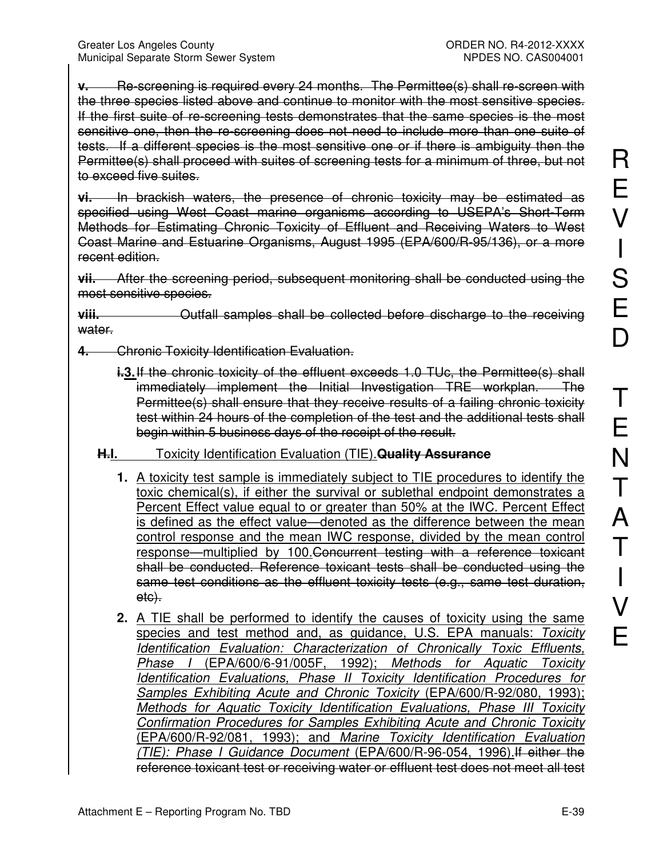**v.** Re-screening is required every 24 months. The Permittee(s) shall re-screen with the three species listed above and continue to monitor with the most sensitive species. If the first suite of re-screening tests demonstrates that the same species is the most sensitive one, then the re-screening does not need to include more than one suite of tests. If a different species is the most sensitive one or if there is ambiguity then the Permittee(s) shall proceed with suites of screening tests for a minimum of three, but not to exceed five suites.

**vi.** In brackish waters, the presence of chronic toxicity may be estimated as specified using West Coast marine organisms according to USEPA's Short-Term Methods for Estimating Chronic Toxicity of Effluent and Receiving Waters to West Coast Marine and Estuarine Organisms, August 1995 (EPA/600/R-95/136), or a more recent edition.

**vii.** After the screening period, subsequent monitoring shall be conducted using the most sensitive species.

**viii.** Outfall samples shall be collected before discharge to the receiving water.

**4.** Chronic Toxicity Identification Evaluation.

**i.3.** If the chronic toxicity of the effluent exceeds 1.0 TUc, the Permittee(s) shall immediately implement the Initial Investigation TRE workplan. The Permittee(s) shall ensure that they receive results of a failing chronic toxicity test within 24 hours of the completion of the test and the additional tests shall begin within 5 business days of the receipt of the result.

### **H.I.** Toxicity Identification Evaluation (TIE).**Quality Assurance**

- **1.** A toxicity test sample is immediately subject to TIE procedures to identify the toxic chemical(s), if either the survival or sublethal endpoint demonstrates a Percent Effect value equal to or greater than 50% at the IWC. Percent Effect is defined as the effect value—denoted as the difference between the mean control response and the mean IWC response, divided by the mean control response—multiplied by 100.Concurrent testing with a reference toxicant shall be conducted. Reference toxicant tests shall be conducted using the same test conditions as the effluent toxicity tests (e.g., same test duration, etc).
- **2.** A TIE shall be performed to identify the causes of toxicity using the same species and test method and, as guidance, U.S. EPA manuals: *Toxicity Identification Evaluation: Characterization of Chronically Toxic Effluents, Phase I* (EPA/600/6-91/005F, 1992); *Methods for Aquatic Toxicity Identification Evaluations, Phase II Toxicity Identification Procedures for Samples Exhibiting Acute and Chronic Toxicity* (EPA/600/R-92/080, 1993); *Methods for Aquatic Toxicity Identification Evaluations, Phase III Toxicity Confirmation Procedures for Samples Exhibiting Acute and Chronic Toxicity* (EPA/600/R-92/081, 1993); and *Marine Toxicity Identification Evaluation (TIE): Phase I Guidance Document* (EPA/600/R-96-054, 1996).If either the reference toxicant test or receiving water or effluent test does not meet all test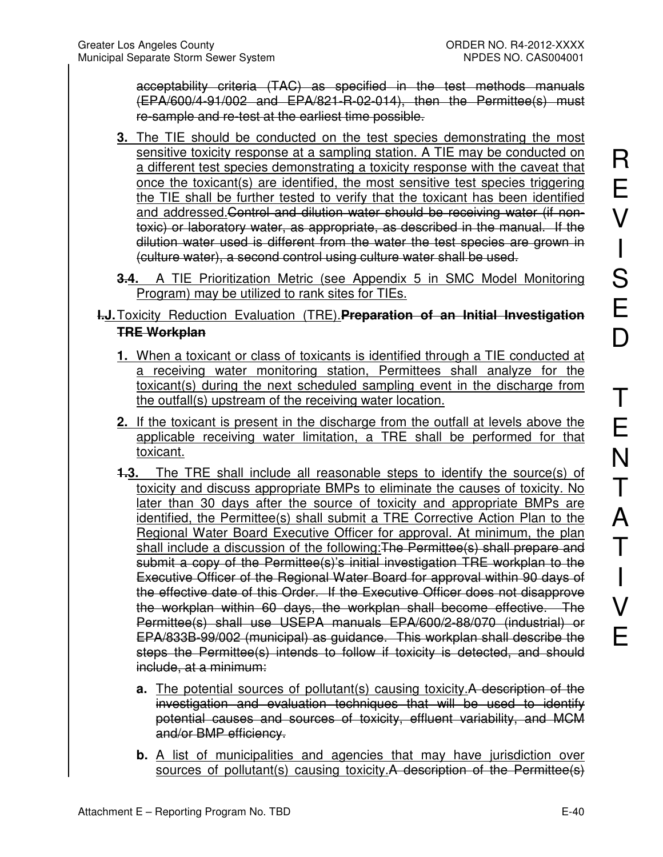acceptability criteria (TAC) as specified in the test methods manuals (EPA/600/4-91/002 and EPA/821-R-02-014), then the Permittee(s) must re-sample and re-test at the earliest time possible.

- **3.** The TIE should be conducted on the test species demonstrating the most sensitive toxicity response at a sampling station. A TIE may be conducted on a different test species demonstrating a toxicity response with the caveat that once the toxicant(s) are identified, the most sensitive test species triggering the TIE shall be further tested to verify that the toxicant has been identified and addressed.Control and dilution water should be receiving water (if nontoxic) or laboratory water, as appropriate, as described in the manual. If the dilution water used is different from the water the test species are grown in (culture water), a second control using culture water shall be used.
- **3.4.** A TIE Prioritization Metric (see Appendix 5 in SMC Model Monitoring Program) may be utilized to rank sites for TIEs.

### **I.J. Toxicity Reduction Evaluation (TRE). Preparation of an Initial Investigation TRE Workplan**

- **1.** When a toxicant or class of toxicants is identified through a TIE conducted at a receiving water monitoring station, Permittees shall analyze for the toxicant(s) during the next scheduled sampling event in the discharge from the outfall(s) upstream of the receiving water location.
- **2.** If the toxicant is present in the discharge from the outfall at levels above the applicable receiving water limitation, a TRE shall be performed for that toxicant.
- **1.3.** The TRE shall include all reasonable steps to identify the source(s) of toxicity and discuss appropriate BMPs to eliminate the causes of toxicity. No later than 30 days after the source of toxicity and appropriate BMPs are identified, the Permittee(s) shall submit a TRE Corrective Action Plan to the Regional Water Board Executive Officer for approval. At minimum, the plan shall include a discussion of the following: The Permittee(s) shall prepare and submit a copy of the Permittee(s)'s initial investigation TRE workplan to the Executive Officer of the Regional Water Board for approval within 90 days of the effective date of this Order. If the Executive Officer does not disapprove the workplan within 60 days, the workplan shall become effective. The Permittee(s) shall use USEPA manuals EPA/600/2-88/070 (industrial) or EPA/833B-99/002 (municipal) as guidance. This workplan shall describe the steps the Permittee(s) intends to follow if toxicity is detected, and should include, at a minimum:
	- **a.** The potential sources of pollutant(s) causing toxicity. A description of the investigation and evaluation techniques that will be used to identify potential causes and sources of toxicity, effluent variability, and MCM and/or BMP efficiency.
	- **b.** A list of municipalities and agencies that may have jurisdiction over sources of pollutant(s) causing toxicity.A description of the Permittee(s)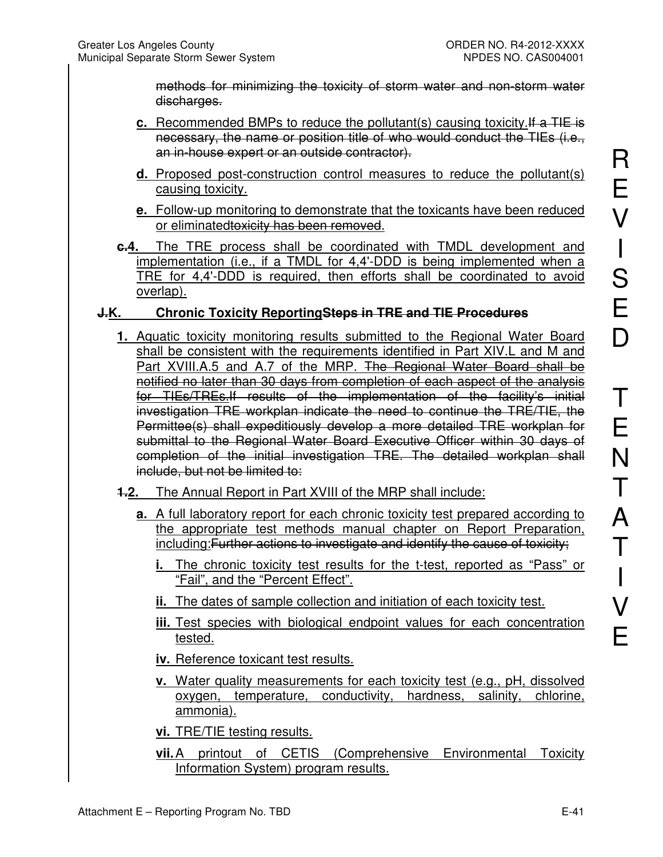methods for minimizing the toxicity of storm water and non-storm water discharges.

- **c.** Recommended BMPs to reduce the pollutant(s) causing toxicity.If a TIE is necessary, the name or position title of who would conduct the TIEs (i.e., an in-house expert or an outside contractor).
- **d.** Proposed post-construction control measures to reduce the pollutant(s) causing toxicity.
- **e.** Follow-up monitoring to demonstrate that the toxicants have been reduced or eliminatedtoxicity has been removed.
- **c.4.** The TRE process shall be coordinated with TMDL development and implementation (i.e., if a TMDL for 4,4'-DDD is being implemented when a TRE for 4,4'-DDD is required, then efforts shall be coordinated to avoid overlap).

### **J.K. Chronic Toxicity ReportingSteps in TRE and TIE Procedures**

- **1.** Aquatic toxicity monitoring results submitted to the Regional Water Board shall be consistent with the requirements identified in Part XIV.L and M and Part XVIII.A.5 and A.7 of the MRP. The Regional Water Board shall be notified no later than 30 days from completion of each aspect of the analysis for TIEs/TREs.If results of the implementation of the facility's initial investigation TRE workplan indicate the need to continue the TRE/TIE, the Permittee(s) shall expeditiously develop a more detailed TRE workplan for submittal to the Regional Water Board Executive Officer within 30 days of completion of the initial investigation TRE. The detailed workplan shall include, but not be limited to:
- **1.2.** The Annual Report in Part XVIII of the MRP shall include:
	- **a.** A full laboratory report for each chronic toxicity test prepared according to the appropriate test methods manual chapter on Report Preparation, including:Further actions to investigate and identify the cause of toxicity;
		- **i.** The chronic toxicity test results for the t-test, reported as "Pass" or "Fail", and the "Percent Effect".
		- **ii.** The dates of sample collection and initiation of each toxicity test.
		- **iii.** Test species with biological endpoint values for each concentration tested.
		- **iv.** Reference toxicant test results.
		- **v.** Water quality measurements for each toxicity test (e.g., pH, dissolved oxygen, temperature, conductivity, hardness, salinity, chlorine, ammonia).
		- **vi.** TRE/TIE testing results.
		- **vii.** A printout of CETIS (Comprehensive Environmental Toxicity Information System) program results.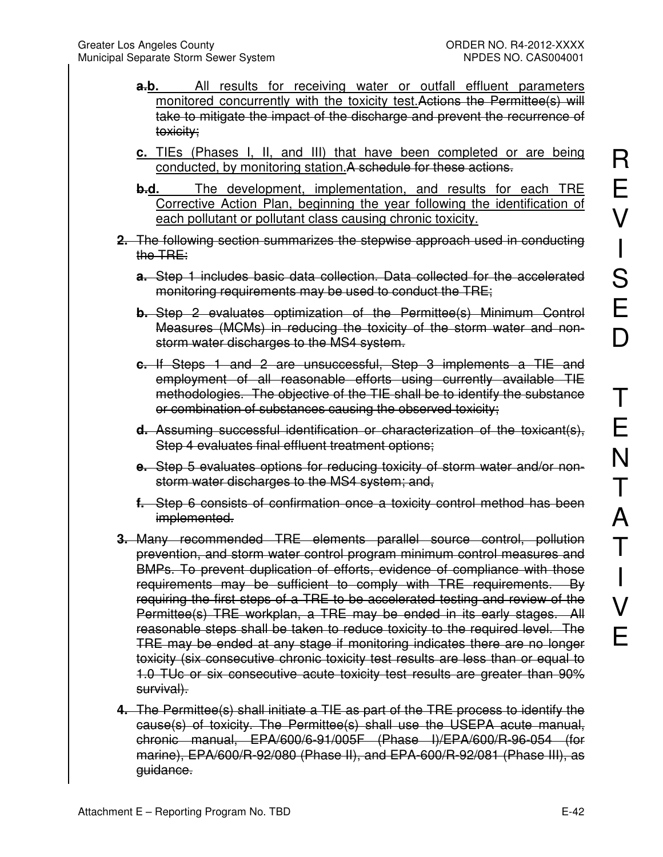- **a.b.** All results for receiving water or outfall effluent parameters monitored concurrently with the toxicity test. Actions the Permittee(s) will take to mitigate the impact of the discharge and prevent the recurrence of toxicity;
- **c.** TIEs (Phases I, II, and III) that have been completed or are being conducted, by monitoring station. A schedule for these actions.
- **b.d.** The development, implementation, and results for each TRE Corrective Action Plan, beginning the year following the identification of each pollutant or pollutant class causing chronic toxicity.
- **2.** The following section summarizes the stepwise approach used in conducting the TRE:
	- **a.** Step 1 includes basic data collection. Data collected for the accelerated monitoring requirements may be used to conduct the TRE;
	- **b.** Step 2 evaluates optimization of the Permittee(s) Minimum Control Measures (MCMs) in reducing the toxicity of the storm water and nonstorm water discharges to the MS4 system.
	- **c.** If Steps 1 and 2 are unsuccessful, Step 3 implements a TIE and employment of all reasonable efforts using currently available TIE methodologies. The objective of the TIE shall be to identify the substance or combination of substances causing the observed toxicity;
	- **d.** Assuming successful identification or characterization of the toxicant(s), Step 4 evaluates final effluent treatment options;
	- **e.** Step 5 evaluates options for reducing toxicity of storm water and/or nonstorm water discharges to the MS4 system; and,
	- **f.** Step 6 consists of confirmation once a toxicity control method has been implemented.
- **3.** Many recommended TRE elements parallel source control, pollution prevention, and storm water control program minimum control measures and BMPs. To prevent duplication of efforts, evidence of compliance with those requirements may be sufficient to comply with TRE requirements. By requiring the first steps of a TRE to be accelerated testing and review of the Permittee(s) TRE workplan, a TRE may be ended in its early stages. All reasonable steps shall be taken to reduce toxicity to the required level. The TRE may be ended at any stage if monitoring indicates there are no longer toxicity (six consecutive chronic toxicity test results are less than or equal to 1.0 TUc or six consecutive acute toxicity test results are greater than 90% survival).
- **4.** The Permittee(s) shall initiate a TIE as part of the TRE process to identify the cause(s) of toxicity. The Permittee(s) shall use the USEPA acute manual, chronic manual, EPA/600/6-91/005F (Phase I)/EPA/600/R-96-054 (for marine), EPA/600/R-92/080 (Phase II), and EPA-600/R-92/081 (Phase III), as guidance.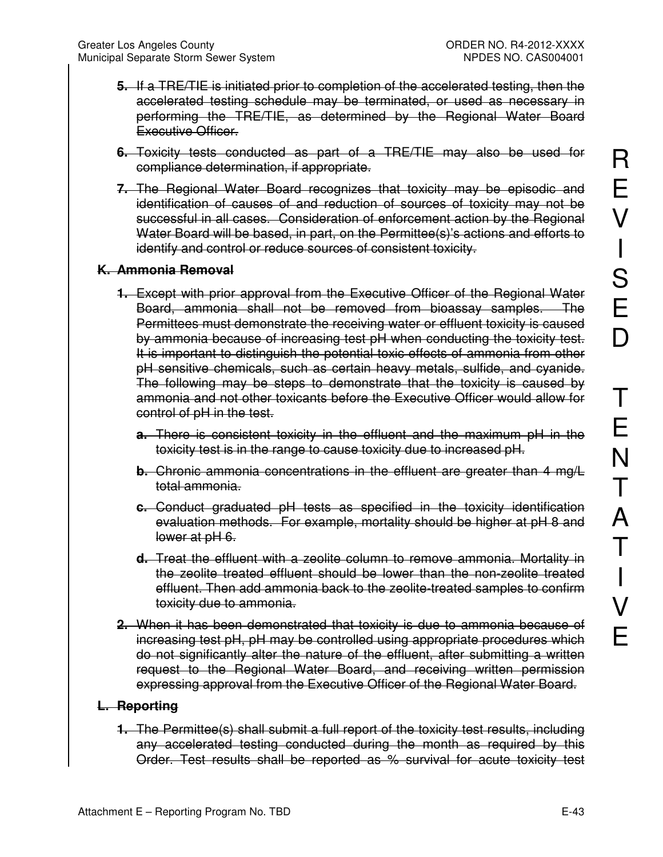- **5.** If a TRE/TIE is initiated prior to completion of the accelerated testing, then the accelerated testing schedule may be terminated, or used as necessary in performing the TRE/TIE, as determined by the Regional Water Board Executive Officer.
- **6.** Toxicity tests conducted as part of a TRE/TIE may also be used for compliance determination, if appropriate.
- **7.** The Regional Water Board recognizes that toxicity may be episodic and identification of causes of and reduction of sources of toxicity may not be successful in all cases. Consideration of enforcement action by the Regional Water Board will be based, in part, on the Permittee(s)'s actions and efforts to identify and control or reduce sources of consistent toxicity.

#### **K. Ammonia Removal**

- **1.** Except with prior approval from the Executive Officer of the Regional Water Board, ammonia shall not be removed from bioassay samples. The Permittees must demonstrate the receiving water or effluent toxicity is caused by ammonia because of increasing test pH when conducting the toxicity test. It is important to distinguish the potential toxic effects of ammonia from other pH sensitive chemicals, such as certain heavy metals, sulfide, and cyanide. The following may be steps to demonstrate that the toxicity is caused by ammonia and not other toxicants before the Executive Officer would allow for control of pH in the test.
	- **a.** There is consistent toxicity in the effluent and the maximum pH in the toxicity test is in the range to cause toxicity due to increased pH.
	- **b.** Chronic ammonia concentrations in the effluent are greater than 4 mg/L total ammonia.
	- **c.** Conduct graduated pH tests as specified in the toxicity identification evaluation methods. For example, mortality should be higher at pH 8 and lower at pH 6.
	- **d.** Treat the effluent with a zeolite column to remove ammonia. Mortality in the zeolite treated effluent should be lower than the non-zeolite treated effluent. Then add ammonia back to the zeolite-treated samples to confirm toxicity due to ammonia.
- **2.** When it has been demonstrated that toxicity is due to ammonia because of increasing test pH, pH may be controlled using appropriate procedures which do not significantly alter the nature of the effluent, after submitting a written request to the Regional Water Board, and receiving written permission expressing approval from the Executive Officer of the Regional Water Board.

#### **L. Reporting**

**1.** The Permittee(s) shall submit a full report of the toxicity test results, including any accelerated testing conducted during the month as required by this Order. Test results shall be reported as % survival for acute toxicity test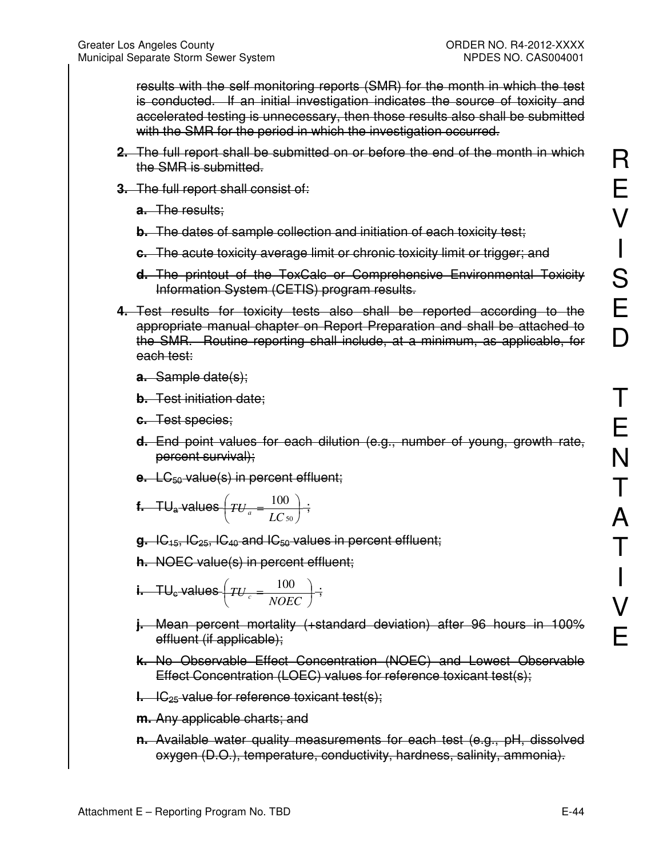results with the self monitoring reports (SMR) for the month in which the test is conducted. If an initial investigation indicates the source of toxicity and accelerated testing is unnecessary, then those results also shall be submitted with the SMR for the period in which the investigation occurred.

- **2.** The full report shall be submitted on or before the end of the month in which the SMR is submitted.
- **3.** The full report shall consist of:
	- **a.** The results;
	- **b.** The dates of sample collection and initiation of each toxicity test;
	- **c.** The acute toxicity average limit or chronic toxicity limit or trigger; and
	- **d.** The printout of the ToxCalc or Comprehensive Environmental Toxicity Information System (CETIS) program results.
- **4.** Test results for toxicity tests also shall be reported according to the appropriate manual chapter on Report Preparation and shall be attached to the SMR. Routine reporting shall include, at a minimum, as applicable, for each test:
	- **a.** Sample date(s);
	- **b.** Test initiation date;
	- **c.** Test species;
	- **d.** End point values for each dilution (e.g., number of young, growth rate, percent survival);
	- **e.** LC<sub>50</sub> value(s) in percent effluent;

**f.** 
$$
TU_a
$$
 values  $\left(TU_a = \frac{100}{LC_{50}}\right)$ ;

- **g.** IC15, IC25, IC40 and IC50 values in percent effluent;
- **h.** NOEC value(s) in percent effluent;
- **i.**  $TU_{c}$  values  $TU_{c} = \frac{100}{NSE}$ J  $\left(TU_c = \frac{100}{\text{Vors}}\right)$ l  $\sqrt{TU}$  =  $TU_c = \frac{100}{NOEC}$ ;
- **j.** Mean percent mortality (+standard deviation) after 96 hours in 100% effluent (if applicable);
- **k.** No Observable Effect Concentration (NOEC) and Lowest Observable Effect Concentration (LOEC) values for reference toxicant test(s);
- **l.** IC<sub>25</sub> value for reference toxicant test(s);
- **m.** Any applicable charts; and
- **n.** Available water quality measurements for each test (e.g., pH, dissolved oxygen (D.O.), temperature, conductivity, hardness, salinity, ammonia).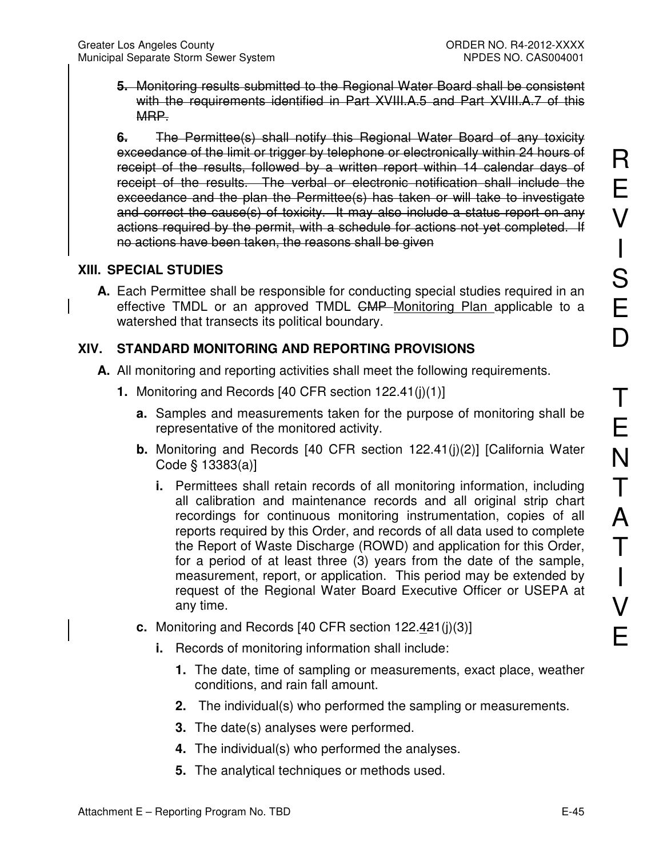**5.** Monitoring results submitted to the Regional Water Board shall be consistent with the requirements identified in Part XVIII.A.5 and Part XVIII.A.7 of this MRP.

**6.** The Permittee(s) shall notify this Regional Water Board of any toxicity exceedance of the limit or trigger by telephone or electronically within 24 hours of receipt of the results, followed by a written report within 14 calendar days of receipt of the results. The verbal or electronic notification shall include the exceedance and the plan the Permittee(s) has taken or will take to investigate and correct the cause(s) of toxicity. It may also include a status report on any actions required by the permit, with a schedule for actions not yet completed. If no actions have been taken, the reasons shall be given

## **XIII. SPECIAL STUDIES**

**A.** Each Permittee shall be responsible for conducting special studies required in an effective TMDL or an approved TMDL <del>CMP</del> Monitoring Plan applicable to a watershed that transects its political boundary.

# **XIV. STANDARD MONITORING AND REPORTING PROVISIONS**

- **A.** All monitoring and reporting activities shall meet the following requirements.
	- **1.** Monitoring and Records [40 CFR section 122.41(j)(1)]
		- **a.** Samples and measurements taken for the purpose of monitoring shall be representative of the monitored activity.
		- **b.** Monitoring and Records [40 CFR section 122.41(j)(2)] [California Water Code § 13383(a)]
			- **i.** Permittees shall retain records of all monitoring information, including all calibration and maintenance records and all original strip chart recordings for continuous monitoring instrumentation, copies of all reports required by this Order, and records of all data used to complete the Report of Waste Discharge (ROWD) and application for this Order, for a period of at least three (3) years from the date of the sample, measurement, report, or application. This period may be extended by request of the Regional Water Board Executive Officer or USEPA at any time.
		- **c.** Monitoring and Records [40 CFR section 122.421(j)(3)]
			- **i.** Records of monitoring information shall include:
				- **1.** The date, time of sampling or measurements, exact place, weather conditions, and rain fall amount.
				- **2.** The individual(s) who performed the sampling or measurements.
				- **3.** The date(s) analyses were performed.
				- **4.** The individual(s) who performed the analyses.
				- **5.** The analytical techniques or methods used.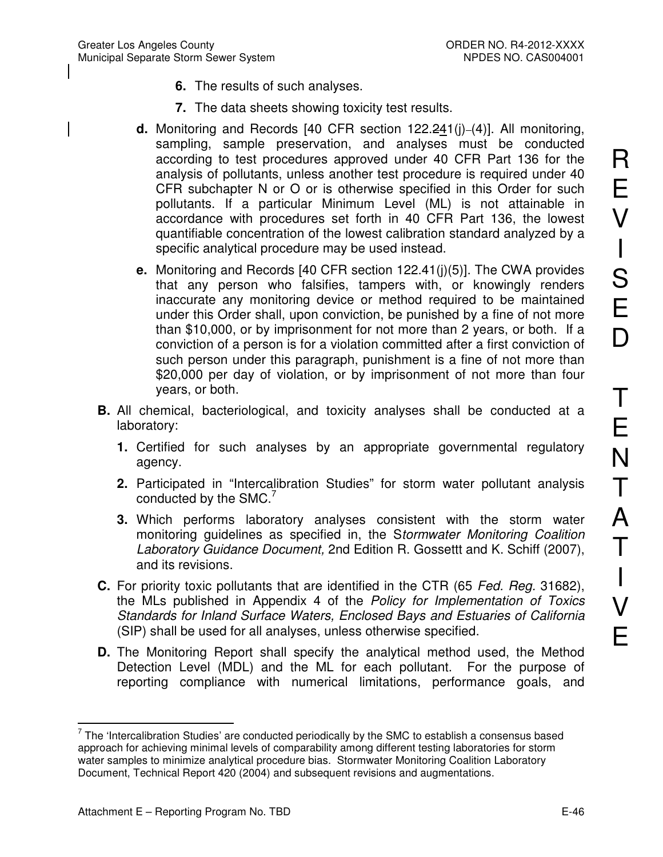- **6.** The results of such analyses.
- **7.** The data sheets showing toxicity test results.
- **d.** Monitoring and Records [40 CFR section 122.241(j)-(4)]. All monitoring, sampling, sample preservation, and analyses must be conducted according to test procedures approved under 40 CFR Part 136 for the analysis of pollutants, unless another test procedure is required under 40 CFR subchapter N or O or is otherwise specified in this Order for such pollutants. If a particular Minimum Level (ML) is not attainable in accordance with procedures set forth in 40 CFR Part 136, the lowest quantifiable concentration of the lowest calibration standard analyzed by a specific analytical procedure may be used instead.
- **e.** Monitoring and Records [40 CFR section 122.41(j)(5)]. The CWA provides that any person who falsifies, tampers with, or knowingly renders inaccurate any monitoring device or method required to be maintained under this Order shall, upon conviction, be punished by a fine of not more than \$10,000, or by imprisonment for not more than 2 years, or both. If a conviction of a person is for a violation committed after a first conviction of such person under this paragraph, punishment is a fine of not more than \$20,000 per day of violation, or by imprisonment of not more than four years, or both.
- **B.** All chemical, bacteriological, and toxicity analyses shall be conducted at a laboratory:
	- **1.** Certified for such analyses by an appropriate governmental regulatory agency.
	- **2.** Participated in "Intercalibration Studies" for storm water pollutant analysis conducted by the SMC.<sup>7</sup>
	- **3.** Which performs laboratory analyses consistent with the storm water monitoring guidelines as specified in, the S*tormwater Monitoring Coalition Laboratory Guidance Document,* 2nd Edition R. Gossettt and K. Schiff (2007), and its revisions.
- **C.** For priority toxic pollutants that are identified in the CTR (65 *Fed. Reg.* 31682), the MLs published in Appendix 4 of the *Policy for Implementation of Toxics Standards for Inland Surface Waters, Enclosed Bays and Estuaries of California* (SIP) shall be used for all analyses, unless otherwise specified.
- **D.** The Monitoring Report shall specify the analytical method used, the Method Detection Level (MDL) and the ML for each pollutant. For the purpose of reporting compliance with numerical limitations, performance goals, and

R

 $\overline{a}$  $7$  The 'Intercalibration Studies' are conducted periodically by the SMC to establish a consensus based approach for achieving minimal levels of comparability among different testing laboratories for storm water samples to minimize analytical procedure bias. Stormwater Monitoring Coalition Laboratory Document, Technical Report 420 (2004) and subsequent revisions and augmentations.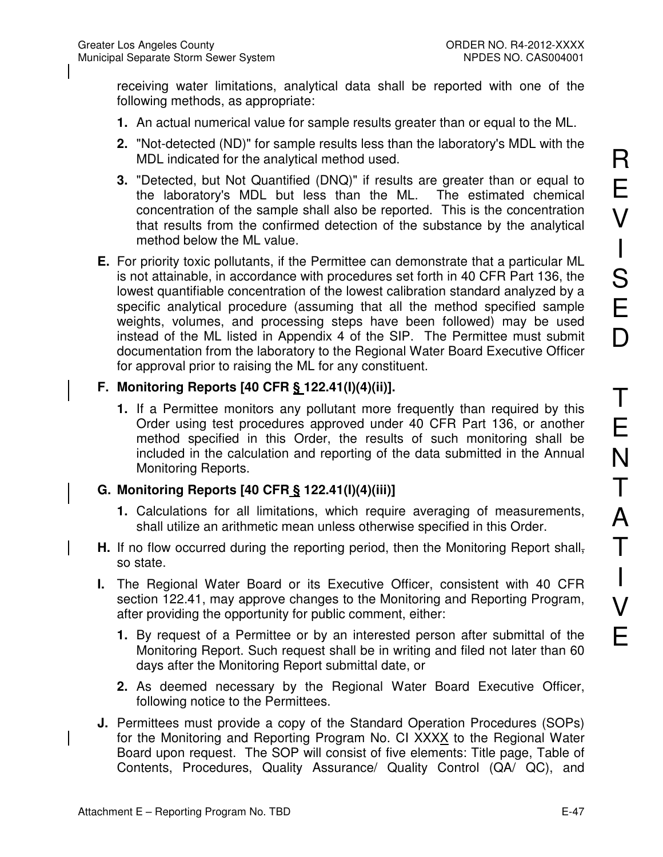receiving water limitations, analytical data shall be reported with one of the following methods, as appropriate:

- **1.** An actual numerical value for sample results greater than or equal to the ML.
- **2.** "Not-detected (ND)" for sample results less than the laboratory's MDL with the MDL indicated for the analytical method used.
- **3.** "Detected, but Not Quantified (DNQ)" if results are greater than or equal to the laboratory's MDL but less than the ML. The estimated chemical concentration of the sample shall also be reported. This is the concentration that results from the confirmed detection of the substance by the analytical method below the ML value.
- **E.** For priority toxic pollutants, if the Permittee can demonstrate that a particular ML is not attainable, in accordance with procedures set forth in 40 CFR Part 136, the lowest quantifiable concentration of the lowest calibration standard analyzed by a specific analytical procedure (assuming that all the method specified sample weights, volumes, and processing steps have been followed) may be used instead of the ML listed in Appendix 4 of the SIP. The Permittee must submit documentation from the laboratory to the Regional Water Board Executive Officer for approval prior to raising the ML for any constituent.

#### **F. Monitoring Reports [40 CFR § 122.41(I)(4)(ii)].**

**1.** If a Permittee monitors any pollutant more frequently than required by this Order using test procedures approved under 40 CFR Part 136, or another method specified in this Order, the results of such monitoring shall be included in the calculation and reporting of the data submitted in the Annual Monitoring Reports.

### **G. Monitoring Reports [40 CFR § 122.41(I)(4)(iii)]**

- **1.** Calculations for all limitations, which require averaging of measurements, shall utilize an arithmetic mean unless otherwise specified in this Order.
- **H.** If no flow occurred during the reporting period, then the Monitoring Report shallso state.
- **I.** The Regional Water Board or its Executive Officer, consistent with 40 CFR section 122.41, may approve changes to the Monitoring and Reporting Program, after providing the opportunity for public comment, either:
	- **1.** By request of a Permittee or by an interested person after submittal of the Monitoring Report. Such request shall be in writing and filed not later than 60 days after the Monitoring Report submittal date, or
	- **2.** As deemed necessary by the Regional Water Board Executive Officer, following notice to the Permittees.
- **J.** Permittees must provide a copy of the Standard Operation Procedures (SOPs) for the Monitoring and Reporting Program No. CI XXXX to the Regional Water Board upon request. The SOP will consist of five elements: Title page, Table of Contents, Procedures, Quality Assurance/ Quality Control (QA/ QC), and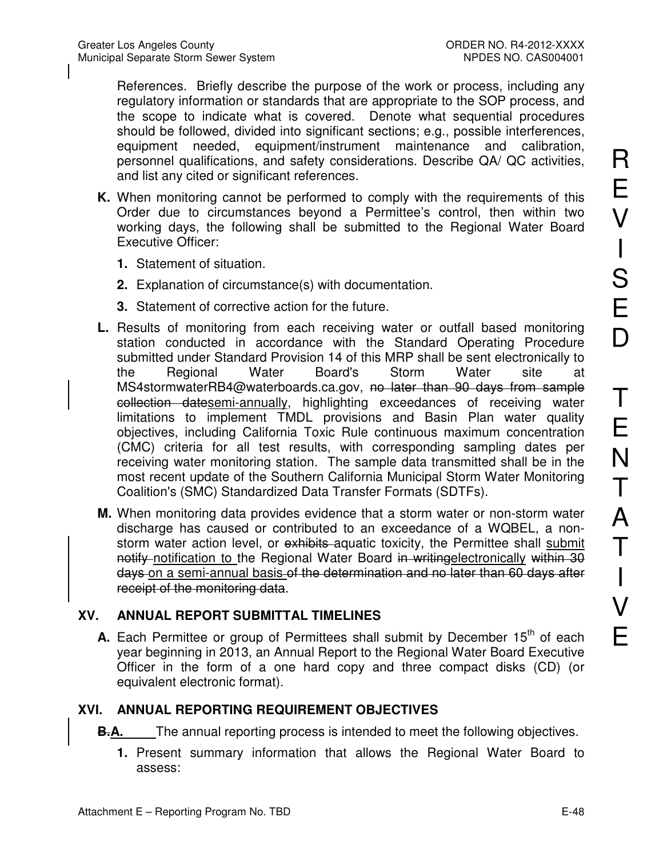References. Briefly describe the purpose of the work or process, including any regulatory information or standards that are appropriate to the SOP process, and the scope to indicate what is covered. Denote what sequential procedures should be followed, divided into significant sections; e.g., possible interferences, equipment needed, equipment/instrument maintenance and calibration, personnel qualifications, and safety considerations. Describe QA/ QC activities, and list any cited or significant references.

- **K.** When monitoring cannot be performed to comply with the requirements of this Order due to circumstances beyond a Permittee's control, then within two working days, the following shall be submitted to the Regional Water Board Executive Officer:
	- **1.** Statement of situation.
	- **2.** Explanation of circumstance(s) with documentation.
	- **3.** Statement of corrective action for the future.
- **L.** Results of monitoring from each receiving water or outfall based monitoring station conducted in accordance with the Standard Operating Procedure submitted under Standard Provision 14 of this MRP shall be sent electronically to the Regional Water Board's Storm Water site at MS4stormwaterRB4@waterboards.ca.gov, no later than 90 days from sample collection datesemi-annually, highlighting exceedances of receiving water limitations to implement TMDL provisions and Basin Plan water quality objectives, including California Toxic Rule continuous maximum concentration (CMC) criteria for all test results, with corresponding sampling dates per receiving water monitoring station. The sample data transmitted shall be in the most recent update of the Southern California Municipal Storm Water Monitoring Coalition's (SMC) Standardized Data Transfer Formats (SDTFs).
- **M.** When monitoring data provides evidence that a storm water or non-storm water discharge has caused or contributed to an exceedance of a WQBEL, a nonstorm water action level, or exhibits aquatic toxicity, the Permittee shall submit notify notification to the Regional Water Board in writing electronically within 30 days on a semi-annual basis of the determination and no later than 60 days after receipt of the monitoring data.

#### **XV. ANNUAL REPORT SUBMITTAL TIMELINES**

**A.** Each Permittee or group of Permittees shall submit by December 15<sup>th</sup> of each year beginning in 2013, an Annual Report to the Regional Water Board Executive Officer in the form of a one hard copy and three compact disks (CD) (or equivalent electronic format).

### **XVI. ANNUAL REPORTING REQUIREMENT OBJECTIVES**

**B.A.** The annual reporting process is intended to meet the following objectives.

**1.** Present summary information that allows the Regional Water Board to assess: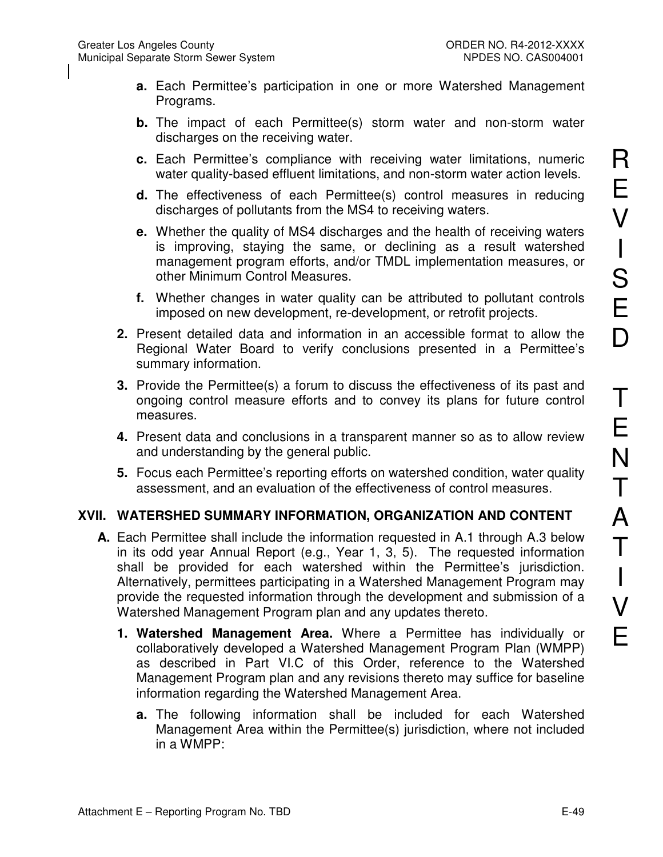- **a.** Each Permittee's participation in one or more Watershed Management Programs.
- **b.** The impact of each Permittee(s) storm water and non-storm water discharges on the receiving water.
- **c.** Each Permittee's compliance with receiving water limitations, numeric water quality-based effluent limitations, and non-storm water action levels.
- **d.** The effectiveness of each Permittee(s) control measures in reducing discharges of pollutants from the MS4 to receiving waters.
- **e.** Whether the quality of MS4 discharges and the health of receiving waters is improving, staying the same, or declining as a result watershed management program efforts, and/or TMDL implementation measures, or other Minimum Control Measures.
- **f.** Whether changes in water quality can be attributed to pollutant controls imposed on new development, re-development, or retrofit projects.
- **2.** Present detailed data and information in an accessible format to allow the Regional Water Board to verify conclusions presented in a Permittee's summary information.
- **3.** Provide the Permittee(s) a forum to discuss the effectiveness of its past and ongoing control measure efforts and to convey its plans for future control measures.
- **4.** Present data and conclusions in a transparent manner so as to allow review and understanding by the general public.
- **5.** Focus each Permittee's reporting efforts on watershed condition, water quality assessment, and an evaluation of the effectiveness of control measures.

#### **XVII. WATERSHED SUMMARY INFORMATION, ORGANIZATION AND CONTENT**

- **A.** Each Permittee shall include the information requested in A.1 through A.3 below in its odd year Annual Report (e.g., Year 1, 3, 5). The requested information shall be provided for each watershed within the Permittee's jurisdiction. Alternatively, permittees participating in a Watershed Management Program may provide the requested information through the development and submission of a Watershed Management Program plan and any updates thereto.
	- **1. Watershed Management Area.** Where a Permittee has individually or collaboratively developed a Watershed Management Program Plan (WMPP) as described in Part VI.C of this Order, reference to the Watershed Management Program plan and any revisions thereto may suffice for baseline information regarding the Watershed Management Area.
		- **a.** The following information shall be included for each Watershed Management Area within the Permittee(s) jurisdiction, where not included in a WMPP: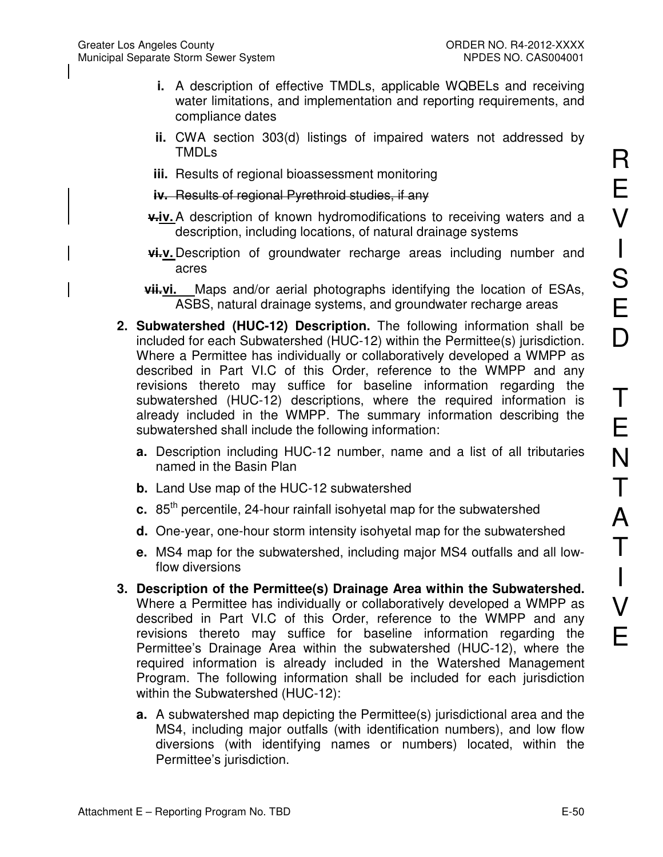- **i.** A description of effective TMDLs, applicable WQBELs and receiving water limitations, and implementation and reporting requirements, and compliance dates
- **ii.** CWA section 303(d) listings of impaired waters not addressed by TMDLs
- **iii.** Results of regional bioassessment monitoring
- **iv.** Results of regional Pyrethroid studies, if any
- $\frac{1}{2}$  **v.iv.** A description of known hydromodifications to receiving waters and a description, including locations, of natural drainage systems
- **vi.v.** Description of groundwater recharge areas including number and acres
- **vii.vi.** Maps and/or aerial photographs identifying the location of ESAs, ASBS, natural drainage systems, and groundwater recharge areas
- **2. Subwatershed (HUC-12) Description.** The following information shall be included for each Subwatershed (HUC-12) within the Permittee(s) jurisdiction. Where a Permittee has individually or collaboratively developed a WMPP as described in Part VI.C of this Order, reference to the WMPP and any revisions thereto may suffice for baseline information regarding the subwatershed (HUC-12) descriptions, where the required information is already included in the WMPP. The summary information describing the subwatershed shall include the following information:
	- **a.** Description including HUC-12 number, name and a list of all tributaries named in the Basin Plan
	- **b.** Land Use map of the HUC-12 subwatershed
	- **c.** 85<sup>th</sup> percentile, 24-hour rainfall isohyetal map for the subwatershed
	- **d.** One-year, one-hour storm intensity isohyetal map for the subwatershed
	- **e.** MS4 map for the subwatershed, including major MS4 outfalls and all lowflow diversions
- **3. Description of the Permittee(s) Drainage Area within the Subwatershed.**  Where a Permittee has individually or collaboratively developed a WMPP as described in Part VI.C of this Order, reference to the WMPP and any revisions thereto may suffice for baseline information regarding the Permittee's Drainage Area within the subwatershed (HUC-12), where the required information is already included in the Watershed Management Program. The following information shall be included for each jurisdiction within the Subwatershed (HUC-12):
	- **a.** A subwatershed map depicting the Permittee(s) jurisdictional area and the MS4, including major outfalls (with identification numbers), and low flow diversions (with identifying names or numbers) located, within the Permittee's jurisdiction.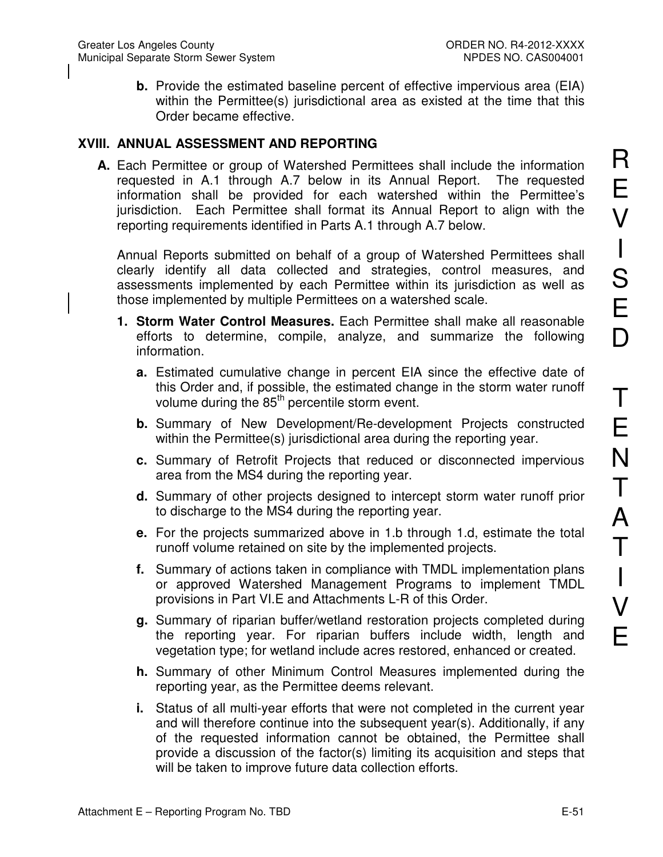**b.** Provide the estimated baseline percent of effective impervious area (EIA) within the Permittee(s) jurisdictional area as existed at the time that this Order became effective.

#### **XVIII. ANNUAL ASSESSMENT AND REPORTING**

**A.** Each Permittee or group of Watershed Permittees shall include the information requested in A.1 through A.7 below in its Annual Report. The requested information shall be provided for each watershed within the Permittee's jurisdiction. Each Permittee shall format its Annual Report to align with the reporting requirements identified in Parts A.1 through A.7 below.

Annual Reports submitted on behalf of a group of Watershed Permittees shall clearly identify all data collected and strategies, control measures, and assessments implemented by each Permittee within its jurisdiction as well as those implemented by multiple Permittees on a watershed scale.

- **1. Storm Water Control Measures.** Each Permittee shall make all reasonable efforts to determine, compile, analyze, and summarize the following information.
	- **a.** Estimated cumulative change in percent EIA since the effective date of this Order and, if possible, the estimated change in the storm water runoff volume during the 85<sup>th</sup> percentile storm event.
	- **b.** Summary of New Development/Re-development Projects constructed within the Permittee(s) jurisdictional area during the reporting year.
	- **c.** Summary of Retrofit Projects that reduced or disconnected impervious area from the MS4 during the reporting year.
	- **d.** Summary of other projects designed to intercept storm water runoff prior to discharge to the MS4 during the reporting year.
	- **e.** For the projects summarized above in 1.b through 1.d, estimate the total runoff volume retained on site by the implemented projects.
	- **f.** Summary of actions taken in compliance with TMDL implementation plans or approved Watershed Management Programs to implement TMDL provisions in Part VI.E and Attachments L-R of this Order.
	- **g.** Summary of riparian buffer/wetland restoration projects completed during the reporting year. For riparian buffers include width, length and vegetation type; for wetland include acres restored, enhanced or created.
	- **h.** Summary of other Minimum Control Measures implemented during the reporting year, as the Permittee deems relevant.
	- **i.** Status of all multi-year efforts that were not completed in the current year and will therefore continue into the subsequent year(s). Additionally, if any of the requested information cannot be obtained, the Permittee shall provide a discussion of the factor(s) limiting its acquisition and steps that will be taken to improve future data collection efforts.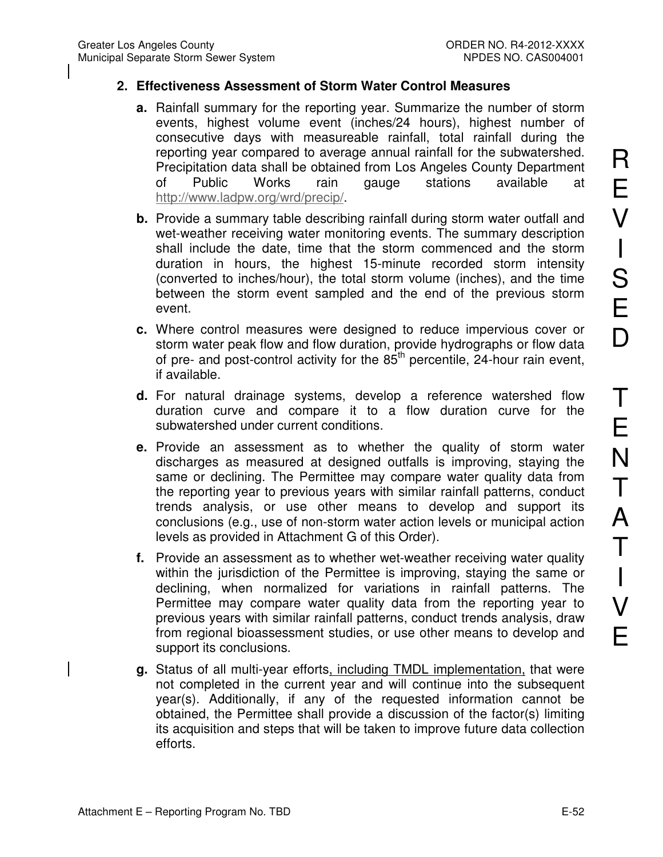#### **2. Effectiveness Assessment of Storm Water Control Measures**

- **a.** Rainfall summary for the reporting year. Summarize the number of storm events, highest volume event (inches/24 hours), highest number of consecutive days with measureable rainfall, total rainfall during the reporting year compared to average annual rainfall for the subwatershed. Precipitation data shall be obtained from Los Angeles County Department of Public Works rain gauge stations available at http://www.ladpw.org/wrd/precip/.
- **b.** Provide a summary table describing rainfall during storm water outfall and wet-weather receiving water monitoring events. The summary description shall include the date, time that the storm commenced and the storm duration in hours, the highest 15-minute recorded storm intensity (converted to inches/hour), the total storm volume (inches), and the time between the storm event sampled and the end of the previous storm event.
- **c.** Where control measures were designed to reduce impervious cover or storm water peak flow and flow duration, provide hydrographs or flow data of pre- and post-control activity for the  $85<sup>th</sup>$  percentile, 24-hour rain event, if available.
- **d.** For natural drainage systems, develop a reference watershed flow duration curve and compare it to a flow duration curve for the subwatershed under current conditions.
- **e.** Provide an assessment as to whether the quality of storm water discharges as measured at designed outfalls is improving, staying the same or declining. The Permittee may compare water quality data from the reporting year to previous years with similar rainfall patterns, conduct trends analysis, or use other means to develop and support its conclusions (e.g., use of non-storm water action levels or municipal action levels as provided in Attachment G of this Order).
- **f.** Provide an assessment as to whether wet-weather receiving water quality within the jurisdiction of the Permittee is improving, staying the same or declining, when normalized for variations in rainfall patterns. The Permittee may compare water quality data from the reporting year to previous years with similar rainfall patterns, conduct trends analysis, draw from regional bioassessment studies, or use other means to develop and support its conclusions.
- **g.** Status of all multi-year efforts, including TMDL implementation, that were not completed in the current year and will continue into the subsequent year(s). Additionally, if any of the requested information cannot be obtained, the Permittee shall provide a discussion of the factor(s) limiting its acquisition and steps that will be taken to improve future data collection efforts.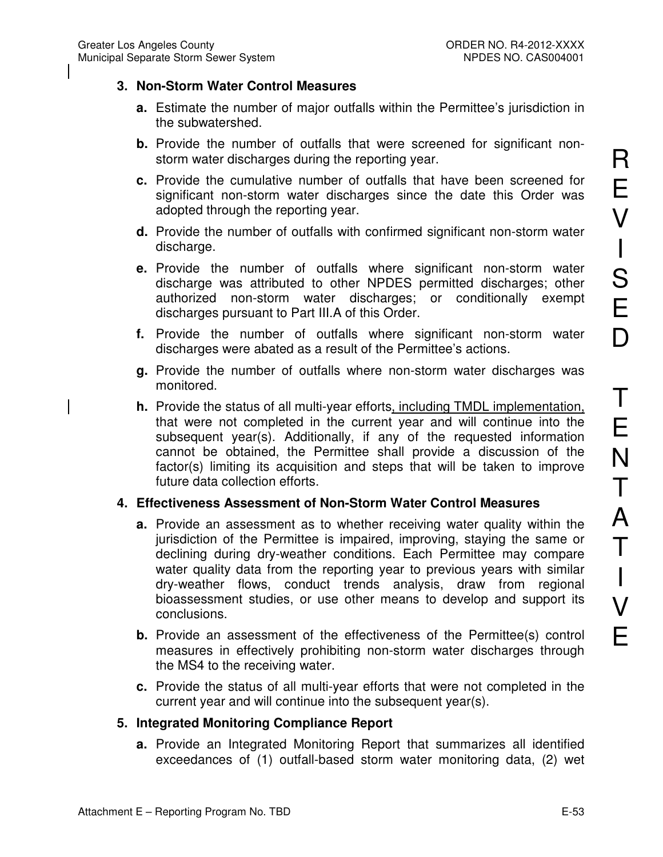#### **3. Non-Storm Water Control Measures**

- **a.** Estimate the number of major outfalls within the Permittee's jurisdiction in the subwatershed.
- **b.** Provide the number of outfalls that were screened for significant nonstorm water discharges during the reporting year.
- **c.** Provide the cumulative number of outfalls that have been screened for significant non-storm water discharges since the date this Order was adopted through the reporting year.
- **d.** Provide the number of outfalls with confirmed significant non-storm water discharge.
- **e.** Provide the number of outfalls where significant non-storm water discharge was attributed to other NPDES permitted discharges; other authorized non-storm water discharges; or conditionally exempt discharges pursuant to Part III.A of this Order.
- **f.** Provide the number of outfalls where significant non-storm water discharges were abated as a result of the Permittee's actions.
- **g.** Provide the number of outfalls where non-storm water discharges was monitored.
- **h.** Provide the status of all multi-year efforts, including TMDL implementation, that were not completed in the current year and will continue into the subsequent year(s). Additionally, if any of the requested information cannot be obtained, the Permittee shall provide a discussion of the factor(s) limiting its acquisition and steps that will be taken to improve future data collection efforts.

#### **4. Effectiveness Assessment of Non-Storm Water Control Measures**

- **a.** Provide an assessment as to whether receiving water quality within the jurisdiction of the Permittee is impaired, improving, staying the same or declining during dry-weather conditions. Each Permittee may compare water quality data from the reporting year to previous years with similar dry-weather flows, conduct trends analysis, draw from regional bioassessment studies, or use other means to develop and support its conclusions.
- **b.** Provide an assessment of the effectiveness of the Permittee(s) control measures in effectively prohibiting non-storm water discharges through the MS4 to the receiving water.
- **c.** Provide the status of all multi-year efforts that were not completed in the current year and will continue into the subsequent year(s).

#### **5. Integrated Monitoring Compliance Report**

**a.** Provide an Integrated Monitoring Report that summarizes all identified exceedances of (1) outfall-based storm water monitoring data, (2) wet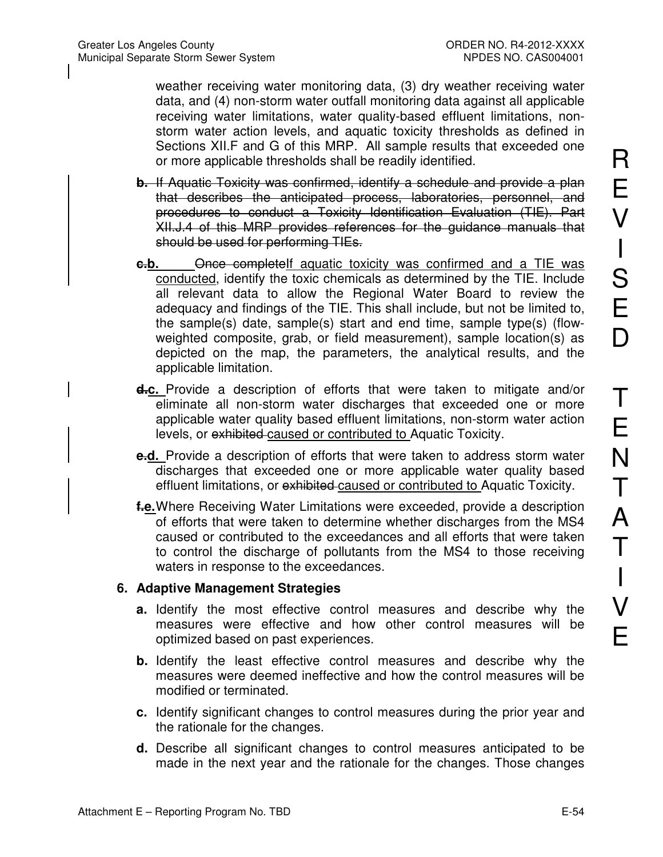weather receiving water monitoring data, (3) dry weather receiving water data, and (4) non-storm water outfall monitoring data against all applicable receiving water limitations, water quality-based effluent limitations, nonstorm water action levels, and aquatic toxicity thresholds as defined in Sections XII.F and G of this MRP. All sample results that exceeded one or more applicable thresholds shall be readily identified.

- **b.** If Aquatic Toxicity was confirmed, identify a schedule and provide a plan that describes the anticipated process, laboratories, personnel, and procedures to conduct a Toxicity Identification Evaluation (TIE). Part XII.J.4 of this MRP provides references for the guidance manuals that should be used for performing TIEs.
- **c.b.** Once completeIf aquatic toxicity was confirmed and a TIE was conducted, identify the toxic chemicals as determined by the TIE. Include all relevant data to allow the Regional Water Board to review the adequacy and findings of the TIE. This shall include, but not be limited to, the sample(s) date, sample(s) start and end time, sample type(s) (flowweighted composite, grab, or field measurement), sample location(s) as depicted on the map, the parameters, the analytical results, and the applicable limitation.
- **d.c.** Provide a description of efforts that were taken to mitigate and/or eliminate all non-storm water discharges that exceeded one or more applicable water quality based effluent limitations, non-storm water action levels, or exhibited caused or contributed to Aquatic Toxicity.
- **e.d.** Provide a description of efforts that were taken to address storm water discharges that exceeded one or more applicable water quality based effluent limitations, or exhibited caused or contributed to Aquatic Toxicity.
- **f.e.** Where Receiving Water Limitations were exceeded, provide a description of efforts that were taken to determine whether discharges from the MS4 caused or contributed to the exceedances and all efforts that were taken to control the discharge of pollutants from the MS4 to those receiving waters in response to the exceedances.

#### **6. Adaptive Management Strategies**

- **a.** Identify the most effective control measures and describe why the measures were effective and how other control measures will be optimized based on past experiences.
- **b.** Identify the least effective control measures and describe why the measures were deemed ineffective and how the control measures will be modified or terminated.
- **c.** Identify significant changes to control measures during the prior year and the rationale for the changes.
- **d.** Describe all significant changes to control measures anticipated to be made in the next year and the rationale for the changes. Those changes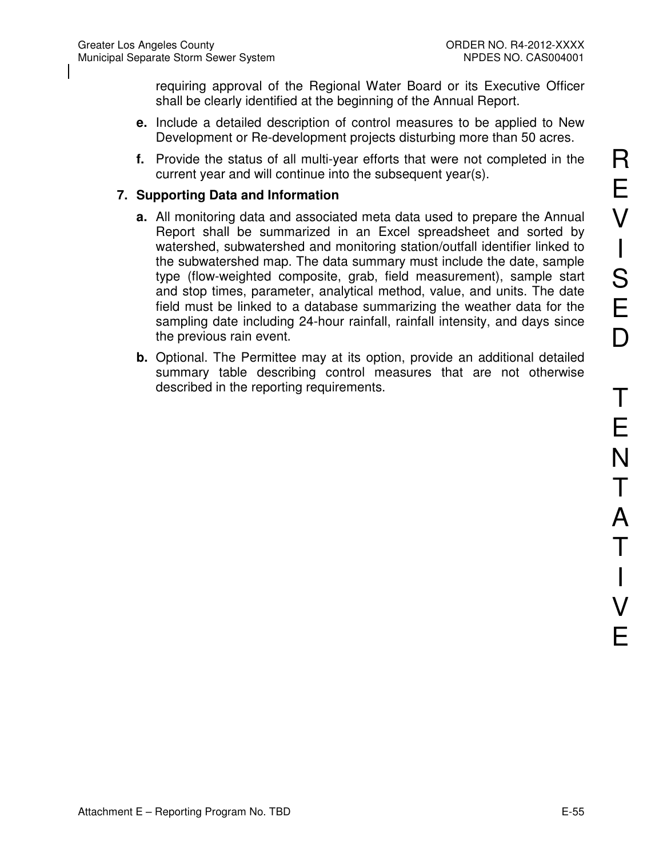requiring approval of the Regional Water Board or its Executive Officer shall be clearly identified at the beginning of the Annual Report.

- **e.** Include a detailed description of control measures to be applied to New Development or Re-development projects disturbing more than 50 acres.
- **f.** Provide the status of all multi-year efforts that were not completed in the current year and will continue into the subsequent year(s).

#### **7. Supporting Data and Information**

- **a.** All monitoring data and associated meta data used to prepare the Annual Report shall be summarized in an Excel spreadsheet and sorted by watershed, subwatershed and monitoring station/outfall identifier linked to the subwatershed map. The data summary must include the date, sample type (flow-weighted composite, grab, field measurement), sample start and stop times, parameter, analytical method, value, and units. The date field must be linked to a database summarizing the weather data for the sampling date including 24-hour rainfall, rainfall intensity, and days since the previous rain event.
- **b.** Optional. The Permittee may at its option, provide an additional detailed summary table describing control measures that are not otherwise described in the reporting requirements.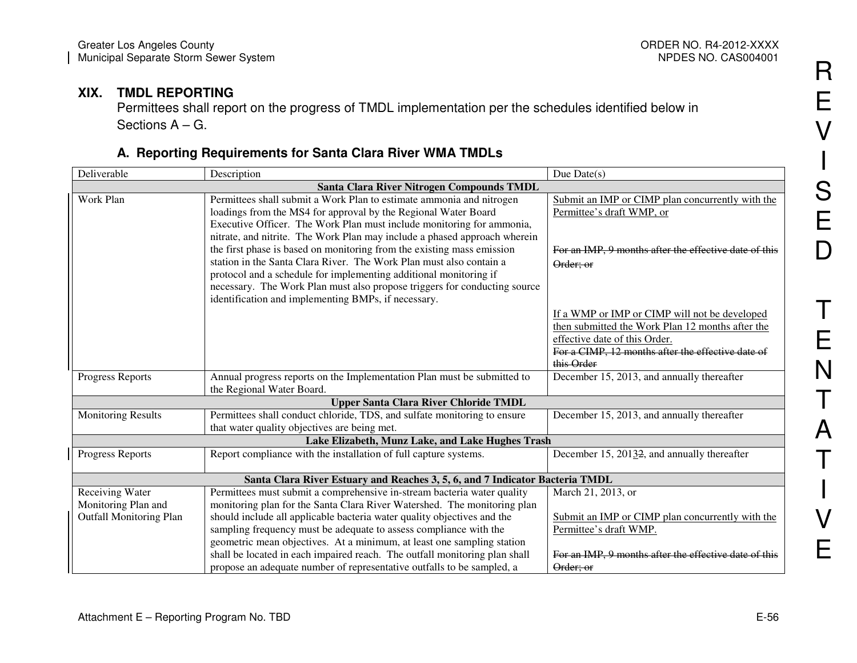#### **XIX. TMDL REPORTING**

 Permittees shall report on the progress of TMDL implementation per the schedules identified below in Sections A – G.

## **A. Reporting Requirements for Santa Clara River WMA TMDLs**

| Deliverable                                                              | Description                                                                                                                                                                                                                                                                                                                                                                                                                                                                                                                                                                                     | Due $Date(s)$                                                                                                                                                                                                                                       |
|--------------------------------------------------------------------------|-------------------------------------------------------------------------------------------------------------------------------------------------------------------------------------------------------------------------------------------------------------------------------------------------------------------------------------------------------------------------------------------------------------------------------------------------------------------------------------------------------------------------------------------------------------------------------------------------|-----------------------------------------------------------------------------------------------------------------------------------------------------------------------------------------------------------------------------------------------------|
| Santa Clara River Nitrogen Compounds TMDL                                |                                                                                                                                                                                                                                                                                                                                                                                                                                                                                                                                                                                                 |                                                                                                                                                                                                                                                     |
| Work Plan                                                                | Permittees shall submit a Work Plan to estimate ammonia and nitrogen<br>loadings from the MS4 for approval by the Regional Water Board<br>Executive Officer. The Work Plan must include monitoring for ammonia,<br>nitrate, and nitrite. The Work Plan may include a phased approach wherein<br>the first phase is based on monitoring from the existing mass emission<br>station in the Santa Clara River. The Work Plan must also contain a<br>protocol and a schedule for implementing additional monitoring if<br>necessary. The Work Plan must also propose triggers for conducting source | Submit an IMP or CIMP plan concurrently with the<br>Permittee's draft WMP, or<br>For an IMP, 9 months after the effective date of this<br>Order; or                                                                                                 |
| Progress Reports                                                         | identification and implementing BMPs, if necessary.<br>Annual progress reports on the Implementation Plan must be submitted to                                                                                                                                                                                                                                                                                                                                                                                                                                                                  | If a WMP or IMP or CIMP will not be developed<br>then submitted the Work Plan 12 months after the<br>effective date of this Order.<br>For a CIMP, 12 months after the effective date of<br>this Order<br>December 15, 2013, and annually thereafter |
|                                                                          | the Regional Water Board.                                                                                                                                                                                                                                                                                                                                                                                                                                                                                                                                                                       |                                                                                                                                                                                                                                                     |
|                                                                          | <b>Upper Santa Clara River Chloride TMDL</b>                                                                                                                                                                                                                                                                                                                                                                                                                                                                                                                                                    |                                                                                                                                                                                                                                                     |
| <b>Monitoring Results</b>                                                | Permittees shall conduct chloride, TDS, and sulfate monitoring to ensure<br>that water quality objectives are being met.                                                                                                                                                                                                                                                                                                                                                                                                                                                                        | December 15, 2013, and annually thereafter                                                                                                                                                                                                          |
|                                                                          | Lake Elizabeth, Munz Lake, and Lake Hughes Trash                                                                                                                                                                                                                                                                                                                                                                                                                                                                                                                                                |                                                                                                                                                                                                                                                     |
| Progress Reports                                                         | Report compliance with the installation of full capture systems.                                                                                                                                                                                                                                                                                                                                                                                                                                                                                                                                | December 15, 2013 <del>2</del> , and annually thereafter                                                                                                                                                                                            |
|                                                                          | Santa Clara River Estuary and Reaches 3, 5, 6, and 7 Indicator Bacteria TMDL                                                                                                                                                                                                                                                                                                                                                                                                                                                                                                                    |                                                                                                                                                                                                                                                     |
| Receiving Water<br>Monitoring Plan and<br><b>Outfall Monitoring Plan</b> | Permittees must submit a comprehensive in-stream bacteria water quality<br>monitoring plan for the Santa Clara River Watershed. The monitoring plan<br>should include all applicable bacteria water quality objectives and the<br>sampling frequency must be adequate to assess compliance with the<br>geometric mean objectives. At a minimum, at least one sampling station                                                                                                                                                                                                                   | March 21, 2013, or<br>Submit an IMP or CIMP plan concurrently with the<br>Permittee's draft WMP.                                                                                                                                                    |
|                                                                          | shall be located in each impaired reach. The outfall monitoring plan shall<br>propose an adequate number of representative outfalls to be sampled, a                                                                                                                                                                                                                                                                                                                                                                                                                                            | For an IMP, 9 months after the effective date of this<br>Order; or                                                                                                                                                                                  |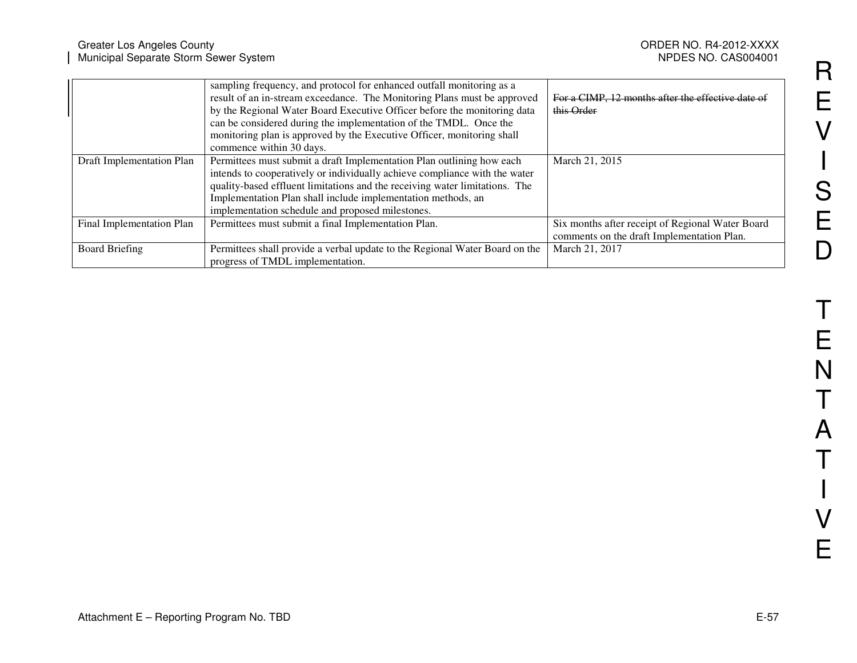|                           | sampling frequency, and protocol for enhanced outfall monitoring as a<br>result of an in-stream exceedance. The Monitoring Plans must be approved | For a CIMP, 12 months after the effective date of |
|---------------------------|---------------------------------------------------------------------------------------------------------------------------------------------------|---------------------------------------------------|
|                           | by the Regional Water Board Executive Officer before the monitoring data                                                                          | this Order                                        |
|                           | can be considered during the implementation of the TMDL. Once the                                                                                 |                                                   |
|                           | monitoring plan is approved by the Executive Officer, monitoring shall                                                                            |                                                   |
|                           | commence within 30 days.                                                                                                                          |                                                   |
| Draft Implementation Plan | Permittees must submit a draft Implementation Plan outlining how each                                                                             | March 21, 2015                                    |
|                           | intends to cooperatively or individually achieve compliance with the water                                                                        |                                                   |
|                           | quality-based effluent limitations and the receiving water limitations. The                                                                       |                                                   |
|                           | Implementation Plan shall include implementation methods, an                                                                                      |                                                   |
|                           | implementation schedule and proposed milestones.                                                                                                  |                                                   |
| Final Implementation Plan | Permittees must submit a final Implementation Plan.                                                                                               | Six months after receipt of Regional Water Board  |
|                           |                                                                                                                                                   | comments on the draft Implementation Plan.        |
| <b>Board Briefing</b>     | Permittees shall provide a verbal update to the Regional Water Board on the                                                                       | March 21, 2017                                    |
|                           | progress of TMDL implementation.                                                                                                                  |                                                   |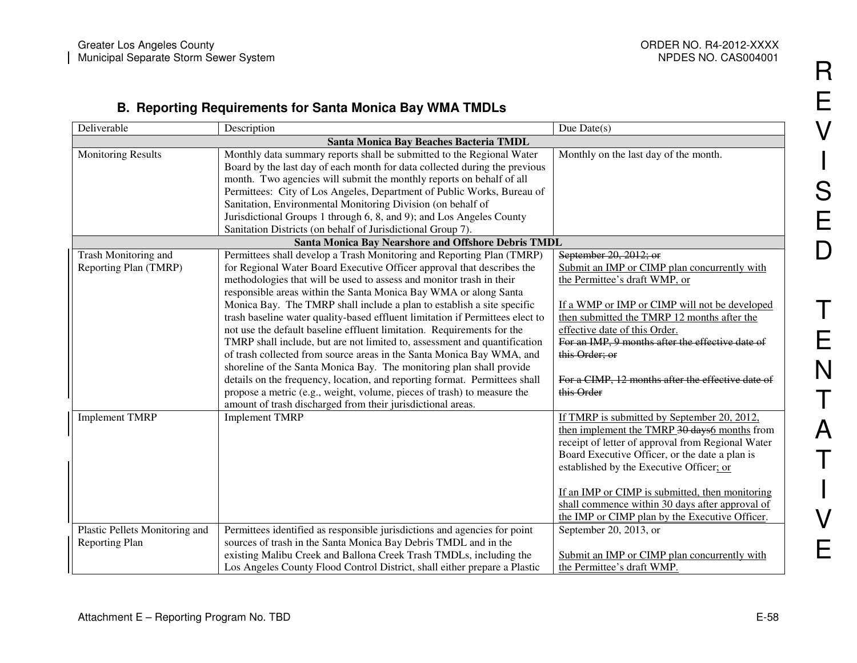#### **B. Reporting Requirements for Santa Monica Bay WMA TMDLs**

| Deliverable                            | Description                                                                                                                                   | Due Date $(s)$                                                                    |  |
|----------------------------------------|-----------------------------------------------------------------------------------------------------------------------------------------------|-----------------------------------------------------------------------------------|--|
| Santa Monica Bay Beaches Bacteria TMDL |                                                                                                                                               |                                                                                   |  |
| <b>Monitoring Results</b>              | Monthly data summary reports shall be submitted to the Regional Water                                                                         | Monthly on the last day of the month.                                             |  |
|                                        | Board by the last day of each month for data collected during the previous                                                                    |                                                                                   |  |
|                                        | month. Two agencies will submit the monthly reports on behalf of all                                                                          |                                                                                   |  |
|                                        | Permittees: City of Los Angeles, Department of Public Works, Bureau of                                                                        |                                                                                   |  |
|                                        | Sanitation, Environmental Monitoring Division (on behalf of                                                                                   |                                                                                   |  |
|                                        | Jurisdictional Groups 1 through 6, 8, and 9); and Los Angeles County                                                                          |                                                                                   |  |
|                                        | Sanitation Districts (on behalf of Jurisdictional Group 7).                                                                                   |                                                                                   |  |
|                                        | <b>Santa Monica Bay Nearshore and Offshore Debris TMDL</b>                                                                                    |                                                                                   |  |
| Trash Monitoring and                   | Permittees shall develop a Trash Monitoring and Reporting Plan (TMRP)                                                                         | September 20, 2012; or                                                            |  |
| Reporting Plan (TMRP)                  | for Regional Water Board Executive Officer approval that describes the                                                                        | Submit an IMP or CIMP plan concurrently with                                      |  |
|                                        | methodologies that will be used to assess and monitor trash in their                                                                          | the Permittee's draft WMP, or                                                     |  |
|                                        | responsible areas within the Santa Monica Bay WMA or along Santa                                                                              |                                                                                   |  |
|                                        | Monica Bay. The TMRP shall include a plan to establish a site specific                                                                        | If a WMP or IMP or CIMP will not be developed                                     |  |
|                                        | trash baseline water quality-based effluent limitation if Permittees elect to                                                                 | then submitted the TMRP 12 months after the                                       |  |
|                                        | not use the default baseline effluent limitation. Requirements for the                                                                        | effective date of this Order.<br>For an IMP, 9 months after the effective date of |  |
|                                        | TMRP shall include, but are not limited to, assessment and quantification                                                                     | this Order; or                                                                    |  |
|                                        | of trash collected from source areas in the Santa Monica Bay WMA, and<br>shoreline of the Santa Monica Bay. The monitoring plan shall provide |                                                                                   |  |
|                                        | details on the frequency, location, and reporting format. Permittees shall                                                                    | For a CIMP, 12 months after the effective date of                                 |  |
|                                        | propose a metric (e.g., weight, volume, pieces of trash) to measure the                                                                       | this Order                                                                        |  |
|                                        | amount of trash discharged from their jurisdictional areas.                                                                                   |                                                                                   |  |
| <b>Implement TMRP</b>                  | <b>Implement TMRP</b>                                                                                                                         | If TMRP is submitted by September 20, 2012,                                       |  |
|                                        |                                                                                                                                               | then implement the TMRP 30 days 6 months from                                     |  |
|                                        |                                                                                                                                               | receipt of letter of approval from Regional Water                                 |  |
|                                        |                                                                                                                                               | Board Executive Officer, or the date a plan is                                    |  |
|                                        |                                                                                                                                               | established by the Executive Officer; or                                          |  |
|                                        |                                                                                                                                               |                                                                                   |  |
|                                        |                                                                                                                                               | If an IMP or CIMP is submitted, then monitoring                                   |  |
|                                        |                                                                                                                                               | shall commence within 30 days after approval of                                   |  |
|                                        |                                                                                                                                               | the IMP or CIMP plan by the Executive Officer.                                    |  |
| Plastic Pellets Monitoring and         | Permittees identified as responsible jurisdictions and agencies for point                                                                     | September 20, 2013, or                                                            |  |
| Reporting Plan                         | sources of trash in the Santa Monica Bay Debris TMDL and in the                                                                               |                                                                                   |  |
|                                        | existing Malibu Creek and Ballona Creek Trash TMDLs, including the                                                                            | Submit an IMP or CIMP plan concurrently with                                      |  |
|                                        | Los Angeles County Flood Control District, shall either prepare a Plastic                                                                     | the Permittee's draft WMP.                                                        |  |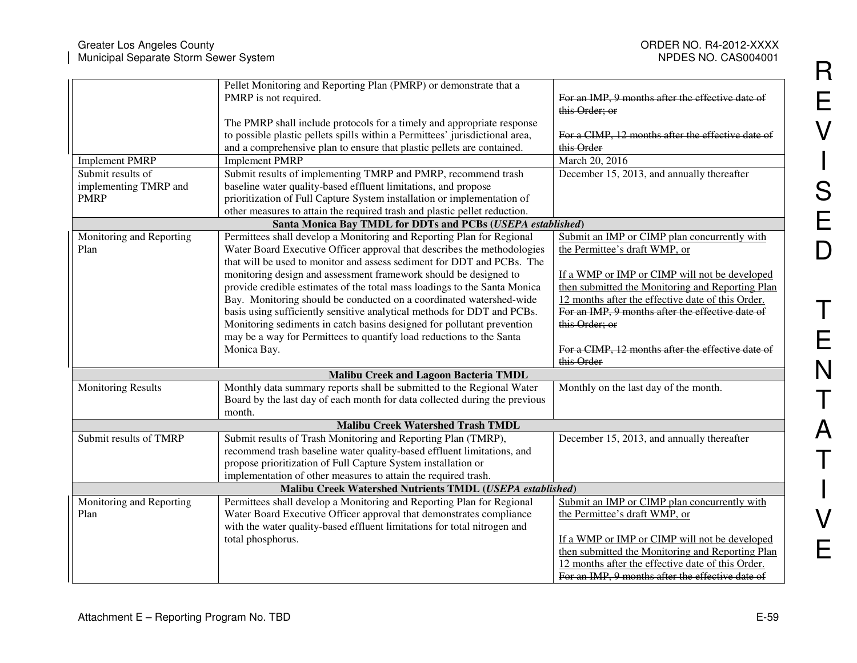|                                                           | Pellet Monitoring and Reporting Plan (PMRP) or demonstrate that a<br>PMRP is not required.                                                                                                                                                                                                                                                                                                                                                                                                                                                                                                              | For an IMP, 9 months after the effective date of<br>this Order; or                                                                                                                                                                                                                                            |
|-----------------------------------------------------------|---------------------------------------------------------------------------------------------------------------------------------------------------------------------------------------------------------------------------------------------------------------------------------------------------------------------------------------------------------------------------------------------------------------------------------------------------------------------------------------------------------------------------------------------------------------------------------------------------------|---------------------------------------------------------------------------------------------------------------------------------------------------------------------------------------------------------------------------------------------------------------------------------------------------------------|
|                                                           | The PMRP shall include protocols for a timely and appropriate response<br>to possible plastic pellets spills within a Permittees' jurisdictional area,<br>and a comprehensive plan to ensure that plastic pellets are contained.                                                                                                                                                                                                                                                                                                                                                                        | For a CIMP, 12 months after the effective date of<br>this Order                                                                                                                                                                                                                                               |
| <b>Implement PMRP</b>                                     | <b>Implement PMRP</b>                                                                                                                                                                                                                                                                                                                                                                                                                                                                                                                                                                                   | March 20, 2016                                                                                                                                                                                                                                                                                                |
| Submit results of<br>implementing TMRP and<br><b>PMRP</b> | Submit results of implementing TMRP and PMRP, recommend trash<br>baseline water quality-based effluent limitations, and propose<br>prioritization of Full Capture System installation or implementation of<br>other measures to attain the required trash and plastic pellet reduction.                                                                                                                                                                                                                                                                                                                 | December 15, 2013, and annually thereafter                                                                                                                                                                                                                                                                    |
|                                                           | Santa Monica Bay TMDL for DDTs and PCBs (USEPA established)                                                                                                                                                                                                                                                                                                                                                                                                                                                                                                                                             |                                                                                                                                                                                                                                                                                                               |
| Monitoring and Reporting<br>Plan                          | Permittees shall develop a Monitoring and Reporting Plan for Regional<br>Water Board Executive Officer approval that describes the methodologies<br>that will be used to monitor and assess sediment for DDT and PCBs. The<br>monitoring design and assessment framework should be designed to<br>provide credible estimates of the total mass loadings to the Santa Monica<br>Bay. Monitoring should be conducted on a coordinated watershed-wide<br>basis using sufficiently sensitive analytical methods for DDT and PCBs.<br>Monitoring sediments in catch basins designed for pollutant prevention | Submit an IMP or CIMP plan concurrently with<br>the Permittee's draft WMP, or<br>If a WMP or IMP or CIMP will not be developed<br>then submitted the Monitoring and Reporting Plan<br>12 months after the effective date of this Order.<br>For an IMP, 9 months after the effective date of<br>this Order; or |
|                                                           | may be a way for Permittees to quantify load reductions to the Santa<br>Monica Bay.                                                                                                                                                                                                                                                                                                                                                                                                                                                                                                                     | For a CIMP, 12 months after the effective date of<br>this Order                                                                                                                                                                                                                                               |
|                                                           | <b>Malibu Creek and Lagoon Bacteria TMDL</b>                                                                                                                                                                                                                                                                                                                                                                                                                                                                                                                                                            |                                                                                                                                                                                                                                                                                                               |
| <b>Monitoring Results</b>                                 | Monthly data summary reports shall be submitted to the Regional Water<br>Board by the last day of each month for data collected during the previous<br>month.                                                                                                                                                                                                                                                                                                                                                                                                                                           | Monthly on the last day of the month.                                                                                                                                                                                                                                                                         |
|                                                           | <b>Malibu Creek Watershed Trash TMDL</b>                                                                                                                                                                                                                                                                                                                                                                                                                                                                                                                                                                |                                                                                                                                                                                                                                                                                                               |
| Submit results of TMRP                                    | Submit results of Trash Monitoring and Reporting Plan (TMRP),<br>recommend trash baseline water quality-based effluent limitations, and<br>propose prioritization of Full Capture System installation or<br>implementation of other measures to attain the required trash.                                                                                                                                                                                                                                                                                                                              | December 15, 2013, and annually thereafter                                                                                                                                                                                                                                                                    |
|                                                           | Malibu Creek Watershed Nutrients TMDL (USEPA established)                                                                                                                                                                                                                                                                                                                                                                                                                                                                                                                                               |                                                                                                                                                                                                                                                                                                               |
| Monitoring and Reporting<br>Plan                          | Permittees shall develop a Monitoring and Reporting Plan for Regional<br>Water Board Executive Officer approval that demonstrates compliance<br>with the water quality-based effluent limitations for total nitrogen and<br>total phosphorus.                                                                                                                                                                                                                                                                                                                                                           | Submit an IMP or CIMP plan concurrently with<br>the Permittee's draft WMP, or<br>If a WMP or IMP or CIMP will not be developed<br>then submitted the Monitoring and Reporting Plan<br>12 months after the effective date of this Order.<br>For an IMP, 9 months after the effective date of                   |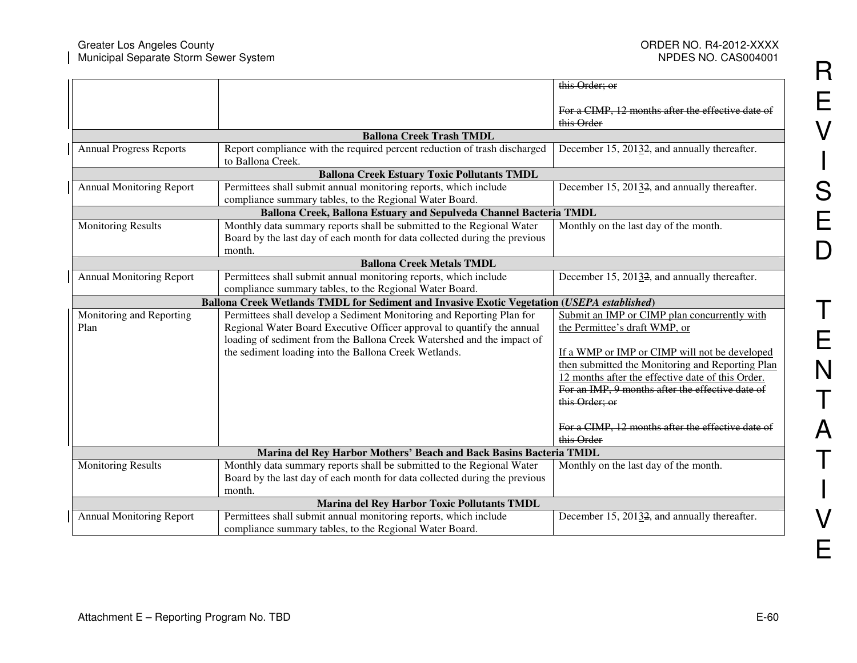|                                                                                             |                                                                                                | this Order; or                                                                                    |
|---------------------------------------------------------------------------------------------|------------------------------------------------------------------------------------------------|---------------------------------------------------------------------------------------------------|
|                                                                                             |                                                                                                | For a CIMP, 12 months after the effective date of<br>this Order                                   |
|                                                                                             | <b>Ballona Creek Trash TMDL</b>                                                                |                                                                                                   |
| <b>Annual Progress Reports</b>                                                              | Report compliance with the required percent reduction of trash discharged<br>to Ballona Creek. | December 15, 20132, and annually thereafter.                                                      |
|                                                                                             | <b>Ballona Creek Estuary Toxic Pollutants TMDL</b>                                             |                                                                                                   |
| <b>Annual Monitoring Report</b>                                                             | Permittees shall submit annual monitoring reports, which include                               | December 15, 20132, and annually thereafter.                                                      |
|                                                                                             | compliance summary tables, to the Regional Water Board.                                        |                                                                                                   |
|                                                                                             | Ballona Creek, Ballona Estuary and Sepulveda Channel Bacteria TMDL                             |                                                                                                   |
| <b>Monitoring Results</b>                                                                   | Monthly data summary reports shall be submitted to the Regional Water                          | Monthly on the last day of the month.                                                             |
|                                                                                             | Board by the last day of each month for data collected during the previous                     |                                                                                                   |
|                                                                                             | month.                                                                                         |                                                                                                   |
|                                                                                             | <b>Ballona Creek Metals TMDL</b>                                                               |                                                                                                   |
| <b>Annual Monitoring Report</b>                                                             | Permittees shall submit annual monitoring reports, which include                               | December 15, 20132, and annually thereafter.                                                      |
| compliance summary tables, to the Regional Water Board.                                     |                                                                                                |                                                                                                   |
| Ballona Creek Wetlands TMDL for Sediment and Invasive Exotic Vegetation (USEPA established) |                                                                                                |                                                                                                   |
| Monitoring and Reporting                                                                    | Permittees shall develop a Sediment Monitoring and Reporting Plan for                          | Submit an IMP or CIMP plan concurrently with                                                      |
| Plan                                                                                        | Regional Water Board Executive Officer approval to quantify the annual                         | the Permittee's draft WMP, or                                                                     |
|                                                                                             | loading of sediment from the Ballona Creek Watershed and the impact of                         |                                                                                                   |
|                                                                                             | the sediment loading into the Ballona Creek Wetlands.                                          | If a WMP or IMP or CIMP will not be developed<br>then submitted the Monitoring and Reporting Plan |
|                                                                                             |                                                                                                | 12 months after the effective date of this Order.                                                 |
|                                                                                             |                                                                                                | For an IMP, 9 months after the effective date of                                                  |
|                                                                                             |                                                                                                | this Order; or                                                                                    |
|                                                                                             |                                                                                                |                                                                                                   |
|                                                                                             |                                                                                                | For a CIMP, 12 months after the effective date of                                                 |
|                                                                                             |                                                                                                | this Order                                                                                        |
|                                                                                             | Marina del Rey Harbor Mothers' Beach and Back Basins Bacteria TMDL                             |                                                                                                   |
| <b>Monitoring Results</b>                                                                   | Monthly data summary reports shall be submitted to the Regional Water                          | Monthly on the last day of the month.                                                             |
|                                                                                             | Board by the last day of each month for data collected during the previous                     |                                                                                                   |
|                                                                                             | month.                                                                                         |                                                                                                   |
|                                                                                             | Marina del Rey Harbor Toxic Pollutants TMDL                                                    |                                                                                                   |
| <b>Annual Monitoring Report</b>                                                             | Permittees shall submit annual monitoring reports, which include                               | December 15, 20132, and annually thereafter.                                                      |
|                                                                                             | compliance summary tables, to the Regional Water Board.                                        |                                                                                                   |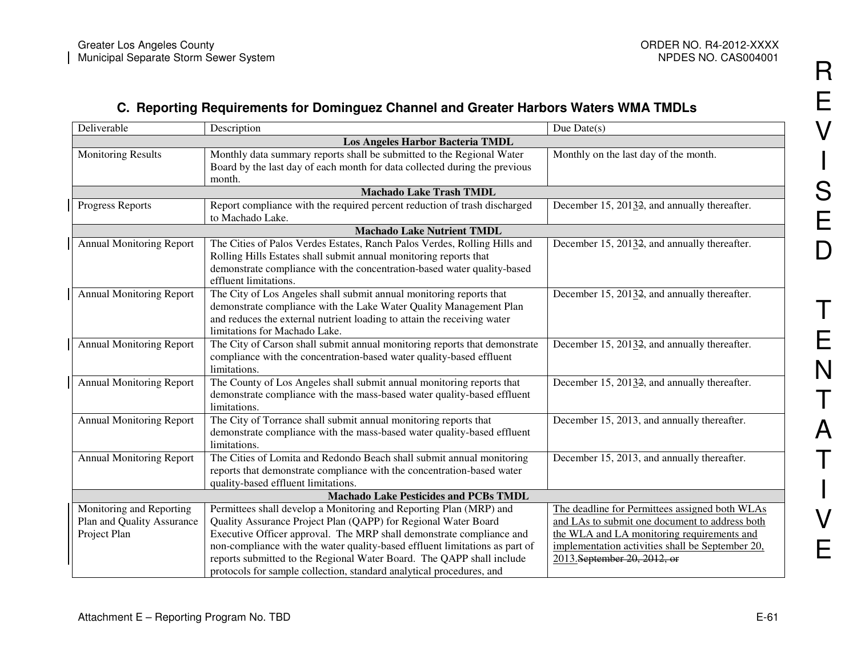### **C. Reporting Requirements for Dominguez Channel and Greater Harbors Waters WMA TMDLs**

| Deliverable                      | Description                                                                 | Due $Date(s)$                                    |  |  |
|----------------------------------|-----------------------------------------------------------------------------|--------------------------------------------------|--|--|
| Los Angeles Harbor Bacteria TMDL |                                                                             |                                                  |  |  |
| <b>Monitoring Results</b>        | Monthly data summary reports shall be submitted to the Regional Water       | Monthly on the last day of the month.            |  |  |
|                                  | Board by the last day of each month for data collected during the previous  |                                                  |  |  |
|                                  | month.                                                                      |                                                  |  |  |
|                                  | <b>Machado Lake Trash TMDL</b>                                              |                                                  |  |  |
| Progress Reports                 | Report compliance with the required percent reduction of trash discharged   | December 15, 20132, and annually thereafter.     |  |  |
|                                  | to Machado Lake.                                                            |                                                  |  |  |
|                                  | <b>Machado Lake Nutrient TMDL</b>                                           |                                                  |  |  |
| <b>Annual Monitoring Report</b>  | The Cities of Palos Verdes Estates, Ranch Palos Verdes, Rolling Hills and   | December 15, 20132, and annually thereafter.     |  |  |
|                                  | Rolling Hills Estates shall submit annual monitoring reports that           |                                                  |  |  |
|                                  | demonstrate compliance with the concentration-based water quality-based     |                                                  |  |  |
|                                  | effluent limitations.                                                       |                                                  |  |  |
| <b>Annual Monitoring Report</b>  | The City of Los Angeles shall submit annual monitoring reports that         | December 15, 20132, and annually thereafter.     |  |  |
|                                  | demonstrate compliance with the Lake Water Quality Management Plan          |                                                  |  |  |
|                                  | and reduces the external nutrient loading to attain the receiving water     |                                                  |  |  |
|                                  | limitations for Machado Lake.                                               |                                                  |  |  |
| <b>Annual Monitoring Report</b>  | The City of Carson shall submit annual monitoring reports that demonstrate  | December 15, 20132, and annually thereafter.     |  |  |
|                                  | compliance with the concentration-based water quality-based effluent        |                                                  |  |  |
|                                  | limitations.                                                                |                                                  |  |  |
| <b>Annual Monitoring Report</b>  | The County of Los Angeles shall submit annual monitoring reports that       | December 15, 20132, and annually thereafter.     |  |  |
|                                  | demonstrate compliance with the mass-based water quality-based effluent     |                                                  |  |  |
|                                  | limitations.                                                                |                                                  |  |  |
| <b>Annual Monitoring Report</b>  | The City of Torrance shall submit annual monitoring reports that            | December 15, 2013, and annually thereafter.      |  |  |
|                                  | demonstrate compliance with the mass-based water quality-based effluent     |                                                  |  |  |
|                                  | limitations.                                                                |                                                  |  |  |
| <b>Annual Monitoring Report</b>  | The Cities of Lomita and Redondo Beach shall submit annual monitoring       | December 15, 2013, and annually thereafter.      |  |  |
|                                  | reports that demonstrate compliance with the concentration-based water      |                                                  |  |  |
|                                  | quality-based effluent limitations.                                         |                                                  |  |  |
|                                  | <b>Machado Lake Pesticides and PCBs TMDL</b>                                |                                                  |  |  |
| Monitoring and Reporting         | Permittees shall develop a Monitoring and Reporting Plan (MRP) and          | The deadline for Permittees assigned both WLAs   |  |  |
| Plan and Quality Assurance       | Quality Assurance Project Plan (QAPP) for Regional Water Board              | and LAs to submit one document to address both   |  |  |
| Project Plan                     | Executive Officer approval. The MRP shall demonstrate compliance and        | the WLA and LA monitoring requirements and       |  |  |
|                                  | non-compliance with the water quality-based effluent limitations as part of | implementation activities shall be September 20, |  |  |
|                                  | reports submitted to the Regional Water Board. The QAPP shall include       | 2013. September 20, 2012, or                     |  |  |
|                                  | protocols for sample collection, standard analytical procedures, and        |                                                  |  |  |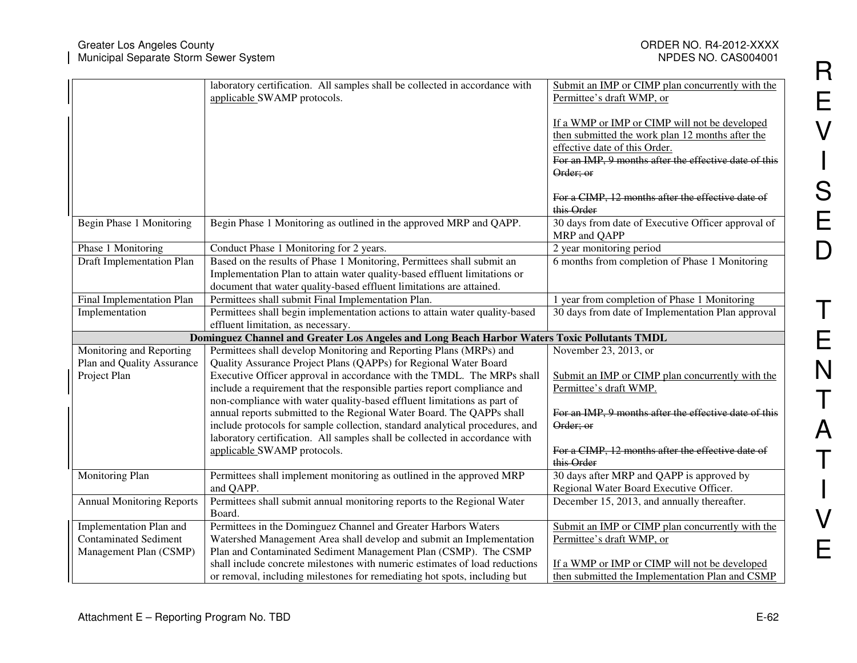|                                                                                              |                                  | laboratory certification. All samples shall be collected in accordance with<br>applicable SWAMP protocols.                                               | Submit an IMP or CIMP plan concurrently with the<br>Permittee's draft WMP, or                     |
|----------------------------------------------------------------------------------------------|----------------------------------|----------------------------------------------------------------------------------------------------------------------------------------------------------|---------------------------------------------------------------------------------------------------|
|                                                                                              |                                  |                                                                                                                                                          | If a WMP or IMP or CIMP will not be developed<br>then submitted the work plan 12 months after the |
|                                                                                              |                                  |                                                                                                                                                          | effective date of this Order.                                                                     |
|                                                                                              |                                  |                                                                                                                                                          | For an IMP, 9 months after the effective date of this                                             |
|                                                                                              |                                  |                                                                                                                                                          | Order; or                                                                                         |
|                                                                                              |                                  |                                                                                                                                                          | For a CIMP, 12 months after the effective date of<br>this Order                                   |
|                                                                                              | Begin Phase 1 Monitoring         | Begin Phase 1 Monitoring as outlined in the approved MRP and QAPP.                                                                                       | 30 days from date of Executive Officer approval of<br>MRP and QAPP                                |
|                                                                                              | Phase 1 Monitoring               | Conduct Phase 1 Monitoring for 2 years.                                                                                                                  | 2 year monitoring period                                                                          |
|                                                                                              | <b>Draft Implementation Plan</b> | Based on the results of Phase 1 Monitoring, Permittees shall submit an<br>Implementation Plan to attain water quality-based effluent limitations or      | 6 months from completion of Phase 1 Monitoring                                                    |
|                                                                                              |                                  | document that water quality-based effluent limitations are attained.                                                                                     |                                                                                                   |
|                                                                                              | Final Implementation Plan        | Permittees shall submit Final Implementation Plan.                                                                                                       | 1 year from completion of Phase 1 Monitoring                                                      |
|                                                                                              | Implementation                   | Permittees shall begin implementation actions to attain water quality-based                                                                              | 30 days from date of Implementation Plan approval                                                 |
|                                                                                              |                                  | effluent limitation, as necessary.                                                                                                                       |                                                                                                   |
| Dominguez Channel and Greater Los Angeles and Long Beach Harbor Waters Toxic Pollutants TMDL |                                  |                                                                                                                                                          |                                                                                                   |
|                                                                                              |                                  |                                                                                                                                                          |                                                                                                   |
|                                                                                              | Monitoring and Reporting         | Permittees shall develop Monitoring and Reporting Plans (MRPs) and                                                                                       | November 23, 2013, or                                                                             |
|                                                                                              | Plan and Quality Assurance       | Quality Assurance Project Plans (QAPPs) for Regional Water Board                                                                                         |                                                                                                   |
|                                                                                              | Project Plan                     | Executive Officer approval in accordance with the TMDL. The MRPs shall                                                                                   | Submit an IMP or CIMP plan concurrently with the                                                  |
|                                                                                              |                                  | include a requirement that the responsible parties report compliance and                                                                                 | Permittee's draft WMP.                                                                            |
|                                                                                              |                                  | non-compliance with water quality-based effluent limitations as part of                                                                                  |                                                                                                   |
|                                                                                              |                                  | annual reports submitted to the Regional Water Board. The QAPPs shall                                                                                    | For an IMP, 9 months after the effective date of this                                             |
|                                                                                              |                                  | include protocols for sample collection, standard analytical procedures, and                                                                             | Order; or                                                                                         |
|                                                                                              |                                  | laboratory certification. All samples shall be collected in accordance with                                                                              |                                                                                                   |
|                                                                                              |                                  | applicable SWAMP protocols.                                                                                                                              | For a CIMP, 12 months after the effective date of<br>this Order                                   |
|                                                                                              | Monitoring Plan                  | Permittees shall implement monitoring as outlined in the approved MRP                                                                                    | 30 days after MRP and QAPP is approved by                                                         |
|                                                                                              |                                  | and QAPP.                                                                                                                                                | Regional Water Board Executive Officer.                                                           |
|                                                                                              | <b>Annual Monitoring Reports</b> | Permittees shall submit annual monitoring reports to the Regional Water<br>Board.                                                                        | December 15, 2013, and annually thereafter.                                                       |
|                                                                                              | Implementation Plan and          | Permittees in the Dominguez Channel and Greater Harbors Waters                                                                                           | Submit an IMP or CIMP plan concurrently with the                                                  |
|                                                                                              | <b>Contaminated Sediment</b>     | Watershed Management Area shall develop and submit an Implementation                                                                                     | Permittee's draft WMP, or                                                                         |
|                                                                                              | Management Plan (CSMP)           | Plan and Contaminated Sediment Management Plan (CSMP). The CSMP                                                                                          |                                                                                                   |
|                                                                                              |                                  | shall include concrete milestones with numeric estimates of load reductions<br>or removal, including milestones for remediating hot spots, including but | If a WMP or IMP or CIMP will not be developed<br>then submitted the Implementation Plan and CSMP  |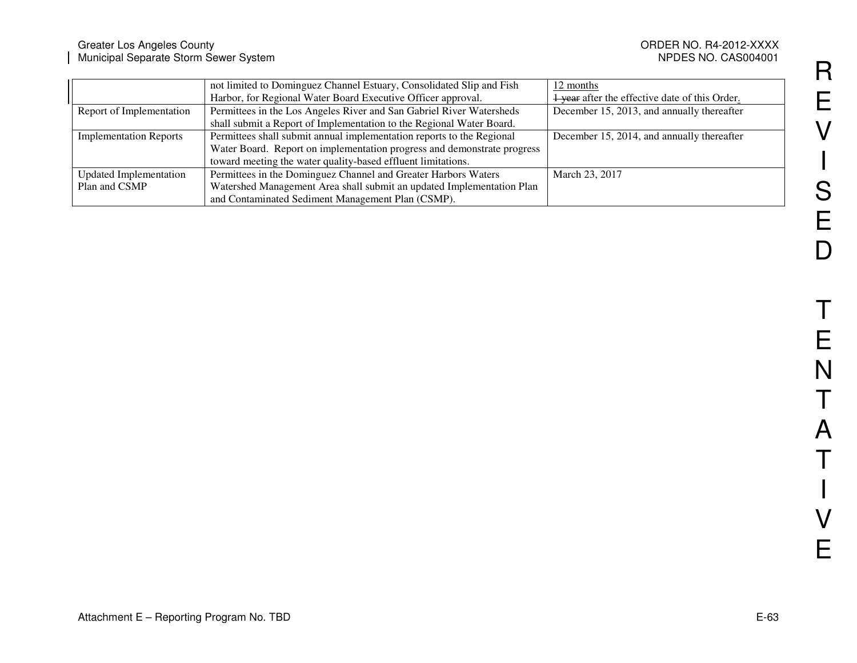#### Greater Los Angeles County ORDER NO. R4-2012-XXXX Municipal Separate Storm Sewer System NPDES NO. CAS004001

NPDES NO. CAS004001

|                               | not limited to Dominguez Channel Estuary, Consolidated Slip and Fish    | 12 months                                      |
|-------------------------------|-------------------------------------------------------------------------|------------------------------------------------|
|                               | Harbor, for Regional Water Board Executive Officer approval.            | 1 year after the effective date of this Order. |
| Report of Implementation      | Permittees in the Los Angeles River and San Gabriel River Watersheds    | December 15, 2013, and annually thereafter     |
|                               | shall submit a Report of Implementation to the Regional Water Board.    |                                                |
| <b>Implementation Reports</b> | Permittees shall submit annual implementation reports to the Regional   | December 15, 2014, and annually thereafter     |
|                               | Water Board. Report on implementation progress and demonstrate progress |                                                |
|                               | toward meeting the water quality-based effluent limitations.            |                                                |
| <b>Updated Implementation</b> | Permittees in the Dominguez Channel and Greater Harbors Waters          | March 23, 2017                                 |
| Plan and CSMP                 | Watershed Management Area shall submit an updated Implementation Plan   |                                                |
|                               | and Contaminated Sediment Management Plan (CSMP).                       |                                                |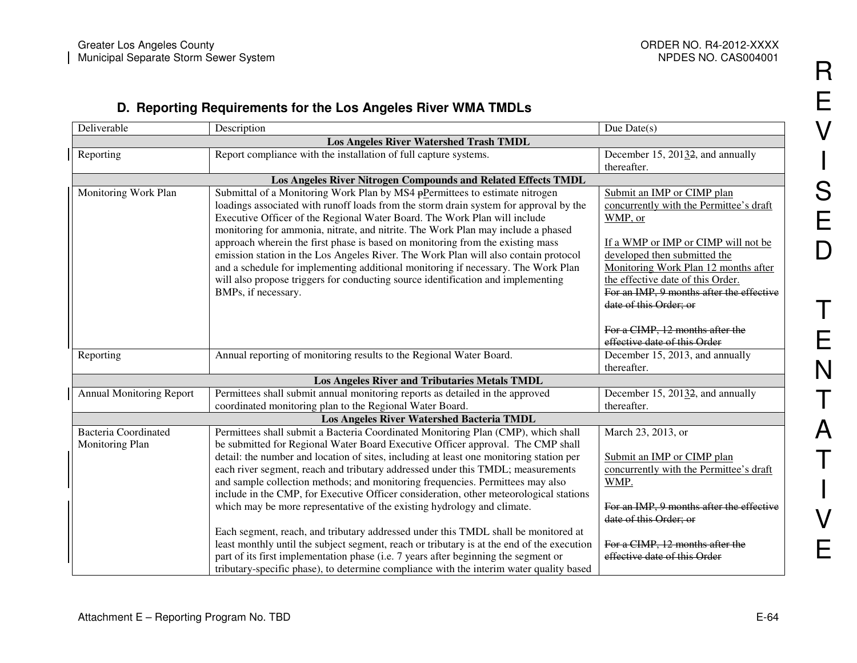R

E

V

**International Contract Contract Contract Contract Contract Contract Contract Contract Contract Contract Contra** 

 $\overline{\phantom{a}}$ 

S

E

D

T

E

N

T

A

T

V

 $\mathbf{I}$ 

E

#### **D. Reporting Requirements for the Los Angeles River WMA TMDLs**

|                                                               | Deliverable                                    | Description                                                                                                                                                                                                                                                                                                                                                                                                                                                                                                                                                                                                                                                                                                                 | Due $Date(s)$                                                                                                                                                                                                                                                                    |
|---------------------------------------------------------------|------------------------------------------------|-----------------------------------------------------------------------------------------------------------------------------------------------------------------------------------------------------------------------------------------------------------------------------------------------------------------------------------------------------------------------------------------------------------------------------------------------------------------------------------------------------------------------------------------------------------------------------------------------------------------------------------------------------------------------------------------------------------------------------|----------------------------------------------------------------------------------------------------------------------------------------------------------------------------------------------------------------------------------------------------------------------------------|
| <b>Los Angeles River Watershed Trash TMDL</b>                 |                                                |                                                                                                                                                                                                                                                                                                                                                                                                                                                                                                                                                                                                                                                                                                                             |                                                                                                                                                                                                                                                                                  |
|                                                               | Reporting                                      | Report compliance with the installation of full capture systems.                                                                                                                                                                                                                                                                                                                                                                                                                                                                                                                                                                                                                                                            | December 15, 20132, and annually                                                                                                                                                                                                                                                 |
|                                                               |                                                |                                                                                                                                                                                                                                                                                                                                                                                                                                                                                                                                                                                                                                                                                                                             | thereafter.                                                                                                                                                                                                                                                                      |
| Los Angeles River Nitrogen Compounds and Related Effects TMDL |                                                |                                                                                                                                                                                                                                                                                                                                                                                                                                                                                                                                                                                                                                                                                                                             |                                                                                                                                                                                                                                                                                  |
|                                                               | Monitoring Work Plan                           | Submittal of a Monitoring Work Plan by MS4 $\frac{1}{P}$ Permittees to estimate nitrogen<br>loadings associated with runoff loads from the storm drain system for approval by the<br>Executive Officer of the Regional Water Board. The Work Plan will include<br>monitoring for ammonia, nitrate, and nitrite. The Work Plan may include a phased<br>approach wherein the first phase is based on monitoring from the existing mass<br>emission station in the Los Angeles River. The Work Plan will also contain protocol<br>and a schedule for implementing additional monitoring if necessary. The Work Plan<br>will also propose triggers for conducting source identification and implementing<br>BMPs, if necessary. | Submit an IMP or CIMP plan<br>concurrently with the Permittee's draft<br>WMP, or<br>If a WMP or IMP or CIMP will not be<br>developed then submitted the<br>Monitoring Work Plan 12 months after<br>the effective date of this Order.<br>For an IMP, 9 months after the effective |
|                                                               | Reporting                                      | Annual reporting of monitoring results to the Regional Water Board.                                                                                                                                                                                                                                                                                                                                                                                                                                                                                                                                                                                                                                                         | date of this Order; or<br>For a CIMP, 12 months after the<br>effective date of this Order<br>December 15, 2013, and annually<br>thereafter.                                                                                                                                      |
|                                                               |                                                | Los Angeles River and Tributaries Metals TMDL                                                                                                                                                                                                                                                                                                                                                                                                                                                                                                                                                                                                                                                                               |                                                                                                                                                                                                                                                                                  |
|                                                               | <b>Annual Monitoring Report</b>                | Permittees shall submit annual monitoring reports as detailed in the approved<br>coordinated monitoring plan to the Regional Water Board.                                                                                                                                                                                                                                                                                                                                                                                                                                                                                                                                                                                   | December 15, 20132, and annually<br>thereafter.                                                                                                                                                                                                                                  |
| Los Angeles River Watershed Bacteria TMDL                     |                                                |                                                                                                                                                                                                                                                                                                                                                                                                                                                                                                                                                                                                                                                                                                                             |                                                                                                                                                                                                                                                                                  |
|                                                               | <b>Bacteria Coordinated</b><br>Monitoring Plan | Permittees shall submit a Bacteria Coordinated Monitoring Plan (CMP), which shall<br>be submitted for Regional Water Board Executive Officer approval. The CMP shall<br>detail: the number and location of sites, including at least one monitoring station per<br>each river segment, reach and tributary addressed under this TMDL; measurements<br>and sample collection methods; and monitoring frequencies. Permittees may also<br>include in the CMP, for Executive Officer consideration, other meteorological stations                                                                                                                                                                                              | March 23, 2013, or<br>Submit an IMP or CIMP plan<br>concurrently with the Permittee's draft<br>WMP.                                                                                                                                                                              |
|                                                               |                                                | which may be more representative of the existing hydrology and climate.<br>Each segment, reach, and tributary addressed under this TMDL shall be monitored at<br>least monthly until the subject segment, reach or tributary is at the end of the execution<br>part of its first implementation phase (i.e. 7 years after beginning the segment or<br>tributary-specific phase), to determine compliance with the interim water quality based                                                                                                                                                                                                                                                                               | For an IMP, 9 months after the effective<br>date of this Order; or<br>For a CIMP, 12 months after the<br>effective date of this Order                                                                                                                                            |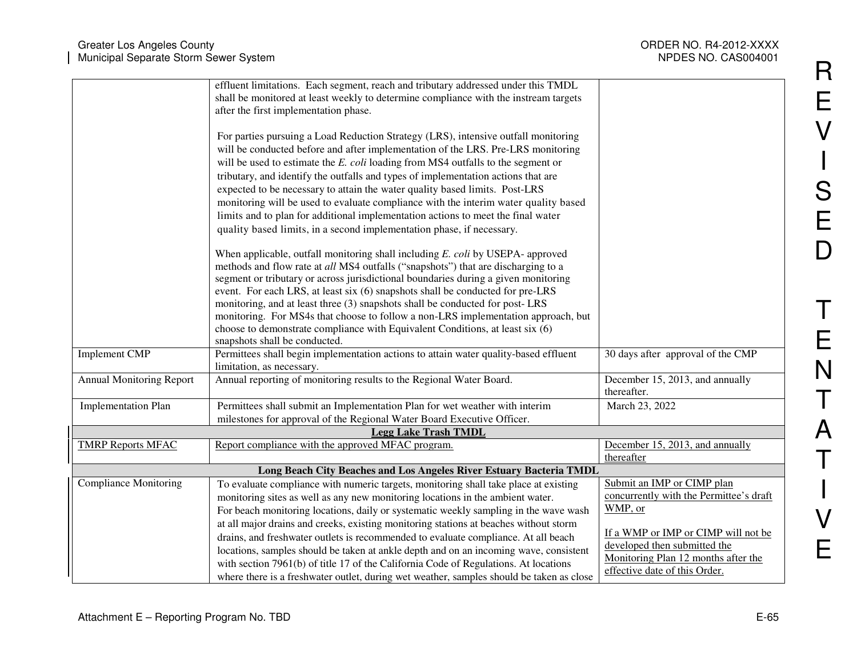| <b>Greater Los Angeles County</b><br>Municipal Separate Storm Sewer System |                                                                                                                                                                                                                                                                                                                                                                                                                                                                                                                                                                                                                                                                                                                                                                                                                                                                                                          | ORDER NO. R4-2012-XXXX<br>NPDES NO. CAS004001                                                                                                                                                  |
|----------------------------------------------------------------------------|----------------------------------------------------------------------------------------------------------------------------------------------------------------------------------------------------------------------------------------------------------------------------------------------------------------------------------------------------------------------------------------------------------------------------------------------------------------------------------------------------------------------------------------------------------------------------------------------------------------------------------------------------------------------------------------------------------------------------------------------------------------------------------------------------------------------------------------------------------------------------------------------------------|------------------------------------------------------------------------------------------------------------------------------------------------------------------------------------------------|
|                                                                            | effluent limitations. Each segment, reach and tributary addressed under this TMDL<br>shall be monitored at least weekly to determine compliance with the instream targets<br>after the first implementation phase.<br>For parties pursuing a Load Reduction Strategy (LRS), intensive outfall monitoring<br>will be conducted before and after implementation of the LRS. Pre-LRS monitoring<br>will be used to estimate the E. coli loading from MS4 outfalls to the segment or<br>tributary, and identify the outfalls and types of implementation actions that are<br>expected to be necessary to attain the water quality based limits. Post-LRS<br>monitoring will be used to evaluate compliance with the interim water quality based<br>limits and to plan for additional implementation actions to meet the final water<br>quality based limits, in a second implementation phase, if necessary. |                                                                                                                                                                                                |
|                                                                            | When applicable, outfall monitoring shall including E. coli by USEPA- approved<br>methods and flow rate at all MS4 outfalls ("snapshots") that are discharging to a<br>segment or tributary or across jurisdictional boundaries during a given monitoring<br>event. For each LRS, at least six (6) snapshots shall be conducted for pre-LRS<br>monitoring, and at least three (3) snapshots shall be conducted for post-LRS<br>monitoring. For MS4s that choose to follow a non-LRS implementation approach, but<br>choose to demonstrate compliance with Equivalent Conditions, at least six (6)<br>snapshots shall be conducted.                                                                                                                                                                                                                                                                       |                                                                                                                                                                                                |
| Implement CMP                                                              | Permittees shall begin implementation actions to attain water quality-based effluent<br>limitation, as necessary.                                                                                                                                                                                                                                                                                                                                                                                                                                                                                                                                                                                                                                                                                                                                                                                        | 30 days after approval of the CMP                                                                                                                                                              |
| <b>Annual Monitoring Report</b>                                            | Annual reporting of monitoring results to the Regional Water Board.                                                                                                                                                                                                                                                                                                                                                                                                                                                                                                                                                                                                                                                                                                                                                                                                                                      | December 15, 2013, and annually<br>thereafter.                                                                                                                                                 |
| <b>Implementation Plan</b>                                                 | Permittees shall submit an Implementation Plan for wet weather with interim<br>milestones for approval of the Regional Water Board Executive Officer.                                                                                                                                                                                                                                                                                                                                                                                                                                                                                                                                                                                                                                                                                                                                                    | March 23, 2022                                                                                                                                                                                 |
|                                                                            | <b>Legg Lake Trash TMDL</b>                                                                                                                                                                                                                                                                                                                                                                                                                                                                                                                                                                                                                                                                                                                                                                                                                                                                              |                                                                                                                                                                                                |
| <b>TMRP Reports MFAC</b>                                                   | Report compliance with the approved MFAC program.                                                                                                                                                                                                                                                                                                                                                                                                                                                                                                                                                                                                                                                                                                                                                                                                                                                        | December 15, 2013, and annually<br>thereafter                                                                                                                                                  |
|                                                                            | Long Beach City Beaches and Los Angeles River Estuary Bacteria TMDL                                                                                                                                                                                                                                                                                                                                                                                                                                                                                                                                                                                                                                                                                                                                                                                                                                      |                                                                                                                                                                                                |
| <b>Compliance Monitoring</b>                                               | To evaluate compliance with numeric targets, monitoring shall take place at existing<br>monitoring sites as well as any new monitoring locations in the ambient water.<br>For beach monitoring locations, daily or systematic weekly sampling in the wave wash<br>at all major drains and creeks, existing monitoring stations at beaches without storm<br>drains, and freshwater outlets is recommended to evaluate compliance. At all beach<br>locations, samples should be taken at ankle depth and on an incoming wave, consistent<br>with section 7961(b) of title 17 of the California Code of Regulations. At locations                                                                                                                                                                                                                                                                           | Submit an IMP or CIMP plan<br>concurrently with the Permittee's draft<br>WMP, or<br>If a WMP or IMP or CIMP will not be<br>developed then submitted the<br>Monitoring Plan 12 months after the |
|                                                                            | where there is a freshwater outlet, during wet weather, samples should be taken as close                                                                                                                                                                                                                                                                                                                                                                                                                                                                                                                                                                                                                                                                                                                                                                                                                 | effective date of this Order.                                                                                                                                                                  |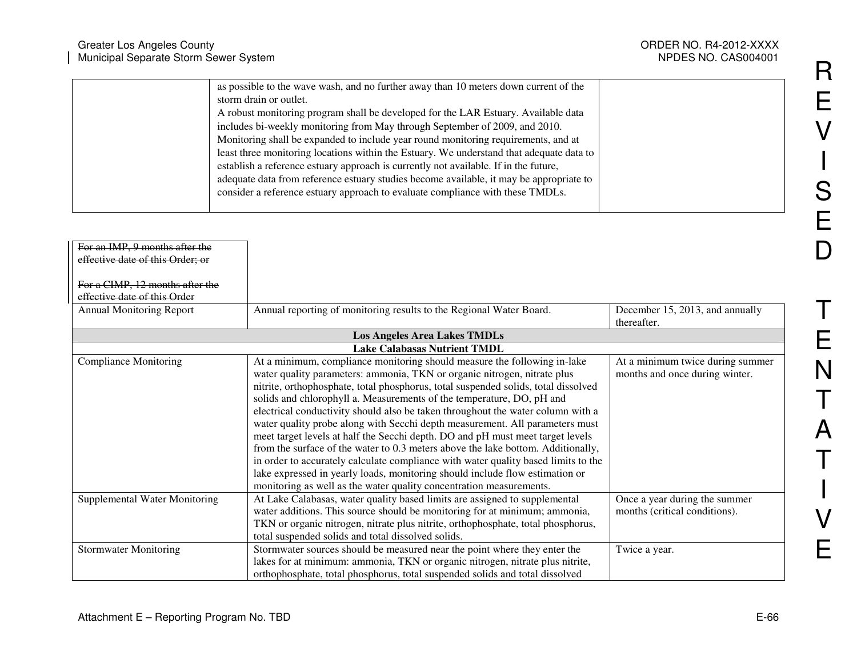| Greater Los Angeles County                                                                                                                                                                                                                                                                                                                                                                                                                                                                                                                                                                                                                                                                                                                 | ORDER NO. R4-2012-XXXX |
|--------------------------------------------------------------------------------------------------------------------------------------------------------------------------------------------------------------------------------------------------------------------------------------------------------------------------------------------------------------------------------------------------------------------------------------------------------------------------------------------------------------------------------------------------------------------------------------------------------------------------------------------------------------------------------------------------------------------------------------------|------------------------|
| Municipal Separate Storm Sewer System                                                                                                                                                                                                                                                                                                                                                                                                                                                                                                                                                                                                                                                                                                      | NPDES NO. CAS004001    |
| as possible to the wave wash, and no further away than 10 meters down current of the<br>storm drain or outlet.<br>A robust monitoring program shall be developed for the LAR Estuary. Available data<br>includes bi-weekly monitoring from May through September of 2009, and 2010.<br>Monitoring shall be expanded to include year round monitoring requirements, and at<br>least three monitoring locations within the Estuary. We understand that adequate data to<br>establish a reference estuary approach is currently not available. If in the future,<br>adequate data from reference estuary studies become available, it may be appropriate to<br>consider a reference estuary approach to evaluate compliance with these TMDLs. |                        |

| For an IMP, 9 months after the   |                                                                                    |                                  |
|----------------------------------|------------------------------------------------------------------------------------|----------------------------------|
| effective date of this Order; or |                                                                                    |                                  |
|                                  |                                                                                    |                                  |
| For a CIMP, 12 months after the  |                                                                                    |                                  |
| effective date of this Order     |                                                                                    |                                  |
| <b>Annual Monitoring Report</b>  | Annual reporting of monitoring results to the Regional Water Board.                | December 15, 2013, and annually  |
|                                  |                                                                                    | thereafter.                      |
|                                  | <b>Los Angeles Area Lakes TMDLs</b>                                                |                                  |
|                                  | <b>Lake Calabasas Nutrient TMDL</b>                                                |                                  |
| <b>Compliance Monitoring</b>     | At a minimum, compliance monitoring should measure the following in-lake           | At a minimum twice during summer |
|                                  | water quality parameters: ammonia, TKN or organic nitrogen, nitrate plus           | months and once during winter.   |
|                                  | nitrite, orthophosphate, total phosphorus, total suspended solids, total dissolved |                                  |
|                                  | solids and chlorophyll a. Measurements of the temperature, DO, pH and              |                                  |
|                                  | electrical conductivity should also be taken throughout the water column with a    |                                  |
|                                  | water quality probe along with Secchi depth measurement. All parameters must       |                                  |
|                                  | meet target levels at half the Secchi depth. DO and pH must meet target levels     |                                  |
|                                  | from the surface of the water to 0.3 meters above the lake bottom. Additionally,   |                                  |
|                                  | in order to accurately calculate compliance with water quality based limits to the |                                  |
|                                  | lake expressed in yearly loads, monitoring should include flow estimation or       |                                  |
|                                  | monitoring as well as the water quality concentration measurements.                |                                  |
| Supplemental Water Monitoring    | At Lake Calabasas, water quality based limits are assigned to supplemental         | Once a year during the summer    |
|                                  | water additions. This source should be monitoring for at minimum; ammonia,         | months (critical conditions).    |
|                                  | TKN or organic nitrogen, nitrate plus nitrite, orthophosphate, total phosphorus,   |                                  |
|                                  | total suspended solids and total dissolved solids.                                 |                                  |
| <b>Stormwater Monitoring</b>     | Stormwater sources should be measured near the point where they enter the          | Twice a year.                    |
|                                  | lakes for at minimum: ammonia, TKN or organic nitrogen, nitrate plus nitrite,      |                                  |
|                                  | orthophosphate, total phosphorus, total suspended solids and total dissolved       |                                  |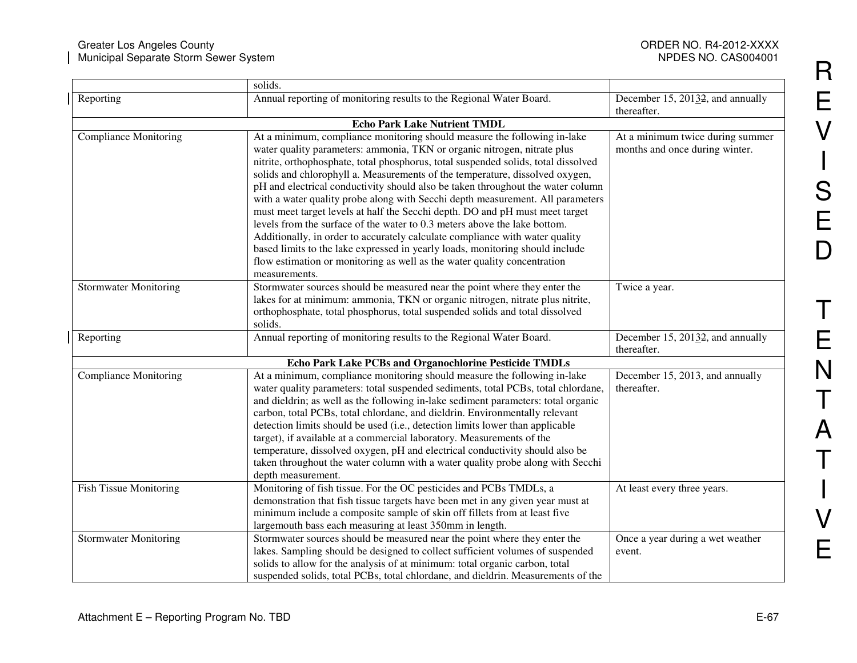|                               | solids.                                                                                                                                                                                                                                                                                                                                                                                                                                                                                                                                                                                                                                                                                                                                                                                                                                                                                                                    |                                                                    |
|-------------------------------|----------------------------------------------------------------------------------------------------------------------------------------------------------------------------------------------------------------------------------------------------------------------------------------------------------------------------------------------------------------------------------------------------------------------------------------------------------------------------------------------------------------------------------------------------------------------------------------------------------------------------------------------------------------------------------------------------------------------------------------------------------------------------------------------------------------------------------------------------------------------------------------------------------------------------|--------------------------------------------------------------------|
| Reporting                     | Annual reporting of monitoring results to the Regional Water Board.                                                                                                                                                                                                                                                                                                                                                                                                                                                                                                                                                                                                                                                                                                                                                                                                                                                        | December 15, 20132, and annually<br>thereafter.                    |
|                               | <b>Echo Park Lake Nutrient TMDL</b>                                                                                                                                                                                                                                                                                                                                                                                                                                                                                                                                                                                                                                                                                                                                                                                                                                                                                        |                                                                    |
| <b>Compliance Monitoring</b>  | At a minimum, compliance monitoring should measure the following in-lake<br>water quality parameters: ammonia, TKN or organic nitrogen, nitrate plus<br>nitrite, orthophosphate, total phosphorus, total suspended solids, total dissolved<br>solids and chlorophyll a. Measurements of the temperature, dissolved oxygen,<br>pH and electrical conductivity should also be taken throughout the water column<br>with a water quality probe along with Secchi depth measurement. All parameters<br>must meet target levels at half the Secchi depth. DO and pH must meet target<br>levels from the surface of the water to 0.3 meters above the lake bottom.<br>Additionally, in order to accurately calculate compliance with water quality<br>based limits to the lake expressed in yearly loads, monitoring should include<br>flow estimation or monitoring as well as the water quality concentration<br>measurements. | At a minimum twice during summer<br>months and once during winter. |
| <b>Stormwater Monitoring</b>  | Stormwater sources should be measured near the point where they enter the<br>lakes for at minimum: ammonia, TKN or organic nitrogen, nitrate plus nitrite,<br>orthophosphate, total phosphorus, total suspended solids and total dissolved<br>solids.                                                                                                                                                                                                                                                                                                                                                                                                                                                                                                                                                                                                                                                                      | Twice a year.                                                      |
| Reporting                     | Annual reporting of monitoring results to the Regional Water Board.                                                                                                                                                                                                                                                                                                                                                                                                                                                                                                                                                                                                                                                                                                                                                                                                                                                        | December 15, 20132, and annually<br>thereafter.                    |
|                               | Echo Park Lake PCBs and Organochlorine Pesticide TMDLs                                                                                                                                                                                                                                                                                                                                                                                                                                                                                                                                                                                                                                                                                                                                                                                                                                                                     |                                                                    |
| <b>Compliance Monitoring</b>  | At a minimum, compliance monitoring should measure the following in-lake<br>water quality parameters: total suspended sediments, total PCBs, total chlordane,<br>and dieldrin; as well as the following in-lake sediment parameters: total organic<br>carbon, total PCBs, total chlordane, and dieldrin. Environmentally relevant<br>detection limits should be used (i.e., detection limits lower than applicable<br>target), if available at a commercial laboratory. Measurements of the<br>temperature, dissolved oxygen, pH and electrical conductivity should also be<br>taken throughout the water column with a water quality probe along with Secchi<br>depth measurement.                                                                                                                                                                                                                                        | December 15, 2013, and annually<br>thereafter.                     |
| <b>Fish Tissue Monitoring</b> | Monitoring of fish tissue. For the OC pesticides and PCBs TMDLs, a<br>demonstration that fish tissue targets have been met in any given year must at<br>minimum include a composite sample of skin off fillets from at least five<br>largemouth bass each measuring at least 350mm in length.                                                                                                                                                                                                                                                                                                                                                                                                                                                                                                                                                                                                                              | At least every three years.                                        |
| <b>Stormwater Monitoring</b>  | Stormwater sources should be measured near the point where they enter the<br>lakes. Sampling should be designed to collect sufficient volumes of suspended<br>solids to allow for the analysis of at minimum: total organic carbon, total<br>suspended solids, total PCBs, total chlordane, and dieldrin. Measurements of the                                                                                                                                                                                                                                                                                                                                                                                                                                                                                                                                                                                              | Once a year during a wet weather<br>event.                         |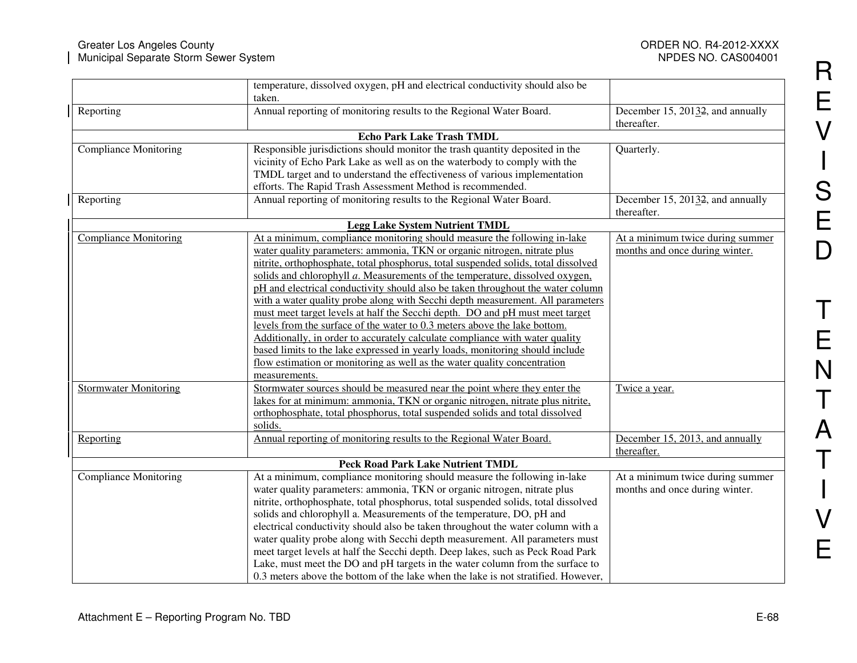|                              | temperature, dissolved oxygen, pH and electrical conductivity should also be<br>taken.                                                                                                                                                                                                                                                                                                                                                                                                                                                                                                                                                                                                                                                          |                                                                    |
|------------------------------|-------------------------------------------------------------------------------------------------------------------------------------------------------------------------------------------------------------------------------------------------------------------------------------------------------------------------------------------------------------------------------------------------------------------------------------------------------------------------------------------------------------------------------------------------------------------------------------------------------------------------------------------------------------------------------------------------------------------------------------------------|--------------------------------------------------------------------|
| Reporting                    | Annual reporting of monitoring results to the Regional Water Board.                                                                                                                                                                                                                                                                                                                                                                                                                                                                                                                                                                                                                                                                             | December 15, 20132, and annually<br>thereafter.                    |
|                              | <b>Echo Park Lake Trash TMDL</b>                                                                                                                                                                                                                                                                                                                                                                                                                                                                                                                                                                                                                                                                                                                |                                                                    |
| <b>Compliance Monitoring</b> | Responsible jurisdictions should monitor the trash quantity deposited in the<br>vicinity of Echo Park Lake as well as on the waterbody to comply with the                                                                                                                                                                                                                                                                                                                                                                                                                                                                                                                                                                                       | Quarterly.                                                         |
|                              | TMDL target and to understand the effectiveness of various implementation                                                                                                                                                                                                                                                                                                                                                                                                                                                                                                                                                                                                                                                                       |                                                                    |
|                              | efforts. The Rapid Trash Assessment Method is recommended.                                                                                                                                                                                                                                                                                                                                                                                                                                                                                                                                                                                                                                                                                      |                                                                    |
| Reporting                    | Annual reporting of monitoring results to the Regional Water Board.                                                                                                                                                                                                                                                                                                                                                                                                                                                                                                                                                                                                                                                                             | December 15, 2013 <sub>2</sub> , and annually<br>thereafter.       |
|                              | <b>Legg Lake System Nutrient TMDL</b>                                                                                                                                                                                                                                                                                                                                                                                                                                                                                                                                                                                                                                                                                                           |                                                                    |
| <b>Compliance Monitoring</b> | At a minimum, compliance monitoring should measure the following in-lake<br>water quality parameters: ammonia, TKN or organic nitrogen, nitrate plus                                                                                                                                                                                                                                                                                                                                                                                                                                                                                                                                                                                            | At a minimum twice during summer<br>months and once during winter. |
|                              | nitrite, orthophosphate, total phosphorus, total suspended solids, total dissolved<br>solids and chlorophyll a. Measurements of the temperature, dissolved oxygen,<br>pH and electrical conductivity should also be taken throughout the water column                                                                                                                                                                                                                                                                                                                                                                                                                                                                                           |                                                                    |
|                              | with a water quality probe along with Secchi depth measurement. All parameters                                                                                                                                                                                                                                                                                                                                                                                                                                                                                                                                                                                                                                                                  |                                                                    |
|                              | must meet target levels at half the Secchi depth. DO and pH must meet target<br>levels from the surface of the water to 0.3 meters above the lake bottom.                                                                                                                                                                                                                                                                                                                                                                                                                                                                                                                                                                                       |                                                                    |
|                              | Additionally, in order to accurately calculate compliance with water quality<br>based limits to the lake expressed in yearly loads, monitoring should include                                                                                                                                                                                                                                                                                                                                                                                                                                                                                                                                                                                   |                                                                    |
|                              | flow estimation or monitoring as well as the water quality concentration<br>measurements.                                                                                                                                                                                                                                                                                                                                                                                                                                                                                                                                                                                                                                                       |                                                                    |
| <b>Stormwater Monitoring</b> | Stormwater sources should be measured near the point where they enter the<br>lakes for at minimum: ammonia, TKN or organic nitrogen, nitrate plus nitrite,                                                                                                                                                                                                                                                                                                                                                                                                                                                                                                                                                                                      | Twice a year.                                                      |
|                              | orthophosphate, total phosphorus, total suspended solids and total dissolved<br>solids.                                                                                                                                                                                                                                                                                                                                                                                                                                                                                                                                                                                                                                                         |                                                                    |
| Reporting                    | Annual reporting of monitoring results to the Regional Water Board.                                                                                                                                                                                                                                                                                                                                                                                                                                                                                                                                                                                                                                                                             | December 15, 2013, and annually<br>thereafter.                     |
|                              | <b>Peck Road Park Lake Nutrient TMDL</b>                                                                                                                                                                                                                                                                                                                                                                                                                                                                                                                                                                                                                                                                                                        |                                                                    |
| <b>Compliance Monitoring</b> | At a minimum, compliance monitoring should measure the following in-lake<br>water quality parameters: ammonia, TKN or organic nitrogen, nitrate plus<br>nitrite, orthophosphate, total phosphorus, total suspended solids, total dissolved<br>solids and chlorophyll a. Measurements of the temperature, DO, pH and<br>electrical conductivity should also be taken throughout the water column with a<br>water quality probe along with Secchi depth measurement. All parameters must<br>meet target levels at half the Secchi depth. Deep lakes, such as Peck Road Park<br>Lake, must meet the DO and pH targets in the water column from the surface to<br>0.3 meters above the bottom of the lake when the lake is not stratified. However, | At a minimum twice during summer<br>months and once during winter. |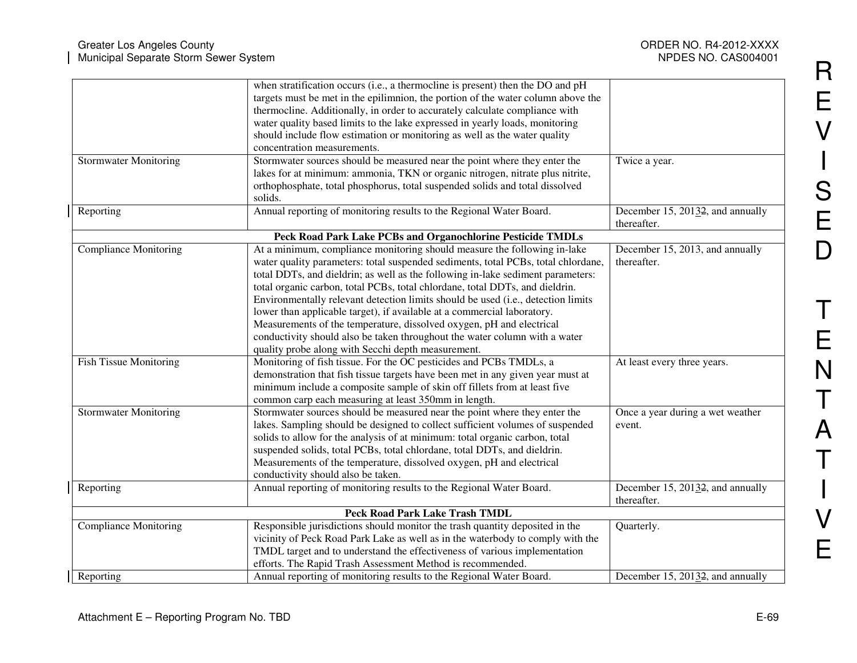|                               | when stratification occurs (i.e., a thermocline is present) then the DO and pH    |                                               |
|-------------------------------|-----------------------------------------------------------------------------------|-----------------------------------------------|
|                               | targets must be met in the epilimnion, the portion of the water column above the  |                                               |
|                               | thermocline. Additionally, in order to accurately calculate compliance with       |                                               |
|                               | water quality based limits to the lake expressed in yearly loads, monitoring      |                                               |
|                               | should include flow estimation or monitoring as well as the water quality         |                                               |
|                               | concentration measurements.                                                       |                                               |
| <b>Stormwater Monitoring</b>  | Stormwater sources should be measured near the point where they enter the         | Twice a year.                                 |
|                               | lakes for at minimum: ammonia, TKN or organic nitrogen, nitrate plus nitrite,     |                                               |
|                               | orthophosphate, total phosphorus, total suspended solids and total dissolved      |                                               |
|                               | solids.                                                                           |                                               |
| Reporting                     | Annual reporting of monitoring results to the Regional Water Board.               | December 15, 2013 <sub>2</sub> , and annually |
|                               |                                                                                   | thereafter.                                   |
|                               | Peck Road Park Lake PCBs and Organochlorine Pesticide TMDLs                       |                                               |
| <b>Compliance Monitoring</b>  | At a minimum, compliance monitoring should measure the following in-lake          | December 15, 2013, and annually               |
|                               | water quality parameters: total suspended sediments, total PCBs, total chlordane, | thereafter.                                   |
|                               | total DDTs, and dieldrin; as well as the following in-lake sediment parameters:   |                                               |
|                               | total organic carbon, total PCBs, total chlordane, total DDTs, and dieldrin.      |                                               |
|                               | Environmentally relevant detection limits should be used (i.e., detection limits  |                                               |
|                               | lower than applicable target), if available at a commercial laboratory.           |                                               |
|                               | Measurements of the temperature, dissolved oxygen, pH and electrical              |                                               |
|                               |                                                                                   |                                               |
|                               | conductivity should also be taken throughout the water column with a water        |                                               |
|                               | quality probe along with Secchi depth measurement.                                |                                               |
| <b>Fish Tissue Monitoring</b> | Monitoring of fish tissue. For the OC pesticides and PCBs TMDLs, a                | At least every three years.                   |
|                               | demonstration that fish tissue targets have been met in any given year must at    |                                               |
|                               | minimum include a composite sample of skin off fillets from at least five         |                                               |
|                               | common carp each measuring at least 350mm in length.                              |                                               |
| <b>Stormwater Monitoring</b>  | Stormwater sources should be measured near the point where they enter the         | Once a year during a wet weather              |
|                               | lakes. Sampling should be designed to collect sufficient volumes of suspended     | event.                                        |
|                               | solids to allow for the analysis of at minimum: total organic carbon, total       |                                               |
|                               | suspended solids, total PCBs, total chlordane, total DDTs, and dieldrin.          |                                               |
|                               | Measurements of the temperature, dissolved oxygen, pH and electrical              |                                               |
|                               | conductivity should also be taken.                                                |                                               |
| Reporting                     | Annual reporting of monitoring results to the Regional Water Board.               | December 15, 20132, and annually              |
|                               |                                                                                   | thereafter.                                   |
|                               | Peck Road Park Lake Trash TMDL                                                    |                                               |
| <b>Compliance Monitoring</b>  | Responsible jurisdictions should monitor the trash quantity deposited in the      | Quarterly.                                    |
|                               | vicinity of Peck Road Park Lake as well as in the waterbody to comply with the    |                                               |
|                               | TMDL target and to understand the effectiveness of various implementation         |                                               |
|                               | efforts. The Rapid Trash Assessment Method is recommended.                        |                                               |
| Reporting                     | Annual reporting of monitoring results to the Regional Water Board.               | December 15, 20132, and annually              |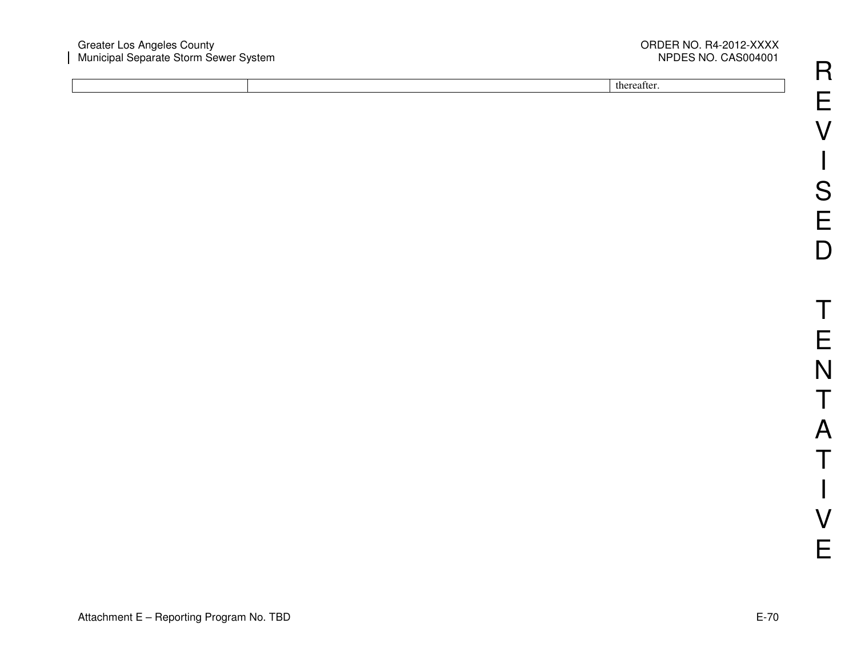#### Greater Los Angeles County ORDER NO. R4-2012-XXXX Municipal Separate Storm Sewer System NPDES NO. CAS004001

# NPDES NO. CAS004001

thereafter.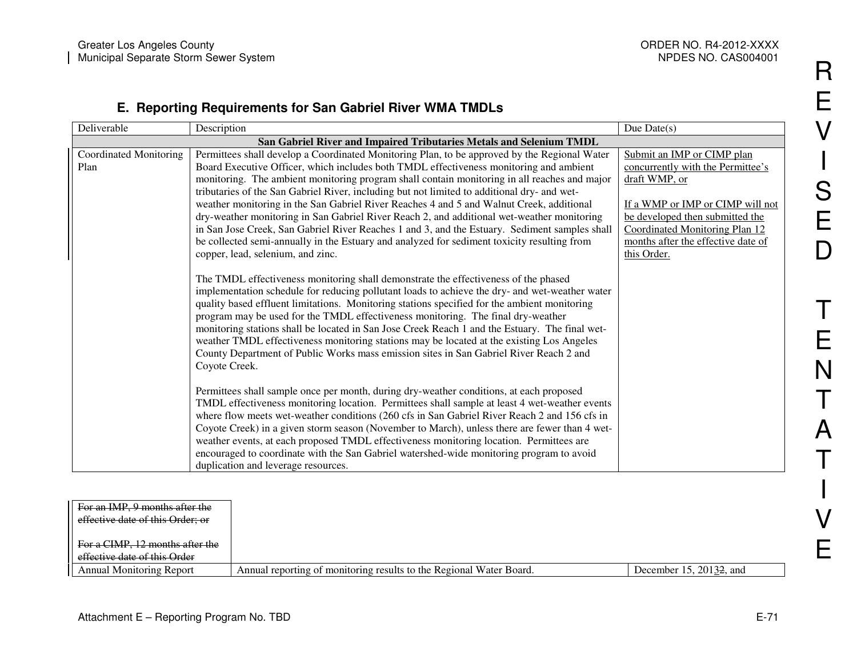#### **E. Reporting Requirements for San Gabriel River WMA TMDLs**

| Deliverable                   | Description                                                                                                                                                                                                                                                                                                                                                                                                                                                                                                                                                                                                                                                                         | Due $Date(s)$                      |
|-------------------------------|-------------------------------------------------------------------------------------------------------------------------------------------------------------------------------------------------------------------------------------------------------------------------------------------------------------------------------------------------------------------------------------------------------------------------------------------------------------------------------------------------------------------------------------------------------------------------------------------------------------------------------------------------------------------------------------|------------------------------------|
|                               |                                                                                                                                                                                                                                                                                                                                                                                                                                                                                                                                                                                                                                                                                     |                                    |
| <b>Coordinated Monitoring</b> | Permittees shall develop a Coordinated Monitoring Plan, to be approved by the Regional Water                                                                                                                                                                                                                                                                                                                                                                                                                                                                                                                                                                                        | Submit an IMP or CIMP plan         |
| Plan                          | Board Executive Officer, which includes both TMDL effectiveness monitoring and ambient                                                                                                                                                                                                                                                                                                                                                                                                                                                                                                                                                                                              | concurrently with the Permittee's  |
|                               | monitoring. The ambient monitoring program shall contain monitoring in all reaches and major                                                                                                                                                                                                                                                                                                                                                                                                                                                                                                                                                                                        | draft WMP, or                      |
|                               | tributaries of the San Gabriel River, including but not limited to additional dry- and wet-                                                                                                                                                                                                                                                                                                                                                                                                                                                                                                                                                                                         |                                    |
|                               | weather monitoring in the San Gabriel River Reaches 4 and 5 and Walnut Creek, additional                                                                                                                                                                                                                                                                                                                                                                                                                                                                                                                                                                                            | If a WMP or IMP or CIMP will not   |
|                               | dry-weather monitoring in San Gabriel River Reach 2, and additional wet-weather monitoring                                                                                                                                                                                                                                                                                                                                                                                                                                                                                                                                                                                          | be developed then submitted the    |
|                               | in San Jose Creek, San Gabriel River Reaches 1 and 3, and the Estuary. Sediment samples shall                                                                                                                                                                                                                                                                                                                                                                                                                                                                                                                                                                                       | Coordinated Monitoring Plan 12     |
|                               | be collected semi-annually in the Estuary and analyzed for sediment toxicity resulting from                                                                                                                                                                                                                                                                                                                                                                                                                                                                                                                                                                                         | months after the effective date of |
|                               | copper, lead, selenium, and zinc.                                                                                                                                                                                                                                                                                                                                                                                                                                                                                                                                                                                                                                                   | this Order.                        |
|                               | The TMDL effectiveness monitoring shall demonstrate the effectiveness of the phased<br>implementation schedule for reducing pollutant loads to achieve the dry- and wet-weather water<br>quality based effluent limitations. Monitoring stations specified for the ambient monitoring<br>program may be used for the TMDL effectiveness monitoring. The final dry-weather<br>monitoring stations shall be located in San Jose Creek Reach 1 and the Estuary. The final wet-<br>weather TMDL effectiveness monitoring stations may be located at the existing Los Angeles<br>County Department of Public Works mass emission sites in San Gabriel River Reach 2 and<br>Coyote Creek. |                                    |
|                               | Permittees shall sample once per month, during dry-weather conditions, at each proposed<br>TMDL effectiveness monitoring location. Permittees shall sample at least 4 wet-weather events<br>where flow meets wet-weather conditions (260 cfs in San Gabriel River Reach 2 and 156 cfs in                                                                                                                                                                                                                                                                                                                                                                                            |                                    |
|                               | Coyote Creek) in a given storm season (November to March), unless there are fewer than 4 wet-<br>weather events, at each proposed TMDL effectiveness monitoring location. Permittees are<br>encouraged to coordinate with the San Gabriel watershed-wide monitoring program to avoid                                                                                                                                                                                                                                                                                                                                                                                                |                                    |
|                               | duplication and leverage resources.                                                                                                                                                                                                                                                                                                                                                                                                                                                                                                                                                                                                                                                 |                                    |

| For an IMP, 9 months after the   |                                                                     |                         |
|----------------------------------|---------------------------------------------------------------------|-------------------------|
| effective date of this Order; or |                                                                     |                         |
|                                  |                                                                     |                         |
| For a CIMP, 12 months after the  |                                                                     |                         |
| effective date of this Order     |                                                                     |                         |
| <b>Annual Monitoring Report</b>  | Annual reporting of monitoring results to the Regional Water Board. | December 15, 20132, and |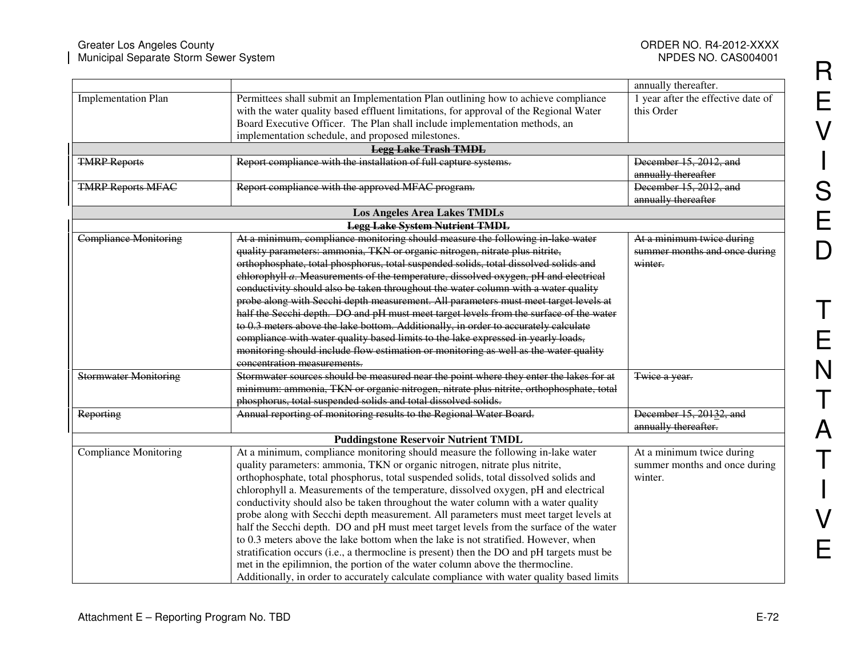NPDES NO. CAS004001

|                                                              |                                                                                                                                                                                                                                                                                                                                                                                                                                                                                                                                                                                                                                                                                                                                                                                                                                                                                                                                                                                                                                                                                                                                                                               | annually thereafter.                                                                   |
|--------------------------------------------------------------|-------------------------------------------------------------------------------------------------------------------------------------------------------------------------------------------------------------------------------------------------------------------------------------------------------------------------------------------------------------------------------------------------------------------------------------------------------------------------------------------------------------------------------------------------------------------------------------------------------------------------------------------------------------------------------------------------------------------------------------------------------------------------------------------------------------------------------------------------------------------------------------------------------------------------------------------------------------------------------------------------------------------------------------------------------------------------------------------------------------------------------------------------------------------------------|----------------------------------------------------------------------------------------|
| <b>Implementation Plan</b>                                   | Permittees shall submit an Implementation Plan outlining how to achieve compliance<br>with the water quality based effluent limitations, for approval of the Regional Water<br>Board Executive Officer. The Plan shall include implementation methods, an<br>implementation schedule, and proposed milestones.                                                                                                                                                                                                                                                                                                                                                                                                                                                                                                                                                                                                                                                                                                                                                                                                                                                                | 1 year after the effective date of<br>this Order                                       |
|                                                              | <b>Legg Lake Trash TMDL</b>                                                                                                                                                                                                                                                                                                                                                                                                                                                                                                                                                                                                                                                                                                                                                                                                                                                                                                                                                                                                                                                                                                                                                   |                                                                                        |
| <b>TMRP Reports</b>                                          | Report compliance with the installation of full capture systems.                                                                                                                                                                                                                                                                                                                                                                                                                                                                                                                                                                                                                                                                                                                                                                                                                                                                                                                                                                                                                                                                                                              | December 15, 2012, and<br>annually thereafter                                          |
| <b>TMRP Reports MFAC</b>                                     | Report compliance with the approved MFAC program.                                                                                                                                                                                                                                                                                                                                                                                                                                                                                                                                                                                                                                                                                                                                                                                                                                                                                                                                                                                                                                                                                                                             | December 15, 2012, and<br>annually thereafter                                          |
|                                                              | <b>Los Angeles Area Lakes TMDLs</b>                                                                                                                                                                                                                                                                                                                                                                                                                                                                                                                                                                                                                                                                                                                                                                                                                                                                                                                                                                                                                                                                                                                                           |                                                                                        |
|                                                              | <b>Legg Lake System Nutrient TMDL</b>                                                                                                                                                                                                                                                                                                                                                                                                                                                                                                                                                                                                                                                                                                                                                                                                                                                                                                                                                                                                                                                                                                                                         |                                                                                        |
| <b>Compliance Monitoring</b><br><b>Stormwater Monitoring</b> | At a minimum, compliance monitoring should measure the following in lake water<br>quality parameters: ammonia, TKN or organic nitrogen, nitrate plus nitrite,<br>orthophosphate, total phosphorus, total suspended solids, total dissolved solids and<br>chlorophyll a. Measurements of the temperature, dissolved oxygen, pH and electrical<br>conductivity should also be taken throughout the water column with a water quality<br>probe along with Secchi depth measurement. All parameters must meet target levels at<br>half the Secchi depth. DO and pH must meet target levels from the surface of the water<br>to 0.3 meters above the lake bottom. Additionally, in order to accurately calculate<br>compliance with water quality based limits to the lake expressed in yearly loads,<br>monitoring should include flow estimation or monitoring as well as the water quality<br>concentration measurements.<br>Stormwater sources should be measured near the point where they enter the lakes for at<br>minimum: ammonia, TKN or organic nitrogen, nitrate plus nitrite, orthophosphate, total<br>phosphorus, total suspended solids and total dissolved solids. | At a minimum twice during<br>summer months and once during<br>winter.<br>Twice a year. |
| <b>Reporting</b>                                             | Annual reporting of monitoring results to the Regional Water Board.                                                                                                                                                                                                                                                                                                                                                                                                                                                                                                                                                                                                                                                                                                                                                                                                                                                                                                                                                                                                                                                                                                           | December 15, 20132, and<br>annually thereafter.                                        |
|                                                              | <b>Puddingstone Reservoir Nutrient TMDL</b>                                                                                                                                                                                                                                                                                                                                                                                                                                                                                                                                                                                                                                                                                                                                                                                                                                                                                                                                                                                                                                                                                                                                   |                                                                                        |
| <b>Compliance Monitoring</b>                                 | At a minimum, compliance monitoring should measure the following in-lake water<br>quality parameters: ammonia, TKN or organic nitrogen, nitrate plus nitrite,<br>orthophosphate, total phosphorus, total suspended solids, total dissolved solids and<br>chlorophyll a. Measurements of the temperature, dissolved oxygen, pH and electrical<br>conductivity should also be taken throughout the water column with a water quality<br>probe along with Secchi depth measurement. All parameters must meet target levels at<br>half the Secchi depth. DO and pH must meet target levels from the surface of the water<br>to 0.3 meters above the lake bottom when the lake is not stratified. However, when<br>stratification occurs (i.e., a thermocline is present) then the DO and pH targets must be<br>met in the epilimnion, the portion of the water column above the thermocline.<br>Additionally, in order to accurately calculate compliance with water quality based limits                                                                                                                                                                                         | At a minimum twice during<br>summer months and once during<br>winter.                  |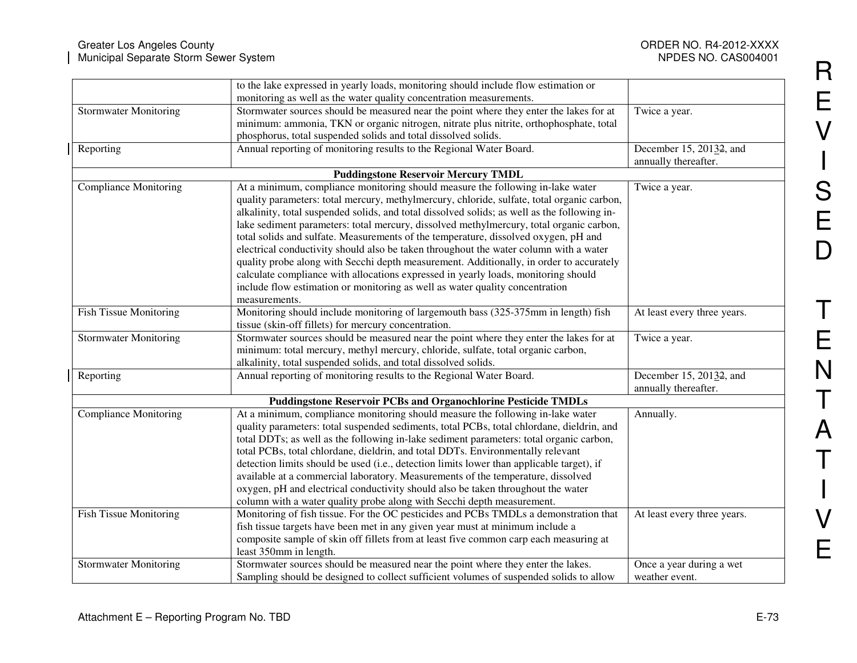|                               | to the lake expressed in yearly loads, monitoring should include flow estimation or          |                             |
|-------------------------------|----------------------------------------------------------------------------------------------|-----------------------------|
|                               | monitoring as well as the water quality concentration measurements.                          |                             |
| <b>Stormwater Monitoring</b>  | Stormwater sources should be measured near the point where they enter the lakes for at       | Twice a year.               |
|                               | minimum: ammonia, TKN or organic nitrogen, nitrate plus nitrite, orthophosphate, total       |                             |
|                               | phosphorus, total suspended solids and total dissolved solids.                               |                             |
| Reporting                     | Annual reporting of monitoring results to the Regional Water Board.                          | December 15, 20132, and     |
|                               |                                                                                              | annually thereafter.        |
|                               | <b>Puddingstone Reservoir Mercury TMDL</b>                                                   |                             |
| <b>Compliance Monitoring</b>  | At a minimum, compliance monitoring should measure the following in-lake water               | Twice a year.               |
|                               | quality parameters: total mercury, methylmercury, chloride, sulfate, total organic carbon,   |                             |
|                               | alkalinity, total suspended solids, and total dissolved solids; as well as the following in- |                             |
|                               | lake sediment parameters: total mercury, dissolved methylmercury, total organic carbon,      |                             |
|                               | total solids and sulfate. Measurements of the temperature, dissolved oxygen, pH and          |                             |
|                               | electrical conductivity should also be taken throughout the water column with a water        |                             |
|                               | quality probe along with Secchi depth measurement. Additionally, in order to accurately      |                             |
|                               | calculate compliance with allocations expressed in yearly loads, monitoring should           |                             |
|                               | include flow estimation or monitoring as well as water quality concentration                 |                             |
|                               | measurements.                                                                                |                             |
| <b>Fish Tissue Monitoring</b> | Monitoring should include monitoring of largemouth bass (325-375mm in length) fish           | At least every three years. |
|                               | tissue (skin-off fillets) for mercury concentration.                                         |                             |
| <b>Stormwater Monitoring</b>  | Stormwater sources should be measured near the point where they enter the lakes for at       | Twice a year.               |
|                               | minimum: total mercury, methyl mercury, chloride, sulfate, total organic carbon,             |                             |
|                               | alkalinity, total suspended solids, and total dissolved solids.                              |                             |
| Reporting                     | Annual reporting of monitoring results to the Regional Water Board.                          | December 15, 20132, and     |
|                               |                                                                                              | annually thereafter.        |
|                               | <b>Puddingstone Reservoir PCBs and Organochlorine Pesticide TMDLs</b>                        |                             |
| Compliance Monitoring         | At a minimum, compliance monitoring should measure the following in-lake water               | Annually.                   |
|                               | quality parameters: total suspended sediments, total PCBs, total chlordane, dieldrin, and    |                             |
|                               | total DDTs; as well as the following in-lake sediment parameters: total organic carbon,      |                             |
|                               | total PCBs, total chlordane, dieldrin, and total DDTs. Environmentally relevant              |                             |
|                               | detection limits should be used (i.e., detection limits lower than applicable target), if    |                             |
|                               | available at a commercial laboratory. Measurements of the temperature, dissolved             |                             |
|                               | oxygen, pH and electrical conductivity should also be taken throughout the water             |                             |
|                               | column with a water quality probe along with Secchi depth measurement.                       |                             |
| <b>Fish Tissue Monitoring</b> | Monitoring of fish tissue. For the OC pesticides and PCBs TMDLs a demonstration that         | At least every three years. |
|                               | fish tissue targets have been met in any given year must at minimum include a                |                             |
|                               | composite sample of skin off fillets from at least five common carp each measuring at        |                             |
|                               | least 350mm in length.                                                                       |                             |
| <b>Stormwater Monitoring</b>  | Stormwater sources should be measured near the point where they enter the lakes.             | Once a year during a wet    |
|                               | Sampling should be designed to collect sufficient volumes of suspended solids to allow       | weather event.              |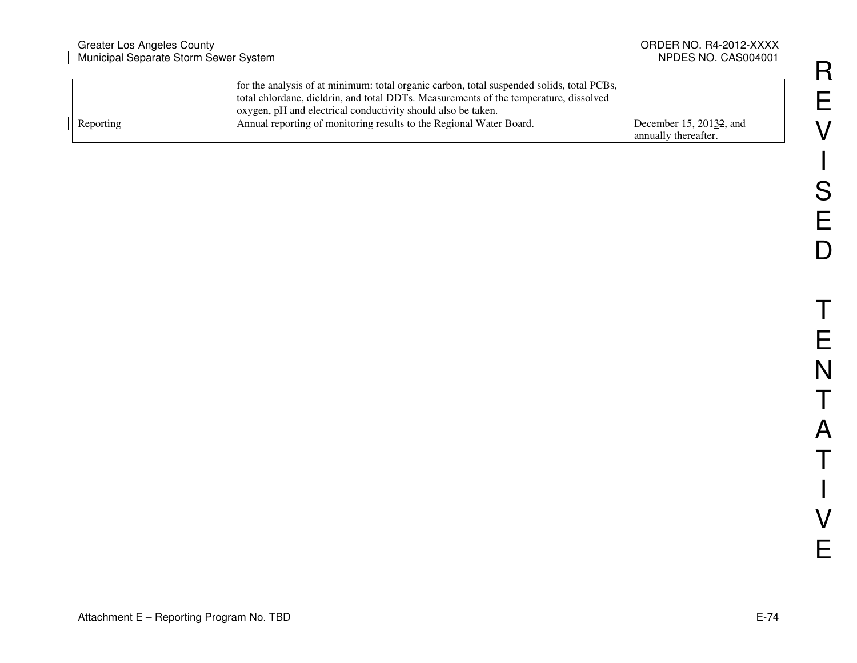| Greater Los Angeles County<br>Municipal Separate Storm Sewer System |                                                                                                                                                                                                                                                    | ORDER NO. R4-2012-XXXX<br>NPDES NO. CAS004001                |
|---------------------------------------------------------------------|----------------------------------------------------------------------------------------------------------------------------------------------------------------------------------------------------------------------------------------------------|--------------------------------------------------------------|
|                                                                     | for the analysis of at minimum: total organic carbon, total suspended solids, total PCBs,<br>total chlordane, dieldrin, and total DDTs. Measurements of the temperature, dissolved<br>oxygen, pH and electrical conductivity should also be taken. |                                                              |
| Reporting                                                           | Annual reporting of monitoring results to the Regional Water Board.                                                                                                                                                                                | December 15, 2013 <del>2</del> , and<br>annually thereafter. |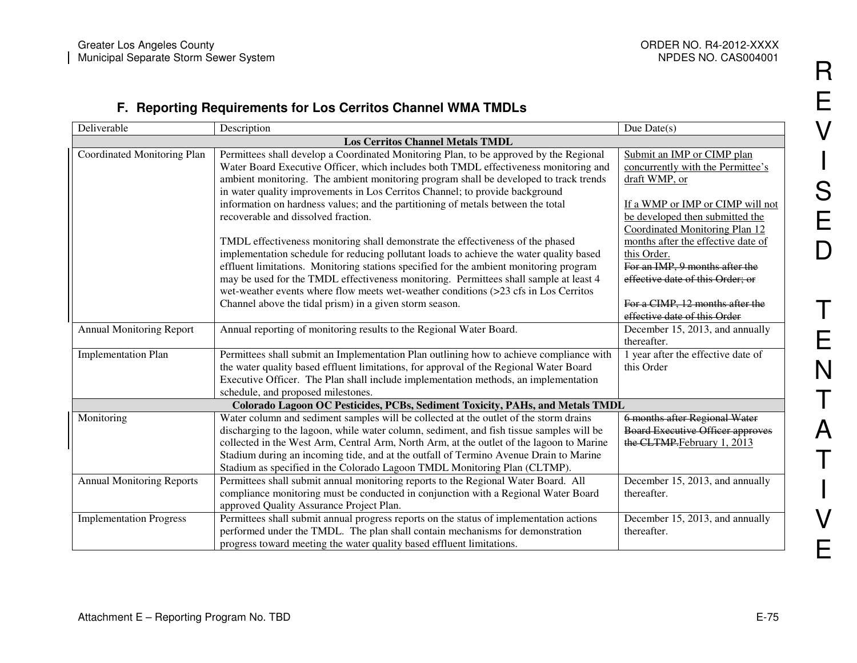## **F. Reporting Requirements for Los Cerritos Channel WMA TMDLs**

| Deliverable                             | Description                                                                              | Due Date $(s)$                          |  |  |
|-----------------------------------------|------------------------------------------------------------------------------------------|-----------------------------------------|--|--|
| <b>Los Cerritos Channel Metals TMDL</b> |                                                                                          |                                         |  |  |
| Coordinated Monitoring Plan             | Permittees shall develop a Coordinated Monitoring Plan, to be approved by the Regional   | Submit an IMP or CIMP plan              |  |  |
|                                         | Water Board Executive Officer, which includes both TMDL effectiveness monitoring and     | concurrently with the Permittee's       |  |  |
|                                         | ambient monitoring. The ambient monitoring program shall be developed to track trends    | draft WMP, or                           |  |  |
|                                         | in water quality improvements in Los Cerritos Channel; to provide background             |                                         |  |  |
|                                         | information on hardness values; and the partitioning of metals between the total         | If a WMP or IMP or CIMP will not        |  |  |
|                                         | recoverable and dissolved fraction.                                                      | be developed then submitted the         |  |  |
|                                         |                                                                                          | Coordinated Monitoring Plan 12          |  |  |
|                                         | TMDL effectiveness monitoring shall demonstrate the effectiveness of the phased          | months after the effective date of      |  |  |
|                                         | implementation schedule for reducing pollutant loads to achieve the water quality based  | this Order.                             |  |  |
|                                         | effluent limitations. Monitoring stations specified for the ambient monitoring program   | For an IMP, 9 months after the          |  |  |
|                                         | may be used for the TMDL effectiveness monitoring. Permittees shall sample at least 4    | effective date of this Order; or        |  |  |
|                                         | wet-weather events where flow meets wet-weather conditions (>23 cfs in Los Cerritos      |                                         |  |  |
|                                         | Channel above the tidal prism) in a given storm season.                                  | For a CIMP, 12 months after the         |  |  |
|                                         |                                                                                          | effective date of this Order            |  |  |
| <b>Annual Monitoring Report</b>         | Annual reporting of monitoring results to the Regional Water Board.                      | December 15, 2013, and annually         |  |  |
|                                         |                                                                                          | thereafter.                             |  |  |
| <b>Implementation Plan</b>              | Permittees shall submit an Implementation Plan outlining how to achieve compliance with  | 1 year after the effective date of      |  |  |
|                                         | the water quality based effluent limitations, for approval of the Regional Water Board   | this Order                              |  |  |
|                                         | Executive Officer. The Plan shall include implementation methods, an implementation      |                                         |  |  |
|                                         | schedule, and proposed milestones.                                                       |                                         |  |  |
|                                         | Colorado Lagoon OC Pesticides, PCBs, Sediment Toxicity, PAHs, and Metals TMDL            |                                         |  |  |
| Monitoring                              | Water column and sediment samples will be collected at the outlet of the storm drains    | 6 months after Regional Water           |  |  |
|                                         | discharging to the lagoon, while water column, sediment, and fish tissue samples will be | <b>Board Executive Officer approves</b> |  |  |
|                                         | collected in the West Arm, Central Arm, North Arm, at the outlet of the lagoon to Marine | the CLTMP. February 1, 2013             |  |  |
|                                         | Stadium during an incoming tide, and at the outfall of Termino Avenue Drain to Marine    |                                         |  |  |
|                                         | Stadium as specified in the Colorado Lagoon TMDL Monitoring Plan (CLTMP).                |                                         |  |  |
| <b>Annual Monitoring Reports</b>        | Permittees shall submit annual monitoring reports to the Regional Water Board. All       | December 15, 2013, and annually         |  |  |
|                                         | compliance monitoring must be conducted in conjunction with a Regional Water Board       | thereafter.                             |  |  |
|                                         | approved Quality Assurance Project Plan.                                                 |                                         |  |  |
| <b>Implementation Progress</b>          | Permittees shall submit annual progress reports on the status of implementation actions  | December 15, 2013, and annually         |  |  |
|                                         | performed under the TMDL. The plan shall contain mechanisms for demonstration            | thereafter.                             |  |  |
|                                         | progress toward meeting the water quality based effluent limitations.                    |                                         |  |  |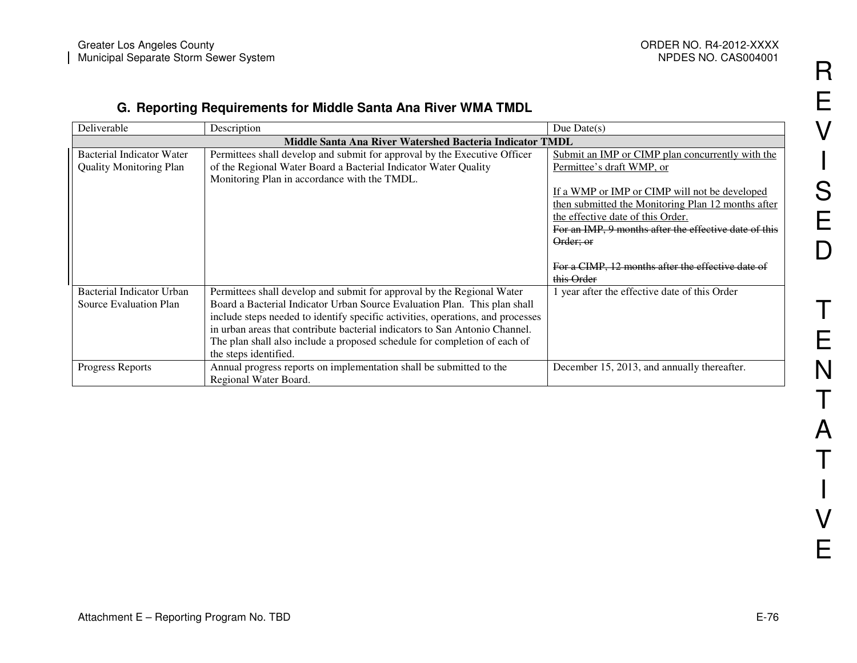## **G. Reporting Requirements for Middle Santa Ana River WMA TMDL**

| Deliverable                                              | Description                                                                     | Due Date $(s)$                                        |  |  |
|----------------------------------------------------------|---------------------------------------------------------------------------------|-------------------------------------------------------|--|--|
| Middle Santa Ana River Watershed Bacteria Indicator TMDL |                                                                                 |                                                       |  |  |
| Bacterial Indicator Water                                | Permittees shall develop and submit for approval by the Executive Officer       | Submit an IMP or CIMP plan concurrently with the      |  |  |
| <b>Quality Monitoring Plan</b>                           | of the Regional Water Board a Bacterial Indicator Water Quality                 | Permittee's draft WMP, or                             |  |  |
|                                                          | Monitoring Plan in accordance with the TMDL.                                    |                                                       |  |  |
|                                                          |                                                                                 | If a WMP or IMP or CIMP will not be developed         |  |  |
|                                                          |                                                                                 | then submitted the Monitoring Plan 12 months after    |  |  |
|                                                          |                                                                                 | the effective date of this Order.                     |  |  |
|                                                          |                                                                                 | For an IMP, 9 months after the effective date of this |  |  |
|                                                          |                                                                                 | Order; or                                             |  |  |
|                                                          |                                                                                 |                                                       |  |  |
|                                                          |                                                                                 | For a CIMP, 12 months after the effective date of     |  |  |
|                                                          |                                                                                 | this Order                                            |  |  |
| Bacterial Indicator Urban                                | Permittees shall develop and submit for approval by the Regional Water          | 1 year after the effective date of this Order         |  |  |
| Source Evaluation Plan                                   | Board a Bacterial Indicator Urban Source Evaluation Plan. This plan shall       |                                                       |  |  |
|                                                          | include steps needed to identify specific activities, operations, and processes |                                                       |  |  |
|                                                          | in urban areas that contribute bacterial indicators to San Antonio Channel.     |                                                       |  |  |
|                                                          | The plan shall also include a proposed schedule for completion of each of       |                                                       |  |  |
|                                                          | the steps identified.                                                           |                                                       |  |  |
| Progress Reports                                         | Annual progress reports on implementation shall be submitted to the             | December 15, 2013, and annually thereafter.           |  |  |
|                                                          | Regional Water Board.                                                           |                                                       |  |  |